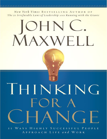New York Times BESTSELLING AUTHOR OF The 21 Irrefutable Laws of Leadership AND Running with the Giants

# JOHN C. MAXWELL

# THNKING FOR A LHANGE

II WAYS HIGHLY SUCCESSFUL PEOPLE APPROACH LIFE and WORK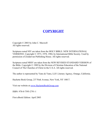# **[COPYRIGHT](#page-2-0)**

Copyright © 2003 by John C. Maxwell All rights reserved.

Scriptures noted NIV are taken from the HOLY BIBLE: NEW INTERNATIONAL VERSION®. Copyright © 1973, 1978, 1984, by International Bible Society. Used by permission of Zondervan Publishing House. All rights reserved.

Scriptures noted NRSV are taken from the NEW REVISED STANDARD VERSION of the Bible. Copyright © 1989 by the Division of Christian Education of the National Council of The Churches of Christ in the U.S.A. All rights reserved.

The author is represented by Yates & Yates, LLP, Literary Agency, Orange, California.

Hachette Book Group, 237 Park Avenue, New York, NY 10017.

Visit our website at [www.HachetteBookGroup.com](http://www.HachetteBookGroup.com)

ISBN: 978-0-7595-2791-1

First eBook Edition: April 2003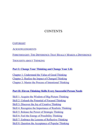# **CONTENTS**

<span id="page-2-0"></span>**COPYRIGHT** 

<span id="page-2-1"></span>**ACKNOWLEDGMENTS** 

<span id="page-2-2"></span>FORETHOUGHT: THE DIFFERENCE THAT REALLY MAKES A DIFFERENCE

#### <span id="page-2-3"></span>THOUGHTS ABOUT THINKING

#### <span id="page-2-4"></span>**Part I: Change Your Thinking and Change Your Life**

<span id="page-2-6"></span><span id="page-2-5"></span>Chapter 1: [Understand](#page-12-0) the Value of Good Thinking Chapter 2: Realize the Impact of Changed [Thinking](#page-27-0) Chapter 3: Master the Process of [Intentional](#page-41-0) Thinking

#### **Part II: Eleven Thinking Skills Every Successful Person Needs**

Skill 1: Acquire the Wisdom of [Big-Picture](#page-59-0) Thinking Skill 2: Unleash the Potential of Focused [Thinking](#page-74-0) Skill 3: Discover the Joy of Creative [Thinking](#page-91-0) Skill 4: Recognize the [Importance](#page-113-0) of Realistic Thinking Skill 5: Release the Power of Strategic [Thinking](#page-127-0) Skill 6: Feel the Energy of [Possibility](#page-143-0) Thinking Skill 7: Embrace the Lessons of [Reflective](#page-158-0) Thinking Skill 8: Question the [Acceptance](#page-174-0) of Popular Thinking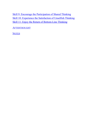Skill 9: Encourage the [Participation](#page-189-0) of Shared Thinking Skill 10: Experience the [Satisfaction](#page-203-0) of Unselfish Thinking Skill 11: Enjoy the Return of [Bottom-Line](#page-217-0) Thinking

**AFTERTHOUGHT** 

**NOTES**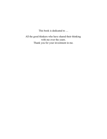This book is dedicated to …

All the good thinkers who have shared their thinking with me over the years. Thank you for your investment in me.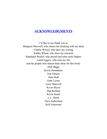# **[ACKNOWLEDGMENTS](#page-2-1)**

I'd like to say thank you to Margaret Maxwell, who shares her thinking with me daily Charlie Wetzel, who does my writing Kathie Wheat, who does my research Stephanie Wetzel, who proofs and edits each chapter Linda Eggers, who runs my life and the people who shared their ideas for this book: Dick Biggs Kevin Donaldson Tim Elmore John Hull Gabe Lyons Larry Maxwell Kevin Myers Dan Reiland Kevin Small J. L. Smith Dave Sutherland Rolf Zettersten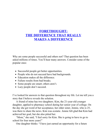# **[FORETHOUGHT:](#page-2-2) THE DIFFERENCE THAT REALLY MAKES A DIFFERENCE**

Why are some people successful and others not? That question has been asked millions of times. You'll hear many answers. Consider some of the popular ones:

- Successful people get better opportunities.
- People who do not succeed have bad backgrounds.
- Education makes all the difference.
- Failure results from bad breaks.
- Some people are smart; others aren't.
- Lazy people don't succeed.

I've looked for answers to that question throughout my life. Let me tell you a story that I believe reveals the solution.

A friend of mine has two daughters. Kim, the 21-year-old younger daughter, applied to pharmacy school during her senior year of college. On the day she got word of her acceptance, her older sister, Jennie, who is 25, was there to share the news. Kim was ecstatic. Jennie felt glad that Kim had achieved her goal, but she also pitied her.

"Mom," she said, "I feel sorry for Kim. She is going to have to go to school for four more years!"

One daughter thinks: "I have just earned an opportunity for a future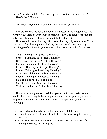career." Her sister thinks: "She has to go to school for four more years!" Here's the difference:

#### *Successful people think dif erently than unsuccessful people.*

One sister heard the news and felt excited because she thought about the lucrative, rewarding career about to open up to her. The other sister thought only about the amount of time it would take to achieve it.

How skilled is your thinking? Does your thinking help you achieve? This book identifies eleven types of thinking that successful people employ. Which type of thinking do you believe will increase your odds for success?

Small Thinking or Big-Picture Thinking? Scattered Thinking or Focused Thinking? Restrictive Thinking or Creative Thinking? Fantasy Thinking or Realistic Thinking? Random Thinking or Strategic Thinking? Limited Thinking or Possibility Thinking? Impulsive Thinking or Reflective Thinking? Popular Thinking or Innovative Thinking? Solo Thinking or Shared Thinking? Selfish Thinking or Unselfish Thinking? Wishful Thinking or Bottom-Line Thinking?

If you're currently not successful, or you are not as successful as you would like to be, it may be because you are not *thinking* your way to the top. To place yourself on the pathway of success, I suggest that you do the following:

- Read each chapter to better understand successful thinking.
- Evaluate yourself at the end of each chapter by answering the thinking question.
- Take the action steps included to implement the kind of successful thinking described in the chapter.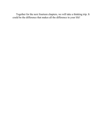Together for the next fourteen chapters, we will take a thinking trip. It could be the difference that makes all the difference in your life!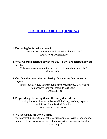# **[THOUGHTS](#page-2-3) ABOUT THINKING**

#### **1. Everything begins with a thought.**

"Life consists of what a man is thinking about all day." –RALPH WALDO EMERSON

**2. What we think determines who we are. Who we are determines what we do.**

"The actions of men are the best interpreters of their thoughts." –JOHN LOCKE

**3. Our thoughts determine our destiny. Our destiny determines our legacy.**

"You are today where your thoughts have brought you. You will be tomorrow where your thoughts take you." –JAMES ALLEN

#### **4. People who go to the top think differently than others.**

"Nothing limits achievement like small thinking; Nothing expands possibilities like unleashed thinking." –WILLIAM ARTHUR WARD

#### **5. We** *can* **change the way we think.**

"Whatever things are true …noble …just …pure …lovely …are of good report, if there is any virtue and if there is anything praiseworthy; think on these things."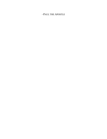–PAUL THE APOSTLE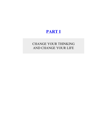# **[PART](#page-2-4) I**

CHANGE YOUR THINKING AND CHANGE YOUR LIFE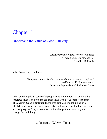# <span id="page-12-0"></span>[Chapter](#page-2-5) 1

[Understand](#page-2-5) the Value of Good Thinking

*"Nurture great thoughts, for you will never go higher than your thoughts."* —BENJAMIN DISRAELI

What Were They Thinking?

*"Things are more like they are now than they ever were before."* —DWIGHT D. EISENHOWER, thirty-fourth president of the United States

What one thing do all successful people have in common? What one thing separates those who go to the top from those who never seem to get there? The answer: **Good Thinking!** Those who embrace good thinking as a lifestyle understand the relationship between their level of thinking and their level of progress. They also realize that to change their lives, they must change their thinking.

<sup>A</sup> DIFFERENT WAY TO THINK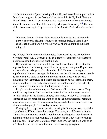I've been a student of good thinking all my life, so I know how important it is for making progress. In the first book I wrote back in 1979, titled *Think on These Things,* I said, "Your life today is a result of your thinking yesterday. Your life tomorrow will be determined by what you think today."  $\frac{1}{\cdot}$  $\frac{1}{\cdot}$  $\frac{1}{\cdot}$  The title of that book was inspired by the words of the Apostle Paul, who admonished us,

Whatever is true, whatever is honorable, whatever is just, whatever is pure, whatever is pleasing, whatever is commendable, if there is any excellence and if there is anything worthy of praise, think about these things.  $\frac{2}{3}$  $\frac{2}{3}$  $\frac{2}{3}$ 

My father, Melvin Maxwell, often quoted those words to me. He felt they were important. Why? Because he is an example of someone who changed his life as a result of changing his thinking.

If you met my dad, he would tell you that he was born with a naturally negative bent to his thinking. In addition, he grew up during the Depression, and when he was six years old, his mother died. He was not a happy or hopeful child. But as a teenager, he began to see that all the successful people he knew had one thing in common: they filled their lives with positive thoughts about themselves and others. He desired to be successful like them, so he embarked on the daily task of changing his thinking. To his delight, after much time and effort, his thinking changed him.

People who know him today see Dad as a totally positive person. They would be surprised to find out that he started his life with a negative mindset. This change in his thinking allowed him to rise to a level of living that seemed above his potential. He went on to be the most successful person in his professional circle. He became a college president and touched the lives of innumerable people. To this day he is my hero.

Changing from negative to positive thinking isn't always easy, especially if you have a difficult time with change. For some, it's a life-long struggle. Do you know what most people's number one challenge is when it comes to making positive personal changes? It's their feelings. They want to change, but they don't know how to get past their emotions. But there is a way to do it. Take a look at the truth contained in the following syllogism: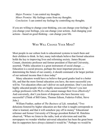*Major Premise:* I can control my thoughts. *Minor Premise:* My feelings come from my thoughts. *Conclusion:* I can control my feelings by controlling my thoughts.

If you are willing to change your thinking, you can change your feelings. If you change your feelings, you can change your actions. And changing your actions—based on good thinking—can change your life.

## WHO WILL CHANGE YOUR MIND?

Most people in our culture look to educational systems to teach them and their children to think. In fact, many individuals believe that formal education holds the key to improving lives and reforming society. James Bryant Conant, chemistry professor and former president of Harvard University, asserted, "Public education is a great instrument of social change …. Education is a social process, perhaps the most important process in determining the future of our country, it should command a far larger portion of our national income than it does today"

Many educators would have us believe that good grades lead to a better life, and that the more formal education you have, the more successful you will be. Yet education often can't deliver on such promises. Don't you know highly educated people who are highly unsuccessful? Haven't you met college professors with Ph.D.s who cannot manage their lives effectively? And conversely, don't you know of dropouts who have become very successful? (Think of Bill Gates, Thomas Edison, Federico Fellini, Steve Jobs.)

William Feather, author of *The Business of Life,* remarked, "Two delusions fostered by higher education are that what is taught corresponds to what is learned, and that it will somehow pay off in money" Educational reformer and former University of Chicago president Robert M. Hutchins observed, "When we listen to the radio, look at television and read the newspapers we wonder whether universal education has been the great boon that its supporters have always claimed it would be." Perhaps we would be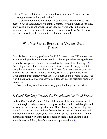better off if we took the advice of Mark Twain, who said, "I never let my schooling interfere with my education."

The problem with most educational institutions is that they try to teach people *what* to think, not *how* to think. Contrary to what Francis Bacon said, knowledge alone is not power. Knowledge has value only in the hands of someone who has the ability to think well. People must learn *how* to think well to achieve their dreams and to reach their potential.

# WHY YOU SHOULD EMBRACE THE VALUE OF GOOD **THINKING**

Georgia State University professor David J. Schwartz says, "Where success is concerned, people are not measured in inches or pounds or college degrees or family background; they are measured by the size of their thinking."  $\frac{3}{2}$  $\frac{3}{2}$  $\frac{3}{2}$ Becoming a better thinker is worth your effort because the way you think really impacts every aspect of your life. It doesn't matter whether you are a businessperson, teacher, parent, scientist, pastor, or corporate executive. Good thinking *will* improve your life. It will help you to become an achiever. It will make you a *better* businessperson, teacher, parent, scientist, pastor, or executive.

Take a look at just a few reasons why good thinking is so important:

# *1. Good Thinking Creates the Foundation for Good Results*

In *As a Man Thinketh,* James Allen, philosopher of the human spirit, wrote, "Good thoughts and actions can never produce bad results; bad thoughts and actions can never produce good results. This is but saying that nothing can come from corn but corn, nothing from nettles but nettles. Men understand this law in the natural world, and work with it; but few understand it in the mental and moral world (though its operation there is just as simple and undeviating), and they, therefore, do not cooperate with it.  $\frac{4}{3}$  $\frac{4}{3}$  $\frac{4}{3}$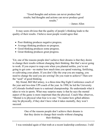"Good thoughts and actions can never produce bad results; bad thoughts and actions can never produce good results."

—James Allen

It may seem obvious that the quality of people's thinking leads to the quality of their results. I believe most people would agree that:

- Poor thinking produces negative progress.
- Average thinking produces no progress.
- Good thinking produces some progress.
- Great thinking produces great progress.

Yet, one of the reasons people don't achieve their dreams is that they desire to change their results without changing their thinking. But that's never going to work. If you expect to reap corn when you planted nettles, you're not going to get corn—no matter how much time you spend watering, fertilizing, or cultivating your plants. If you don't like the crop you are reaping, you need to change the seed you are sowing! Do you want to achieve? Then sow the "seed" of good thinking.

My friend, Bill McCartney, is a three-time Big Eight Conference coach of the year and two-time UPI coach of the year. In 1990, he led the University of Colorado football team to a national championship. He understands what it takes to win in sports. What may surprise many is that he says the mental aspect of the game is more important than the physical. Coach Mac observes, "Mental is to physical what four is to one." No matter how gifted athletes may be physically, if they don't have what it takes mentally, they won't succeed.

> One of the reasons people don't achieve their dreams is that they desire to change their results without changing their thinking.

I was reminded again of that truth at a recent leadership conference. I told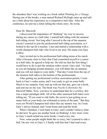the attendees that I was working on a book called *Thinking for a Change.* During one of the breaks, a man named Richard McHugh came up and told me a little about his experience as a competitive bull rider. After the conference, he sent me a letter telling the whole story. He wrote,

#### Dear Dr. Maxwell:

I discovered the importance of "thinking" my way to success during my career as a bull rider. I started bull riding with the amateur bull-riding circuit. Not long after I moved to the top of the amateur circuit I yearned to join the professional bull riding association, so I looked to the top for a teacher. I met and started a relationship with a world champion bull rider who lived in my area. His name was Gary Leffew.

Gary invited me to his professional bull-riding arena at his ranch. After it became clear to Gary that I had committed myself to a career as a bull rider, he agreed to help me. He told me that the first thing I would have to do is quit the amateur rodeo circuit. Gary said, "As long as you are hanging around amateurs, you will think like an amateur, and you will not improve your skills." That day I went from the top of the amateur bull riders to the bottom of the professionals.

After getting my professional cowboy association permit, I went back to Gary's rodeo arena, and I was ready to get on some bulls. Much to my surprise, Gary met up with me that day, gave me a book, and sent me on my way. The book was *Psycho-Cybernetics* by Maxwell Maltz. Now, you have to understand that for a cowboy, this was a major paradigm shift. All of the other seasoned bull riders were telling me, "If you want to ride bulls, the secret is just getting on as many bulls as your body can withstand in terms of the pain." But they were not World Champion bull riders like my mentor was. So I took Gary's advice instead, and I went home and read the book.

When I finished, I went back to Gary, and I couldn't believe what he did next: he gave me another book on thinking! A few more visits to Gary's ranch netted me more books. I read every one.

Now, some people might think this is crazy, but I yearned to ride a bull. On one visit to Gary's, I finally told him that I had read every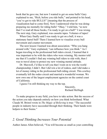book that he gave me, but now I wanted to get on some bulls! Gary explained to me, "Rich, before you ride bulls," and pointed to his head, "you've got to ride BULLS!" [meaning that the process of visualization had to come first]. Now I understood what he was doing: preparing me mentally for riding bulls! "Okay," I told him, "so now that I've read all those books, I'm ready to get on a bull!" I was wrong. The next step, Gary explained, was cassette tapes. Volumes of tapes!

When Gary finally said I was ready to get on a bull, it was a stationary barrel bull! There I learned how to visualize every bull movement and counter movement.

The next lesson I learned was about association. "Who you hang around with," Gary explained, "can influence how you think." As I began traveling in the professional bull riders circuit, I learned that it was important to be with the riders who were winning. My mentor told me that if I couldn't find any winning bull riders to ride with, then I was to travel alone to protect my new winning mental attitude.

Dr. Maxwell, I'd like to tell you that I went on to win the world championship; I didn't. But I did win a lot of rodeos, and I did make a lot of money riding in the professional bull-riding circuit. This cowboy eventually left the rodeo circuit and married a wonderful woman. We now own one of the largest employment agencies on the central coast of California.

I guess I'm still thinking my way to the top.

Sincerely, Richard McHugh

To make progress in any field, you have to take action. But the success of the action you take depends entirely on how you think beforehand. What Claude M. Bristol wrote in *The Magic of Believing* is true: "The successful people in industry have succeeded through their thinking. Their hands were helpers to their brains."

#### *2. Good Thinking Increases Your Potential*

Author James Allen believed, "You will become as small as your controlling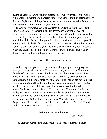desire, as great as your dominant aspiration."  $\frac{5}{2}$  $\frac{5}{2}$  $\frac{5}{2}$  Or to paraphrase the words of King Solomon, wisest of all ancient kings, "As people think in their hearts, so they are." <sup>[6](#page-233-5)</sup> If your thinking shapes who you are, then it naturally follows that your potential is determined by your thinking.

In *The 21 Irrefutable Laws of Leadership,* I wrote about the Law of the Lid, which states, "Leadership ability determines a person's level of effectiveness." In other words, in any endeavor with people, your leadership is the lid. If you're a poor leader, your lid is low. If you are a great leader, your lid is high. I believe that your thinking has a similar impact on your life. Your thinking is the lid for your potential. If you're an excellent thinker, then you have excellent potential, and the words of Emerson ring true: "Beware when the great God lets loose a great thinker on the planet." But if your thinking is poor, then you have a lid on your life.

Progress is often just a good idea away.

Achieving your potential comes from making progress, and progress is often just one good idea away. That was certainly true of Sam Walton, the founder of Wal-Mart. He explained, "I guess in all my years, what I heard more often than anything was: a town of less than 50,000 in population cannot support a discount store for very long." But Walton did not think the way his competitors thought, and for that reason, his potential was greater. While other merchants followed popular thinking, Walton thought for himself and struck out on his own. That has paid off in a remarkable way. Today Wal-Mart is the world's largest retailer, employing more than one million people and achieving annual sales in excess of \$191 billion. Every week more than 100 million customers visit Wal-Mart stores.  $\frac{7}{1}$  $\frac{7}{1}$  $\frac{7}{1}$ How's that for potential! No wonder Jack Welch, former chairman of General Electric, said, "The hero is the one with ideas."

"The hero is the one with ideas."

—Jack Welch

The greatest detriment to many people's success tomorrow is their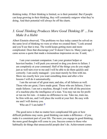thinking today. If their thinking is limited, so is their potential. But if people can keep growing in their thinking, they will constantly outgrow what they're doing. And their potential will always be off the charts.

# *3. Good Thinking Produces More Good Thinking IF …You Make It a Habit*

Albert Einstein observed, "The problems we face today cannot be solved on the same level of thinking we were at when we created them." Look around and you'll see that is true. The world keeps getting more and more complicated. Does that discourage you? It doesn't have to. Many years ago, I came across a quote that made a tremendous impression on me. It said,

I am your constant companion. I am your greatest helper or heaviest burden. I will push you onward or drag you down to failure. I am completely at your command. Half of the things you do you might just as well turn over to me and I will be able to do them quickly and correctly. I am easily managed—you must merely be firm with me. Show me exactly how you want something done and after a few lessons I will do it automatically.

I am the servant of all great men; and alas, of all failures as well. Those who are great, I have made great. Those who are failures, I have made failures. I am not a machine, though I work with all the precision of a machine plus the intelligence of a man. You may run me for profit or run me for ruin—it makes no difference to me. Take me, train me, be firm with me, and I will place the world at your feet. Be easy with me and I will destroy you.

Who am I? I am habit! <u>[8](#page-233-7)</u>

The good news is that no matter how complicated life gets or how difficult problems may seem, good thinking can make a difference—if you make it a consistent part of your life. The more you engage in good thinking, the more good thoughts will come to you. Success comes to those who habitually do things that unsuccessful people don't do. Achievement comes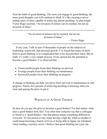from the habit of good thinking. The more you engage in good thinking, the more good thoughts you will continue to think. It's like creating a neverending army of ideas capable of achieving almost anything. As playwright Victor Hugo asserted, "An invasion of armies can be resisted, but not an invasion of ideas."

> "An invasion of armies can be resisted, but not an invasion of ideas."

—Victor Hugo

Every year, I talk to tens of thousands of people on the subjects of leadership, teamwork, and personal growth. I've found that many of them believe good thinking is so complicated that it lies beyond their reach. But in truth, it's really a very simple process. Every person has the potential to become a good thinker. I've observed that …

- Unsuccessful people focus their thinking on survival
- Average people focus their thinking on maintenance
- Successful people focus their thinking on progress

A change of thinking can help you move from survival or maintenance to real progress. Ninety-five percent of achieving anything is knowing what you want and paying the price to get it.

# PORTRAIT OF A GOOD THINKER

So how do you pay the price to become a good thinker? For that matter, what does a good thinker look like? You often hear someone say that a colleague or friend is a "good thinker," but that phrase means something different to everyone. To one person it may mean having a high IQ, while to another it could mean knowing a bunch of trivia or being able to figure out whodunit when reading a mystery novel. I believe that good thinking isn't just one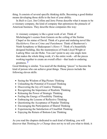thing. It consists of several specific thinking skills. Becoming a good thinker means developing those skills to the best of your ability.

In *Built to Last,* Jim Collins and Jerry Porras describe what it means to be a visionary company, the kind of company that epitomizes the pinnacle of American business. They describe those companies this way:

A visionary company is like a great work of art. Think of Michelangelo's scenes from Genesis on the ceiling of the Sistine Chapel or his statue of David. Think of a great and enduring novel like *Huckleberry Finn* or *Crime and Punishment.* Think of Beethoven's Ninth Symphony or Shakespeare's *Henry V.* Think of a beautifully designed building, like the masterpieces of Frank Lloyd Wright or Ludwig Mies van der Rohe. You can't point to any one single item that makes the whole thing work; it's the entire work—all the pieces working together to create an overall effect—that leads to enduring greatness.<sup>[9](#page-233-8)</sup>

Good thinking is similar. You need all the thinking "pieces" to become the kind of person who can achieve great things. Those pieces include the following eleven skills:

- Seeing the Wisdom of Big-Picture Thinking
- Unleashing the Potential of Focused Thinking
- Discovering the Joy of Creative Thinking
- Recognizing the Importance of Realistic Thinking
- Releasing the Power of Strategic Thinking
- Feeling the Energy of Possibility Thinking
- Embracing the Lessons of Reflective Thinking
- Questioning the Acceptance of Popular Thinking
- Encouraging the Participation of Shared Thinking
- Experiencing the Satisfaction of Unselfish Thinking
- Enjoying the Return of Bottom-Line Thinking

As you read the chapters dedicated to each kind of thinking, you will discover that *Thinking for a Change* does not try to tell you what to think; it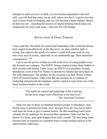attempts to teach you *how* to think. As you become acquainted with each skill, you will find that some you do well, others you don't. Learn to develop each of those kinds of thinking, and you will become a better thinker. Master all that you can—including the process of shared thinking which helps you compensate for your weak areas—and your life will change.

## ADVICE FROM A GOOD THINKER

I once read that "the battle for control and leadership of the world has always been waged most effectively at the idea level. An idea, whether right or wrong, that captures the minds of a nation's youth will soon work its way into every area of society, especially in our multimedia age. Ideas determine consequences."  $\frac{10}{10}$  $\frac{10}{10}$  $\frac{10}{10}$ 

I get to see the power of ideas at work in the lives of young people every day because my company, The INJOY Group, employs many sharp leaders in their twenties and thirties. Gabe Lyons, an INJOY vice president, recently attended an event at the Fox Theater in downtown Atlanta and came back on fire with enthusiasm. The speaker for the occasion was Jack Welch, former CEO of General Electric. Gabe went that day because he is a student of leadership and personal development, and he wanted to learn from one of the finest business leaders in the world.

> "The battle for control and leadership of the world has always been waged most effectively at the idea level." —The American Covenant

Gabe was one of about six hundred business people in attendance. Jack Welch came to promote his book, *Jack: Straight from the Gut,* but he didn't read from the book or give a canned lecture. He did something much more valuable for his audience: he answered their questions. Gabe said that for almost two hours, pure gold dripped from Jack's mouth. The best thing Gabe learned came in response to a question from a young business person in his mid-twenties. Gabe says,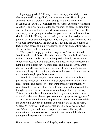A young guy asked, "When you were my age, what did you do to elevate yourself among all of your other associates? How did you stand out from the crowd of other young, ambitious and driven colleagues of your day?" Jack responded, "Great question, young man. And this is an important point for every person to hear. The first thing you must understand is the importance of getting out of 'the pile.' The only way you are going to stand out to your boss is to understand this simple principle: When your boss asks you a question, assigns a basic project, or sends you out to gather some data, you must understand that your boss already knows the answer he is looking for. As a matter of fact, in most cases, he simply wants you to go out and confirm what he already believes is true in his gut.

"Most people simply go out and do just that," Jack continued, "confirm what their boss believed to be true. But here is the difference maker. You must understand that the question is only the beginning. When your boss asks you a question, that question should become the jumping off point for several more ideas and thoughts. If you want to elevate yourself, you must sink your thoughts and time into not only answering the question, but going above and beyond it to add value to the train of thought your boss was on.

"Practically speaking, that means coming back to the table and presenting to your boss not only an answer, but three or more other ideas, options and perspectives that were probably not previously considered by your boss. The goal is to add value to the idea and the thought by exceeding expectations when the question is given to you. This is true not only with questions, but assignments, initiatives and everything else ever given to you to run with by upper management."

Jack drove the point home emphatically. "So if you understand that the question is only the beginning, you will get out of the pile fast, *because 99.9 percent of all employees are in the pile because they don't think.* If you understand this principle, you will always be given more critical questions to answer. And in time, you will be the one giving out the questions to others!"

If you desire to climb up out of the pile, to rise beyond your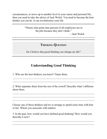circumstances, to move up to another level in your career and personal life, then you need to take the advice of Jack Welch. You need to become the best thinker you can be. It can revolutionize your life.

> "Ninety-nine point nine percent of all employees are in the pile because they don't think."

> > —Jack Welch

# **THINKING QUESTION**

*Do I believe that good thinking can change my life?*

# **Understanding Good Thinking**

1. Who are the best thinkers you know? Name them.

2. What separates them from the rest of the crowd? Describe what's different about them.

 $\mathcal{L}_\mathcal{L} = \{ \mathcal{L}_\mathcal{L} = \{ \mathcal{L}_\mathcal{L} = \{ \mathcal{L}_\mathcal{L} = \{ \mathcal{L}_\mathcal{L} = \{ \mathcal{L}_\mathcal{L} = \{ \mathcal{L}_\mathcal{L} = \{ \mathcal{L}_\mathcal{L} = \{ \mathcal{L}_\mathcal{L} = \{ \mathcal{L}_\mathcal{L} = \{ \mathcal{L}_\mathcal{L} = \{ \mathcal{L}_\mathcal{L} = \{ \mathcal{L}_\mathcal{L} = \{ \mathcal{L}_\mathcal{L} = \{ \mathcal{L}_\mathcal{$  $\mathcal{L}_\mathcal{L} = \{ \mathcal{L}_\mathcal{L} = \{ \mathcal{L}_\mathcal{L} = \{ \mathcal{L}_\mathcal{L} = \{ \mathcal{L}_\mathcal{L} = \{ \mathcal{L}_\mathcal{L} = \{ \mathcal{L}_\mathcal{L} = \{ \mathcal{L}_\mathcal{L} = \{ \mathcal{L}_\mathcal{L} = \{ \mathcal{L}_\mathcal{L} = \{ \mathcal{L}_\mathcal{L} = \{ \mathcal{L}_\mathcal{L} = \{ \mathcal{L}_\mathcal{L} = \{ \mathcal{L}_\mathcal{L} = \{ \mathcal{L}_\mathcal{$ 

 $\mathcal{L}_\mathcal{L} = \{ \mathcal{L}_\mathcal{L} = \{ \mathcal{L}_\mathcal{L} = \{ \mathcal{L}_\mathcal{L} = \{ \mathcal{L}_\mathcal{L} = \{ \mathcal{L}_\mathcal{L} = \{ \mathcal{L}_\mathcal{L} = \{ \mathcal{L}_\mathcal{L} = \{ \mathcal{L}_\mathcal{L} = \{ \mathcal{L}_\mathcal{L} = \{ \mathcal{L}_\mathcal{L} = \{ \mathcal{L}_\mathcal{L} = \{ \mathcal{L}_\mathcal{L} = \{ \mathcal{L}_\mathcal{L} = \{ \mathcal{L}_\mathcal{$  $\mathcal{L}_\mathcal{L} = \{ \mathcal{L}_\mathcal{L} = \{ \mathcal{L}_\mathcal{L} = \{ \mathcal{L}_\mathcal{L} = \{ \mathcal{L}_\mathcal{L} = \{ \mathcal{L}_\mathcal{L} = \{ \mathcal{L}_\mathcal{L} = \{ \mathcal{L}_\mathcal{L} = \{ \mathcal{L}_\mathcal{L} = \{ \mathcal{L}_\mathcal{L} = \{ \mathcal{L}_\mathcal{L} = \{ \mathcal{L}_\mathcal{L} = \{ \mathcal{L}_\mathcal{L} = \{ \mathcal{L}_\mathcal{L} = \{ \mathcal{L}_\mathcal{$  $\mathcal{L}_\mathcal{L} = \{ \mathcal{L}_\mathcal{L} = \{ \mathcal{L}_\mathcal{L} = \{ \mathcal{L}_\mathcal{L} = \{ \mathcal{L}_\mathcal{L} = \{ \mathcal{L}_\mathcal{L} = \{ \mathcal{L}_\mathcal{L} = \{ \mathcal{L}_\mathcal{L} = \{ \mathcal{L}_\mathcal{L} = \{ \mathcal{L}_\mathcal{L} = \{ \mathcal{L}_\mathcal{L} = \{ \mathcal{L}_\mathcal{L} = \{ \mathcal{L}_\mathcal{L} = \{ \mathcal{L}_\mathcal{L} = \{ \mathcal{L}_\mathcal{$ 

 $\mathcal{L}_\mathcal{L} = \{ \mathcal{L}_\mathcal{L} = \{ \mathcal{L}_\mathcal{L} = \{ \mathcal{L}_\mathcal{L} = \{ \mathcal{L}_\mathcal{L} = \{ \mathcal{L}_\mathcal{L} = \{ \mathcal{L}_\mathcal{L} = \{ \mathcal{L}_\mathcal{L} = \{ \mathcal{L}_\mathcal{L} = \{ \mathcal{L}_\mathcal{L} = \{ \mathcal{L}_\mathcal{L} = \{ \mathcal{L}_\mathcal{L} = \{ \mathcal{L}_\mathcal{L} = \{ \mathcal{L}_\mathcal{L} = \{ \mathcal{L}_\mathcal{$  $\mathcal{L}_\mathcal{L} = \{ \mathcal{L}_\mathcal{L} = \{ \mathcal{L}_\mathcal{L} = \{ \mathcal{L}_\mathcal{L} = \{ \mathcal{L}_\mathcal{L} = \{ \mathcal{L}_\mathcal{L} = \{ \mathcal{L}_\mathcal{L} = \{ \mathcal{L}_\mathcal{L} = \{ \mathcal{L}_\mathcal{L} = \{ \mathcal{L}_\mathcal{L} = \{ \mathcal{L}_\mathcal{L} = \{ \mathcal{L}_\mathcal{L} = \{ \mathcal{L}_\mathcal{L} = \{ \mathcal{L}_\mathcal{L} = \{ \mathcal{L}_\mathcal{$ 

Choose one of those thinkers and try to arrange to spend some time with him or her. Whom you associate with matters.

3. In the past, how would you have defined good thinking? How would you describe it now?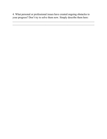4. What personal or professional issues have created ongoing obstacles to your progress? Don't try to solve them now. Simply describe them here:

 $\mathcal{L}_\mathcal{L} = \{ \mathcal{L}_\mathcal{L} = \{ \mathcal{L}_\mathcal{L} = \{ \mathcal{L}_\mathcal{L} = \{ \mathcal{L}_\mathcal{L} = \{ \mathcal{L}_\mathcal{L} = \{ \mathcal{L}_\mathcal{L} = \{ \mathcal{L}_\mathcal{L} = \{ \mathcal{L}_\mathcal{L} = \{ \mathcal{L}_\mathcal{L} = \{ \mathcal{L}_\mathcal{L} = \{ \mathcal{L}_\mathcal{L} = \{ \mathcal{L}_\mathcal{L} = \{ \mathcal{L}_\mathcal{L} = \{ \mathcal{L}_\mathcal{$  $\mathcal{L}_\mathcal{L} = \{ \mathcal{L}_\mathcal{L} = \{ \mathcal{L}_\mathcal{L} = \{ \mathcal{L}_\mathcal{L} = \{ \mathcal{L}_\mathcal{L} = \{ \mathcal{L}_\mathcal{L} = \{ \mathcal{L}_\mathcal{L} = \{ \mathcal{L}_\mathcal{L} = \{ \mathcal{L}_\mathcal{L} = \{ \mathcal{L}_\mathcal{L} = \{ \mathcal{L}_\mathcal{L} = \{ \mathcal{L}_\mathcal{L} = \{ \mathcal{L}_\mathcal{L} = \{ \mathcal{L}_\mathcal{L} = \{ \mathcal{L}_\mathcal{$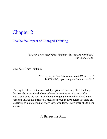# <span id="page-27-0"></span>[Chapter](#page-2-6) 2

Realize the Impact of Changed [Thinking](#page-2-6)

*"You can't stop people from thinking—but you can start them."* —FRANK A. DUSCH

What Were They Thinking?

*"We're going to turn this team around 360 degrees."* —JASON KIDD, upon being drafted into the NBA

It's easy to believe that unsuccessful people need to change their thinking. But how about people who have achieved some degree of success? Can individuals go to the next level without changing the way they think? Karen Ford can answer that question. I met Karen back in 1998 before speaking on leadership to a large group of Mary Kay consultants. That's when she told me her story.

A BEND IN THE ROAD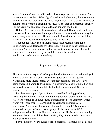Karen Ford didn't set out in life to be a businessperson or entrepreneur. She started out as a teacher. "When I graduated from high school, there were very limited choices for women at the time," says Karen. "It was either teaching or nursing, and I went to a teaching college, so I became an elementary teacher." For ten years she taught second grade, and she was good at it.

But in 1987, her circumstances radically changed. Her second child was born with a heart condition that required him to receive medication every four hours, every day, for a year. Since a parent had to administer the medicine, Karen left her job and stayed home to care for her son.

That put her family in a financial bind, so she began looking for a solution. Soon she decided to try Mary Kay. It appealed to her because she could earn \$50 a week to make up for her lost teaching income. She made plans to sell cosmetics for a year, and then when her son had recovered, she would return to her career in teaching.

#### SURPRISED BY SUCCESS

That's what Karen expected to happen, but she found that she really enjoyed working with Mary Kay, and that she was good at it—*really* good at it. "I was making more income than I ever thought possible," she says. "I was being awarded diamonds, trips, cars." A new life was opening up to her, and she was discovering gifts and talents that had gone untapped. She never returned to the classroom.

For the next couple of years, Karen worked hard selling products, recruiting like-minded women, and building her own organization. At Mary Kay, each woman is an independent businessperson. The company, which works with more than 750,000 beauty consultants, operates by this philosophy: "In business for yourself but not by yourself." Karen's success soon made her part of an exclusive group: she became one of 8,200 independent sales directors. But she wanted more. She believed she could go to the next level—the highest level in Mary Kay. She wanted to become a national sales director.

For the next five years, Karen worked tirelessly to achieve her goal. She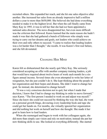recruited others. She expanded her reach, and she hit one sales objective after another. She increased her sales from an already impressive half a million dollars a year to more than \$650,000. She believed she had done everything needed to make it to the highest level. But when the call finally came from Mary Kay in 1995, it was to tell her that she had *not* been appointed a national sales director. The news disappointed her, but even more difficult was the criticism that followed. Karen learned that the main reason she hadn't made it was that she had gathered a bunch of followers who simply were trying to carry out her dreams and goals, not leaders who could achieve on their own and rally others to succeed. "I came to realize that leading leaders was a lot harder than I thought," she recalls. It was Karen's first real failure, and she felt devastated.

## CHANGING HER MIND

Karen felt so disheartened that she nearly quit Mary Kay. She seriously considered accepting an offer with another company training leaders, a job that would have required about twelve hours of work each month for a sixfigure annual income. Several times she even attempted to write her letter of resignation, but she just couldn't do it. She kept thinking about the people in her organization and their hopes and dreams. She didn't want to change her goal. So instead, she determined to change herself.

"It was a very conscious decision not to quit, but when I made that decision, I knew that I had to change my thinking in order to move forward," says Karen. "The first person I needed to work on and adjust was myself." Since she knew she could not succeed by thinking the way she had, she went on a personal growth binge, devouring every leadership book and tape she could get her hands on. For months, she virtually ignored her organization and did nothing but work on herself and how she thought. She made it her goal to learn how to lead leaders.

When she reemerged and began to work with her colleagues again, she did more than simply cast vision and rely on motivation; instead she put her new thinking skills to use. She looked at everything differently. She started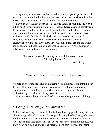creating strategies and systems that would help her people to grow just as she had. And she determined to become the best businessperson she could at her *current* level. Ironically, that is what took her to the next level.

Novelist Leo Tolstoy observed, "Everyone thinks of changing the world, but no one thinks of changing himself." Because Karen changed herself from the inside out, she began attracting different kinds of individuals—people who could think and lead as she did. And she took them to new levels of achievement. On October 1, 1998, she received another phone call from Mary Kay headquarters. This time she was informed that she had accomplished what only 170 other Mary Kay consultants around the world had done. She had been named a national sales director. And it happened only because she had changed her thinking.

> "Everyone thinks of changing the world, but no one thinks of changing himself."

> > —Leo Tolstoy

WHY YOU SHOULD CHANGE YOUR THINKING

It's hard to overstate the value of changing your thinking. Good thinking can do many things for you: generate revenue, solve problems, and create opportunities. It can take you to a whole new level—personally and professionally. It really can change your life.

Consider some things you need to know about changing your thinking:

## *1. Changed Thinking Is Not Automatic*

As I started working on this book, I talked to a few key people in my life who I know are good thinkers. One of those people is my brother Larry, who gave me this quote: "Neither Laurel nor Hardy had any bad thoughts. Matter of fact, they had no thoughts at all!" If you've seen any of their old movies, you know what he's talking about. Their lack of good thinking was the major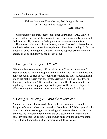source of their comic predicaments.

"Neither Laurel nor Hardy had any bad thoughts. Matter of fact, they had no thoughts at all." —Larry Maxwell

Unfortunately, too many people take after Laurel and Hardy. Sadly, a change in thinking doesn't happen on its own. Good ideas rarely go out and find someone. If you want to find a good idea, you must search for it.

If you want to become a better thinker, you need to work at it—and once you begin to become a better thinker, the good ideas keep coming. In fact, the amount of good thinking you can do at any time depends primarily on the amount of good thinking you are already doing.

# *2. Changed Thinking Is Dif icult*

When you hear someone say, "Now this is just off the top of my head," expect dandruff. The only people who believe thinking is easy are those who don't habitually engage in it. Nobel Prize-winning physicist Albert Einstein, one of the best thinkers who ever lived, asserted, "Thinking is hard work; that's why so few do it." Because thinking is so difficult, you want to use anything you can to help you improve the process. (In the next chapter, I offer a strategy for becoming more intentional about your thinking.)

# *3. Changed Thinking Is Worth the Investment*

Author Napoleon Hill observed, "More gold has been mined from the thoughts of man than has ever been taken from the earth." When you take the time to learn how to change your thinking and become a better thinker, you are investing in yourself. Gold mines tap out. Stock markets crash. Real estate investments can go sour. But a human mind with the ability to think well is like a diamond mine that never runs out. It's priceless.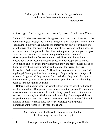# *4. Changed Thinking Is the Best Gift You Can Give Others*

Author H. L. Mencken asserted, "My guess is that well over 80 percent of the human race goes through life without a single original thought." When Karen Ford changed the way she thought, she improved not only her own life, but also the lives of all the people in her organization. Learning to think better is a great investment in yourself—but it's also the greatest present you can give someone else, because it represents the gift of unlimited potential. Most people who don't feel content with their lives don't know the reason why. Often they suspect that circumstances or other people are to blame. Even honest and self-aware individuals who know the problem lies inside of them still may have trouble getting to the root of the issue. They ask themselves, "Why am I this way?" They desire to change, but they don't do anything differently so that they *can* change. They merely hope things will turn out all right—and they become frustrated when they don't. Recognize that only when you make the right changes to your thinking do other things begin to turn out right in your life.

Before I outline how changing your thinking changes your life, I need to mention something. One person cannot change another person. For too many years as a motivational teacher, I tried to change people, and it didn't work. I had good intentions, but I finally realized something: I was responsible *to* people but not *for* them. As a leader, I needed to teach the value of changed thinking and how to make those necessary changes; but the people themselves were responsible to make the changes.

> Only when you make the right changes to your thinking do other things begin to turn out right.

In the next few pages, you will see how you can change yourself when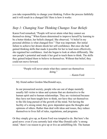you take responsibility to change your thinking. Follow the process faithfully and it will result in a changed life! Here is how it works:

# *Step 1: Changing Your Thinking Changes Your Beliefs*

Karen Ford remarked, "People will never attain what they cannot see themselves doing." When Karen determined to improve herself by learning to be a better thinker, her beliefs changed. She observed, "A belief in my personal abilities is what changed first." That was important. Her initial failure to achieve her dream shook her self-confidence. But once she had gained thinking skills that made it possible for her to lead more effectively, she regained her confidence. And she began to look at others differently. She saw people's potential and made it her goal to teach them to think. The skills they gained helped them to believe in themselves. Without that belief, they could not move forward.

> "People will never attain what they cannot see themselves doing."

—Karen Ford

My friend author Gordon MacDonald says,

In our pressurized society, people who are out of shape mentally usually fall victim to ideas and systems that are destructive to the human spirit and to human relationships. They are victimized because they have not been taught how to think, nor have they set themselves to the life-long pursuit of the growth of the mind. Not having the facility of a strong mind, they grow dependent upon the thoughts and opinions of others. Rather than deal with ideas and issues, they reduce themselves to lives full of rules, regulations, and programs.

Or they simply give up, as Karen Ford was tempted to do. But here's the good news: even if you currently lack what Mac-Donald calls "a strong mind," there's no reason to give up or live an unfulfilling life. The human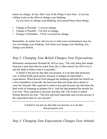mind *can* change. In fact, that's one of the things it does best—if you are willing to put in the effort to change your thinking.

As you strive to change your thinking, tell yourself these three things:

- Change is Personal I *need* to change.
- Change is Possible I'm *able* to change.
- Change is Profitable I'll be *rewarded* by change.

Remember, no matter how old you are or what your circumstances may be, you can change your thinking. And when you change your thinking, you change your beliefs.

# *Step 2: Changing Your Beliefs Changes Your Expectations*

Billionaire entrepreneur Richard M. DeVos says, "The only thing that stands between a man and what he wants from life is often merely the will to try it and the faith to believe that it is possible."

A belief is not just an idea that you possess; it is an idea that possesses you. A belief holds great power, because it changes an individual's expectations. When Karen Ford changed her thinking and built her beliefs on a new foundation of growth, she had more than just hope and a dream to carry her forward. She expected to achieve her goal because she had done the hard work of changing to prepare for it. And she had prepared her people for it as well. They expected to succeed, and they did. The words of author Nelson Boswell are true: "The first and most important step toward success is the expectation that we can succeed."

> A belief is not just an idea that you possess; it is an idea that possesses you.

*Step 3: Changing Your Expectations Changes Your Attitude*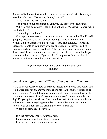A man walked into a fortune teller's tent at a carnival and paid his money to have his palm read. "I see many things," she said.

"Like what?" the man asked.

"You will be poor and unhappy until you are forty-five," she stated.

"Oh," he said dejectedly. Then he had a thought. "What will happen when I'm forty-five?"

"You will get used to it."

Our expectations have a tremendous impact on our attitudes. Ben Franklin quipped, "Blessed is he who expects nothing, for he shall receive it." Negative expectations are a quick route to dead-end thinking. How many successful people do you know who are apathetic or negative? Positive expectations bring a positive attitude. They produce excitement, conviction, desire, confidence, commitment, and energy—all characteristics that help a person to achieve success. If you would like to possess these qualities in greater abundance, then raise your expectations.

> Negative expectations are a quick route to dead-end thinking.

# *Step 4: Changing Your Attitude Changes Your Behavior*

Have you ever observed how your mood affects the way you act? When you feel particularly happy, are you more energized? Are you more likely to be kind to others? Do you take on tasks more readily and complete them with confidence and competence? How about when you're having a really bad day? Do you get less work done? Are you less patient with your family and colleagues? Does everything seem like a chore? Clergyman Earl Riney stated, "Our emotions are the driving powers of our lives."

What is an attitude? I believe ...

It is the "advance man" of our true selves. Its roots are inward but its fruit is outward. It is our best friend or our worst enemy.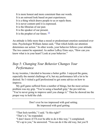It is more honest and more consistent than our words. It is an outward look based on past experiences. It is a thing which draws people to us or repels them. It is never content until it is expressed. It is the librarian of our past. It is the speaker of our present. It is the prophet of our future.  $\frac{11}{1}$  $\frac{11}{1}$  $\frac{11}{1}$ 

An attitude is little more than a mood or predominant emotion sustained over time. Psychologist William James said, "That which holds our attention determines our action." In other words, your behavior follows your attitude. The two cannot be separated. As author LeRoy Eims says, "How can you know what is in your heart? Look at your behavior."

# *Step 5: Changing Your Behavior Changes Your Performance*

In my twenties, I decided to become a better golfer. I enjoyed the game, especially the mental challenge of it, but my performance left a lot to be desired. So I visited a golf professional to get some advice on how to improve.

My golf game suffered from a number of things, but the most serious problem was my grip. "You're using a baseball grip," the pro told me. "You're never going to improve until you change it." Then he showed me the proper way to hold the club.

> Don't ever be too impressed with goal setting. Be impressed with goal getting.

<sup>&</sup>quot;That feels terrible," I said. "Is this right?"

<sup>&</sup>quot;That's it," he responded.

<sup>&</sup>quot;I don't know if I'll ever be able to do it this way," I complained. "It's up to you," he answered. "You can do it the old way, but you'll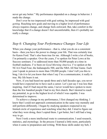never get any better." My performance depended on a change in behavior. I made the change.

Don't ever be too impressed with goal setting; be impressed with goal *getting.* Reaching new goals and moving to a higher level of performance always requires change, and change feels awkward. But, take comfort in the knowledge that if a change doesn't feel uncomfortable, then it's probably not really a change.

### *Step 6: Changing Your Performance Changes Your Life*

When you change your performance—that is, what you do on a consistent basis—then you have the power to change your life. That was certainly true for Karen Ford. That's also been true for me. Although I write a lot of books, I'm primarily a speaker. Over the years, I've spoken for Peter Lowe at his Success seminars. I've addressed more than 50,000 people at a time in football stadiums. I've been on *Good Morning America.* I've spoken at the NCAA Final Four, the Indianapolis 500, and the NBA All Star Game. Each year I speak in person to more than 350,000 people. I don't tell you this to brag. I do it to let you know that when I say I'm a communicator, it really is true. My life bears it out.

Now, if you had heard me speak three and a half decades ago, you never would have expected me to have such a career. Let's just say I was less than inspiring. And if I had stayed the same, I never would have spoken to more than the few hundred people I had in my first church. But I desired to reach my potential, to go to the highest level of which I was capable. I was determined to improve.

To achieve a change in my performance, I first changed my thinking. I knew that I could not approach communication in the same way mentally and still perform differently. I began by studying speakers respected in my limited circle of experience and watching what they did. I tried to figure out what they were doing, then I copied them. I got better, but I still had a long way to go.

Next I took a more intellectual route to communication. I used research, statistics, and etymology. In the process I learned a little more, particularly when it came to preparation and writing. With those skills under my belt, I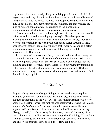began to explore more broadly. I began studying people on a level of skill beyond anyone in my circle. I saw how they connected with an audience and I began trying to do the same. I realized that people learned better with some kind of hook. I saw how people responded to humor, and incorporated the kind of humor I could master. I kept adding to the mental side of communication, which ultimately improved my performance.

This may sound odd, but it took me eight years to learn how to be myself before an audience and to develop my own style. The whole process challenged me tremendously. And at times it felt terribly lonely. I felt as if I were the only person in the world who ever had to suffer through all these changes, even though intellectually I knew that I wasn't. Becoming a better communicator required a whole new way of thinking, and it felt uncomfortable. But I did it.

In the twenty-five years since then, I've continued to work at honing my skills and improving. I'm still a student of communication and I still try to learn from people better than I am. My basic style hasn't changed, but my thinking continues to evolve. I know that if I keep improving my thinking, it will impact my beliefs, which change my expectations, which affect my attitude, which changes my behavior, which improves my performance. And that will change my life.

### THE NEXT LEVEL

Progress always requires change. Going to a new level always requires changing your mind. You may know that intuitively, but you need to make that idea foundational to the way you "do" life. Martin Grunder tells a story about Mark Victor Hansen, the motivational speaker who created the *Chicken Soup for the Soul* empire. Years ago, before his great success, Hansen approached Tony Robbins at an event where both of them were speaking. "Tony," he said, "I've been doing this for a long time and I'm doing okay. I'm making about a million dollars a year doing what I'm doing. I know for a fact that you made \$156 million last year with your speaking and teaching and all of your products. How do you do it? How can I do it?"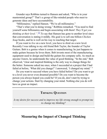Grunder says Robbins turned to Hansen and asked, "Who is in your mastermind group?" That's a group of like-minded people who meet to generate ideas and have accountability.

"Millionaires," replied Hansen. "We're all millionaires."

"That's what you're doing wrong," Robbins remarked. "You need to find yourself some billionaires and begin associating with them! *They'll get you thinking at their level.* " $\frac{12}{1}$  $\frac{12}{1}$  $\frac{12}{1}$  To say that Hansen has gone to another level since that conversation is stating it mildly. His goal is to sell one billion *Chicken Soup* books, and he is well on his way to reaching that target.

If you want to *live* on a new level, you have to *think* on a new level. Recently I was talking to my old friend Bob Taylor, the founder of Taylor Guitars. Bob is a genius when it comes to manufacturing; he just happens to make guitars because he loves them. Bob invents most of the manufacturing equipment used to design and build the guitars his company sells. As much as anyone I know, he understands the value of good thinking. "In the end," Bob observed, "clear and inspired thinking is the only way to change things for the better. Someone asked me once, when I succeeded at a project that I had failed at before, 'What did you change?' I answered, 'I changed my mind.' "

Do you want to succeed where you have failed before? Do you want to go to a level you never even dreamed possible? Do you want to become the person you always hoped you could be? If you do, don't start by trying to change your actions. Start by changing your mind. Nothing else you do will have as great an impact.

### **THINKING QUESTION**

*Is my desire for success and to improve my life strong enough to prompt me to change my thinking?*

### **Measuring the Impact of Changed Thinking**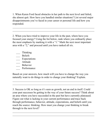1. When Karen Ford faced obstacles in her path to the next level and failed, she almost quit. How have you handled similar situations? List several major disappointments you've faced in your career or personal life and how you responded.

 $\mathcal{L}_\mathcal{L} = \{ \mathcal{L}_\mathcal{L} = \{ \mathcal{L}_\mathcal{L} = \{ \mathcal{L}_\mathcal{L} = \{ \mathcal{L}_\mathcal{L} = \{ \mathcal{L}_\mathcal{L} = \{ \mathcal{L}_\mathcal{L} = \{ \mathcal{L}_\mathcal{L} = \{ \mathcal{L}_\mathcal{L} = \{ \mathcal{L}_\mathcal{L} = \{ \mathcal{L}_\mathcal{L} = \{ \mathcal{L}_\mathcal{L} = \{ \mathcal{L}_\mathcal{L} = \{ \mathcal{L}_\mathcal{L} = \{ \mathcal{L}_\mathcal{$  $\mathcal{L}_\mathcal{L} = \{ \mathcal{L}_\mathcal{L} = \{ \mathcal{L}_\mathcal{L} = \{ \mathcal{L}_\mathcal{L} = \{ \mathcal{L}_\mathcal{L} = \{ \mathcal{L}_\mathcal{L} = \{ \mathcal{L}_\mathcal{L} = \{ \mathcal{L}_\mathcal{L} = \{ \mathcal{L}_\mathcal{L} = \{ \mathcal{L}_\mathcal{L} = \{ \mathcal{L}_\mathcal{L} = \{ \mathcal{L}_\mathcal{L} = \{ \mathcal{L}_\mathcal{L} = \{ \mathcal{L}_\mathcal{L} = \{ \mathcal{L}_\mathcal{$ 

 $\mathcal{L}_\mathcal{L} = \{ \mathcal{L}_\mathcal{L} = \{ \mathcal{L}_\mathcal{L} = \{ \mathcal{L}_\mathcal{L} = \{ \mathcal{L}_\mathcal{L} = \{ \mathcal{L}_\mathcal{L} = \{ \mathcal{L}_\mathcal{L} = \{ \mathcal{L}_\mathcal{L} = \{ \mathcal{L}_\mathcal{L} = \{ \mathcal{L}_\mathcal{L} = \{ \mathcal{L}_\mathcal{L} = \{ \mathcal{L}_\mathcal{L} = \{ \mathcal{L}_\mathcal{L} = \{ \mathcal{L}_\mathcal{L} = \{ \mathcal{L}_\mathcal{$  $\mathcal{L}_\mathcal{L} = \{ \mathcal{L}_\mathcal{L} = \{ \mathcal{L}_\mathcal{L} = \{ \mathcal{L}_\mathcal{L} = \{ \mathcal{L}_\mathcal{L} = \{ \mathcal{L}_\mathcal{L} = \{ \mathcal{L}_\mathcal{L} = \{ \mathcal{L}_\mathcal{L} = \{ \mathcal{L}_\mathcal{L} = \{ \mathcal{L}_\mathcal{L} = \{ \mathcal{L}_\mathcal{L} = \{ \mathcal{L}_\mathcal{L} = \{ \mathcal{L}_\mathcal{L} = \{ \mathcal{L}_\mathcal{L} = \{ \mathcal{L}_\mathcal{$ 

 $\mathcal{L}_\mathcal{L} = \{ \mathcal{L}_\mathcal{L} = \{ \mathcal{L}_\mathcal{L} = \{ \mathcal{L}_\mathcal{L} = \{ \mathcal{L}_\mathcal{L} = \{ \mathcal{L}_\mathcal{L} = \{ \mathcal{L}_\mathcal{L} = \{ \mathcal{L}_\mathcal{L} = \{ \mathcal{L}_\mathcal{L} = \{ \mathcal{L}_\mathcal{L} = \{ \mathcal{L}_\mathcal{L} = \{ \mathcal{L}_\mathcal{L} = \{ \mathcal{L}_\mathcal{L} = \{ \mathcal{L}_\mathcal{L} = \{ \mathcal{L}_\mathcal{$  $\mathcal{L}_\mathcal{L} = \{ \mathcal{L}_\mathcal{L} = \{ \mathcal{L}_\mathcal{L} = \{ \mathcal{L}_\mathcal{L} = \{ \mathcal{L}_\mathcal{L} = \{ \mathcal{L}_\mathcal{L} = \{ \mathcal{L}_\mathcal{L} = \{ \mathcal{L}_\mathcal{L} = \{ \mathcal{L}_\mathcal{L} = \{ \mathcal{L}_\mathcal{L} = \{ \mathcal{L}_\mathcal{L} = \{ \mathcal{L}_\mathcal{L} = \{ \mathcal{L}_\mathcal{L} = \{ \mathcal{L}_\mathcal{L} = \{ \mathcal{L}_\mathcal{$ 

2. When you have tried to improve your life in the past, where have you focused your energy? Using the list below, rank where you ordinarily place the most emphasis by marking it with a "1." Mark the next most important area with a "2," and proceed until you have ranked all six.

- \_\_\_ Thinking
- \_\_\_ Beliefs
- \_\_\_ Expectations
- \_\_\_ Attitude
- \_\_\_ Behavior
- \_\_\_ Performance

Based on your answers, how much will you have to change the way you naturally want to do things in order to change your thinking? Explain.

3. Success is OK so long as it's seen as growth, not an end in itself. Could your past successes be getting in the way of your future success? Think about an area where you have succeeded in the past but have currently plateaued. Figure out what is lacking in your current performance and trace back through performance, behavior, attitude, expectations, and beliefs until you reach the source: thinking. How must you change your thinking to break through to the next level?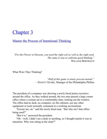# [Chapter](#page-2-0) 3

### Master the Process of [Intentional](#page-2-0) Thinking

*"For the Flower to blossom, you need the right soil as well as the right seed. The same is true to cultivate good thinking."* WILLIAM BERNBACH

What Were They Thinking?

*"Half of this game is ninety percent mental."* —DANNY OZARK, Manager of the Philadelphia Phillies

The president of a company was showing a newly hired junior executive around the office. As they walked around, the two men passed a large corner office where a woman sat in a comfortable chair, looking out the window. The office had no desk, no computer, no file cabinets, nor any other equipment or tools normally contained in a working environment.

"Excuse me, sir," said the newly hired man. "But why isn't that office being used?"

"But it is," answered the president.

"Oh—well, I didn't see a desk or anything, so I thought maybe it was in transition. Who was sitting in the chair?"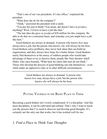"That's one of our vice presidents. It's her office," explained the president.

"What does she do for the company?"

"Think," answered the president with a smile.

"You pay her just to think? You mean, she doesn't have to *produce* anything? Wow, I'd love to have a job like that."

"The last idea she gave *us produced* \$20 million for this company. Be able to do that on a consistent basis, and someday you just might have a job like hers."

Good thinkers are always in demand. A person who knows *how* may always have a job, but the person who knows *why* will always be his boss. Good thinkers solve problems, they never lack ideas that can build an organization, and they always have hope for a better future. Good thinkers rarely find themselves at the mercy of ruthless people who would take advantage of them or try to deceive them, people like Nazi dictator Adolf Hitler, who once boasted, "What luck for rulers that men do not think." Those who develop the process of good thinking can rule themselves—even while under an oppressive ruler or in other difficult circumstances.

> Good thinkers are always in demand. A person who knows *how* may always have a job, but the person who knows *why* will always be his boss.

# PUTTING YOURSELF IN THE RIGHT PLACE TO THINK

Becoming a good thinker isn't overly complicated. It's a discipline. And like most disciplines, it can be cultivated and refined. That's why I want to teach you the process that I've used to discover and develop good thoughts. It's certainly not the only one that works, but it has worked well for me.

# *1. Find a Place to Think Your Thoughts*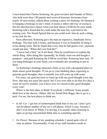I once heard that Charles Kettering, the great inventor and founder of Delco, who held more than 140 patents and received honorary doctorates from nearly 30 universities, talked about creating a place for thinking. He likened it to hanging a birdcage in one's mind. It seems a rather odd way of saying it, but the idea becomes clearer when you hear about a \$100 bet he once made. Kettering told a friend that he could make the man buy a pet bird in the coming year. The friend figured that no one could *make* him do such a thing, so he took the bet.

Soon afterward, Kettering gave the man an expensive, handmade Swiss birdcage. The man took it home, and because it was so beautiful, he hung it in his dining room. But he found that every time he had guests over, someone would ask him, "When did your bird die?"

"I never had a bird," he'd tell them. Then he would have to explain the whole thing. After doing this repeatedly, he finally went out and bought a parakeet—and paid Kettering the \$100 he owed him. Kettering later said, "If you hang birdcages in your mind, you eventually get something to put in them."

As Kettering's birdcage attracted a bird, so too will a designated place to think attract good thoughts. If you go to your thinking place expecting to generate good thoughts, then eventually you will come up with some.

For years, my goal has been to come up with one good thought every day. Now, that may not seem like much, but if you were able to do that five days a week for twelve months, you'd have over *two hundred fifty* good thoughts every year!

Where is the best place to think? Everybody's different. Some people think best in the shower. Others, like my friend Dick Biggs, like to go to a park. For me, the best places to think are:

- *In My Car:* I get lots of uninterrupted think time in my car. I don't give out the phone number of my car's cell phone, which is easy, because I don't even know it! While I'm driving, I'm usually either listening to tapes or giving concentrated think time to something specific.
- *On Planes:* Because of my speaking schedule, I spend quite a bit of time on planes. Occasionally, if one of my staff members needs to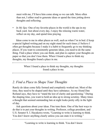meet with me, I'll have him come along so we can talk. More often than not, I either read to generate ideas or spend the time jotting down thoughts and reflecting.

• *In My Spa:* One of my favorite places in the world is the spa in my back yard. Just about every day, I enjoy the relaxing warm water, reflect on my day, and spend time praying.

Ideas come to me in other places as well, such as when I'm in bed. (I keep a special lighted writing pad on my night stand for such times.) I believe I often get thoughts because I make it a habit to frequently go to my thinking places. If you want to consistently generate ideas, you need to do the same thing. Find a place where you can think, and plan to capture your thoughts on paper so that you don't lose them. When I found a place to think my thoughts, my thoughts found a place in me.

> When I found a place to think my thoughts, my thoughts found a place in me.

# *2. Find a Place to Shape Your Thoughts*

Rarely do ideas come fully formed and completely worked out. Most of the time, they need to be shaped until they have substance. As my friend Dan Reiland says, they have to "stand the test of clarity and questioning." During the shaping time, you want to hold an idea up to strong scrutiny. Many times a thought that seemed outstanding late at night looks pretty silly in the light of day.

Ask questions about your ideas. Fine tune them. One of the best ways to do that is to put your thoughts in writing. Professor, college president, and U.S. Senator S. I. Hayakawa wrote, "Learning to write is learning to think. You don't know anything clearly unless you can state it in writing."

"Learning to write is learning to think. You don't know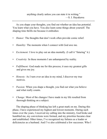As you shape your thoughts, you find out whether an idea has potential. You learn what you have. You also learn some things about yourself. The shaping time thrills me because it embodies:

- *Humor:* The thoughts that don't work often provide comic relief.
- *Humility:* The moments when I connect with God awe me.
- *Excitement:* I love to play out an idea mentally. (I call it "futuring" it.)
- *Creativity:* In these moments I am unhampered by reality.
- *Fulfillment:* God made me for this process; it uses my greatest gifts and gives me joy.
- *Honesty:* As I turn over an idea in my mind, I discover my true motives.
- *Passion:* When you shape a thought, you find out what you believe and what really counts.
- *Change:* Most of the changes I have made in my life resulted from thorough thinking on a subject.

The shaping phase of thinking has left a great mark on me. During this phase, I have experienced my highest and lowest moments. During such times over the years, I received my calling into the ministry, God broke and humbled me, my convictions were formed, and my priorities became clear and established. Other times, I've recognized my failures as a leader or deficiencies as a husband. And I've also celebrated a few successes. Who I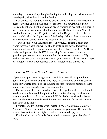am today is a result of my thought-shaping times. I still get a rush whenever I spend quality time thinking and reflecting.

I've shaped my thoughts in many places. While working on my bachelor's degree, I visited an old house made of cinder blocks at Circleville Bible College. Right after I got married and began working in my first job, I spent a lot of time sitting on a rock behind my house in Hillham, Indiana. When I lived in Lancaster, Ohio, I'd go to a park. In San Diego, I visited a place in my church I called the "upper room." And today, I shape ideas in my home office or when I spend time in the mountains of the Carolinas.

You can shape your thoughts almost anywhere. Just find a place that works for you, where you will be able to write things down, focus your attention without interruptions, and ask questions about your ideas. As Dave Sutherland, president of INJOY Stewardship Services says, "Sometimes the questions you ask are more important than the answers you receive." By asking questions, you gain perspective on your ideas. As I have tried to shape my thoughts, I have often realized that my thoughts have shaped me.

#### *3. Find a Place to Stretch Your Thoughts*

If you come upon great thoughts and spend time mentally shaping them, don't think you're done and can stop there. If you do, you will miss some of the most valuable aspects of the thinking process. You miss bringing others in and expanding ideas to their greatest potential.

Earlier in my life, I have to admit, I was often guilty of this error. I wanted to take an idea from seed thought to solution before sharing it with anyone, even the people it would most impact. I did this both at work and at home. But over the years, I have learned that you can go much farther with a team than you can go alone.

I wholeheartedly embrace what I wrote in *The 17 Indisputable Laws of Teamwork:* "One is too small a number to achieve greatness." If you really want to take an idea to the highest level, ask others to help you.

I've found a kind of formula that can help you stretch your thoughts. It says,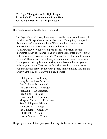The Right **Thought** plus the Right **People** in the Right **Environment** at the Right **Time** for the Right **Reason** = the **Right Result**

This combination is hard to beat. Here's why:

- *The Right Thought:* Everything must generally begin with the seed of an idea. As George Gardner once observed, "Thought is, perhaps, the forerunner and even the mother of ideas, and ideas are the most powerful and the most useful things in the world."
- *The Right People:* When you expose an idea to the right people, incredible things can happen. The original thought often grows, along with its vision, power, and impact. Who are the right people to stretch a vision? They are ones who love you and embrace your vision, who know you and strengthen your vision, and who complement you and enlarge your vision. They are the few who stretch a thought before you land it with many. Some of the people in my thinking life, and the areas where they stretch my thinking, include:

Bill Hybels — Leadership Larry Maxwell — Business Dan Cathy — Servanthood Dave Sutherland — Strategy John Hull — Relationships Fred Smith — Insight Kevin Small — Opportunity Margaret Maxwell — Perspective Tom Phillippe — Wisdom Jim Dornan — Change Pat Williams — Creativity Bill Bright — Vision Charlie Wetzel — Writing

The people in your life impact your thinking, for better or for worse, so why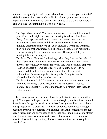not work strategically to find people who will stretch you to your potential? Make it a goal to find people who will add value to you in areas that are important to you. (And make yourself available to do the same for others.) This will take your thinking to a whole new level.

- *The Right Environment:* Your environment will either stretch or shrink your ideas. In the right environment thinking is valued, ideas flow freely, fresh eyes are welcome, change is expected, questions are encouraged, egos are checked, ideas stimulate better ideas, and thinking generates teamwork. If you're stuck in a wrong environment, then find one that encourages you. If you are a leader, then realize that you are creating the environment you're in. The responsibility for making it better rests on you!
- *The Right Time:* Ideas are fragile things when they first see the light of day. If you try to implement them too early or introduce them while there are more naysayers than supporters, they won't survive. Emperor Hadrian of ancient Rome believed, "To be right too soon is to be wrong." While still in the stretching stage of an idea, present it without time frames or rigidly defined goals. Thoughts must be allowed to breathe before you harness them.
- *The Right Reason:* J. P. Morgan said, "A man always has two reasons for doing any thing: a good reason and the real reason." Motives matter. People usually feel more inclined to help stretch ideas that add value to others.

Like every person, every thought has the potential to become something great. When you find a place to stretch your thoughts, you find that potential. Sometimes a thought is merely a springboard to a greater idea, but without that springboard, the great idea will never be found. Sometimes a thought becomes great when it partners with another idea. And sometimes a thought excels just as it is and only needs to be fleshed out. Finding a place to stretch your thoughts gives you a chance to take that idea as far as it can go. As I have tried to stretch my thinking, I have discovered that my thinking has stretched me.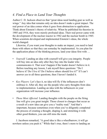# *4. Find a Place to Land Your Thoughts*

Author C. D. Jackson observes that "great ideas need landing gear as well as wings." Any idea that remains only an idea doesn't make a great impact. The real power of an idea comes when it goes from abstraction to application. Think about Einstein's theory of relativity. When he published his theories in 1905 and 1916, they were merely profound ideas. Their real power came with the development of the nuclear reactor in 1942 and the nuclear bomb in 1945. When scientists developed and implemented Einstein's ideas, the whole world changed.

Likewise, if you want your thoughts to make an impact, you need to land them with others so that they can someday be implemented. As you plan for the application phase of the thinking process, land your ideas first with …

- *Yourself:* Landing an idea with yourself will give you integrity. People will buy into an idea only after they buy into the leader who communicates it. That won't happen if the leader doesn't believe in it. Before teaching any lesson, I ask myself three questions: "Do I believe it? Do I live it? Do I believe others should live it?" If I can't answer yes to all three questions, then I haven't landed it.
- *Key Players:* Let's face it, no idea will fly if the influencers don't embrace it. After all, they are the people who carry thoughts from idea to implementation. Landing an idea with the influencers in your organization will increase your influence.
- *Those Most Affected:* Landing thoughts with the people on the firing line will give you great insight. Those closest to changes that occur as a result of a new idea can give you a "reality read." And that's important, because sometimes even when you've diligently completed the process of creating a thought, shaping it, and stretching it with other good thinkers, you can still miss the mark.

J. Jacobson remarked, "A good idea is like a wheelbarrow; it will go nowhere unless you push it." While that's true, there's more to landing an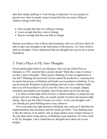idea than simply pushing it. Your timing is important. As you prepare to present new ideas to people, keep in mind that they are most willing to embrace change when they:

- Hurt enough that they are willing to change.
- Learn enough that they want to change.
- Receive enough that they are able to change.

Present your ideas at one of those ideal moments, and you will more likely be able to take your thoughts to the final phase of the process. As I have tried to land my thoughts, I have understood that my thoughts have given me a secure foundation.

# *5. Find a Place to Fly Your Thoughts*

French philosopher Henri-Louis Bergson, who won the Nobel Prize in literature in 1927, asserted that a person should "think like a man of action act like a man of thought." What good is thinking if it has no application in real life? Thinking divorced from actions cannot be productive. Learning how to master the process of thinking well leads you to productive thinking. If you can develop the discipline of good thinking and turn it into a lifetime habit, then you will be productive all of your life. Once you've created, shaped, stretched, and landed your thoughts, then flying them can be fun and easy.

I've observed that high achievers have a natural tendency to jump into any project and start working; they are usually people of action who possess high energy. But to get the kind of results you want—to fly your thoughts well you should give good thinking time to any endeavor.

Give your plans the right amount of thinking time, and you'll find that the implementation time decreases and the results get better. Your thinking time is like the runway of an airport. Just as larger planes need a longer runway to fly, big ideas need a long runway of thinking to get launched. As I have tried to fly my thoughts, I have found that my thoughts have taken me to new heights.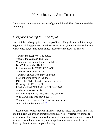### HOW TO BECOME <sup>A</sup> GOOD THINKER

Do you want to master the process of good thinking? Then I recommend the following:

# *1. Expose Yourself to Good Input*

Good thinkers always prime the pump of ideas. They always look for things to get the thinking process started. However, what you put in always impacts what comes out, as this poem called "Keeper of the Keys" illustrates:

You are the Keeper of The Keys. You are the Guard at The Gate. Waiting in line to get through that door Is LOVE. And also HATE. In line to enter is GENTLE PEACE. And also VIOLENT WAR. You must choose who may, and who May not come through the door. INTOLERANCE tries to sneak on through On wings of FEAR, or PRIDE. It hides behind DREAMS of BELONGING, And tries to sneak inside. Oh! Be alert! You're the Guard who decides Who GOES and who may STAY. You are The Keeper of The Keys to Your Mind. Who will you let in today?  $\frac{13}{2}$  $\frac{13}{2}$  $\frac{13}{2}$ 

Read books, review trade magazines, listen to tapes, and spend time with good thinkers. And when something intrigues you—whether it's someone else's idea or the seed of an idea that you've come up with yourself—keep it in front of you. Put it in writing and keep it somewhere in your favorite thinking place to stimulate your thinking.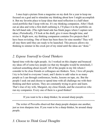I once kept a picture from a magazine on my desk for a year to keep me focused on a goal and to stimulate my thinking about how I might accomplish it. But my favorite place to keep ideas that need reflection is a half-sheet sized portfolio that I keep with me. It's my thinking companion. After I flesh out an idea and write a first draft outlining it, I'll place it in the portfolio on the left-hand side. (The right-hand side has blank pages where I capture new ideas.) Periodically, I'll look at the draft, give it more thought time, and revise it. Right now, my thinking companion contains five projects that I have been revisiting. One of them has been there for nine months! They will all stay there until they are ready to be launched. This process allows my thinking to simmer in the crock pot of my mind until the ideas are "done."

### *2. Expose Yourself to Good Thinkers*

Spend time with the right people. As I worked on this chapter and bounced my ideas off of some key people (so that my thoughts would be stretched), I realized something about myself. All of the people in my life whom I consider to be close friends or colleagues are thinkers. Now, I love all people. I try to be kind to everyone I meet, and I desire to add value to as many people as I can through conferences, books, lessons on tape, etc. But the people I seek out and choose to spend time with all challenge me with their thinking and their actions. They are constantly trying to grow and learn. That's true of my wife, Margaret, my close friends, and the executives who run my companies. Every one of them is a good thinker!

If you want to be a sharp thinker, be around sharp people.

The writer of Proverbs observed that sharp people sharpen one another, just as iron sharpens iron. If you want to be a sharp thinker, be around sharp people.

# *3. Choose to Think Good Thoughts*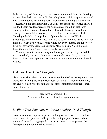To become a good thinker, you must become intentional about the thinking process. Regularly put yourself in the right place to think, shape, stretch, and land your thoughts. Make it a priority. Remember, thinking is a discipline.

Recently I had breakfast with Dan Cathy, the president of Chick-fil-A, a fast food chain headquartered in the Atlanta area. I told him that I was working on this book and I asked him if he made thinking time a high priority. Not only did he say yes, but he told me about what he calls his "thinking schedule." It helps him to fight the hectic pace of life that discourages intentional thinking. Dan says he sets aside time just to think for half a day every two weeks, for one whole day every month, and for two or three full days every year. Dan explains, "This helps me 'keep the main thing, the main thing,' since I am so easily distracted."

You may want to do something similar, or you can develop a schedule and method of your own. No matter what you choose to do, go to your thinking place, take paper and pen, and make sure you capture your ideas in writing.

### *4. Act on Your Good Thoughts*

Ideas have a short shelf life. You must act on them before the expiration date. World War I flying ace Eddie Rickenbacker said it all when he remarked, "I can give you a six-word formula for success: Think things through—then follow through."

> Ideas have a short shelf life. You must act on them before the expiration date.

### *5. Allow Your Emotions to Create Another Good Thought*

I counseled many people as a pastor. In that process, I discovered that for some people, the greatest challenge to becoming a good thinker is their emotional turmoil or baggage. Past hurts or current worries prevent them from spending productive time thinking.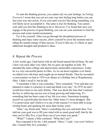To start the thinking process, you cannot rely on your feelings. In *Failing Forward,* I wrote that you can act your way into feeling long before you can feel your way into action. If you wait until you *feel* like doing something, you will likely never accomplish it. The same is true for thinking. You cannot wait until you feel like thinking to do it. However, I've found that once you engage in the process of good thinking, you can use your emotions to feed the process and create mental momentum.

Try it for yourself. After you go through the disciplined process of thinking and enjoy some success, allow yourself to savor the moment and try riding the mental energy of that success. If you're like me, it's likely to spur additional thoughts and productive ideas.

#### *6. Repeat the Process*

A few weeks ago, I had lunch with an old friend named David Dean. He and I don't see each other very often, but we grew up together as kids. We attended the same college and shared many memorable experiences. Today he is a very successful pastor in Ohio. As we sat down together over lunch, we talked over old times and caught up on mutual friends. Then he recounted a conversation we had in 1979 over dinner at a Holiday Inn in Wapokenetta, Ohio. I didn't recall it, but he did.

"I remember it like it was yesterday," Dave remarked. "You said that you planned to make it a practice to read and think every day." In 1979, he and I would have been in our early thirties. That was about the time that I realized the key to achieving success was to keep growing and improving. It's something that has been a part of my life ever since. Sometimes keeping myself on a growth plan has been fun. Other times it's been drudgery. But I've persevered, and I believe it is one of the reasons I've been able to keep writing books and speaking for more than twenty years.

"John," my friend said, "there's something else you said back then. You told me your goal was to fill your mind with so much good stuff, that by the time you're fifty-five, it just flows out of you when you speak."

"What?" I asked, a little confused. "What did I say?"

Dave repeated it for me. I felt stunned. "Dave," I said, "you won't believe this. I turned fifty-five yesterday."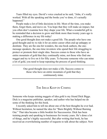Tears filled my eyes. David's voice cracked as he said, "John, it's really worked. With all the speaking and the books you've done, it's actually happened."

People make a lot of little decisions in life. Most of the time, you make them, forget them, and move on. You hope that they will make an impact, but you often don't examine how they shape your life. What a wonderful gift to be reminded that a decision to grow and think more than twenty years ago is making a difference in my life today!

One good thought does not make a good life. The people who have one good thought and try to ride it for an entire career often end up unhappy or destitute. They are the one-hit wonders, the one-book authors, the onemessage speakers, the one-time inventors who spend their life struggling to protect or promote their single idea. Success comes to those who have an entire mountain of gold that they continually mine, not those who find one nugget and try to live on it for fifty years. To become someone who can mine a lot of gold, you need to keep repeating the process of good thinking.

> One good thought does not make a life. Success comes to those who have an entire mountain of gold that they continuously mine.

### THE IDEAS KEEP ON COMING

Someone who keeps mining nuggets of idea gold is my friend Dick Biggs. Dick is a magazine publisher, speaker, and author who has helped me do some of the thinking for this book.

I recently asked him to tell me about one of the best thoughts he ever had. Without hesitation, he named the idea for "Burn Brightly Without Burning Out." That idea became a little booklet for Successories. Dick has been training people and speaking to businesses for twenty years. He's done a lot of things, and he's highly successful. But after writing that book, he has received an overwhelming number of requests to talk about the subject. Now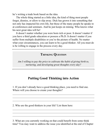he's writing a trade book based on the idea.

The whole thing started as a little idea, the kind of thing most people forget, dismiss, or allow to slip away. Dick has grown it into something that not only has impacted his own life, but those of the many people he speaks to at conferences and seminars. And he just keeps on mining. Who knows what his next great idea will be!

It doesn't matter whether you were born rich or poor. It doesn't matter if you have a third grade education or possess a Ph.D. It doesn't matter if you suffer from multiple disabilities or you're the picture of health. No matter what your circumstances, you can learn to be a good thinker. All you must do is be willing to engage in the process every day.

### **THINKING QUESTION**

*Am I willing to pay the price to cultivate the habit of giving birth to, nurturing, and developing great thoughts every day?*

# **Putting Good Thinking into Action**

 $\mathcal{L}_\mathcal{L} = \{ \mathcal{L}_\mathcal{L} = \{ \mathcal{L}_\mathcal{L} = \{ \mathcal{L}_\mathcal{L} = \{ \mathcal{L}_\mathcal{L} = \{ \mathcal{L}_\mathcal{L} = \{ \mathcal{L}_\mathcal{L} = \{ \mathcal{L}_\mathcal{L} = \{ \mathcal{L}_\mathcal{L} = \{ \mathcal{L}_\mathcal{L} = \{ \mathcal{L}_\mathcal{L} = \{ \mathcal{L}_\mathcal{L} = \{ \mathcal{L}_\mathcal{L} = \{ \mathcal{L}_\mathcal{L} = \{ \mathcal{L}_\mathcal{$  $\mathcal{L}_\mathcal{L} = \{ \mathcal{L}_\mathcal{L} = \{ \mathcal{L}_\mathcal{L} = \{ \mathcal{L}_\mathcal{L} = \{ \mathcal{L}_\mathcal{L} = \{ \mathcal{L}_\mathcal{L} = \{ \mathcal{L}_\mathcal{L} = \{ \mathcal{L}_\mathcal{L} = \{ \mathcal{L}_\mathcal{L} = \{ \mathcal{L}_\mathcal{L} = \{ \mathcal{L}_\mathcal{L} = \{ \mathcal{L}_\mathcal{L} = \{ \mathcal{L}_\mathcal{L} = \{ \mathcal{L}_\mathcal{L} = \{ \mathcal{L}_\mathcal{$  $\mathcal{L}_\mathcal{L} = \{ \mathcal{L}_\mathcal{L} = \{ \mathcal{L}_\mathcal{L} = \{ \mathcal{L}_\mathcal{L} = \{ \mathcal{L}_\mathcal{L} = \{ \mathcal{L}_\mathcal{L} = \{ \mathcal{L}_\mathcal{L} = \{ \mathcal{L}_\mathcal{L} = \{ \mathcal{L}_\mathcal{L} = \{ \mathcal{L}_\mathcal{L} = \{ \mathcal{L}_\mathcal{L} = \{ \mathcal{L}_\mathcal{L} = \{ \mathcal{L}_\mathcal{L} = \{ \mathcal{L}_\mathcal{L} = \{ \mathcal{L}_\mathcal{$ 

 $\mathcal{L}_\mathcal{L} = \{ \mathcal{L}_\mathcal{L} = \{ \mathcal{L}_\mathcal{L} = \{ \mathcal{L}_\mathcal{L} = \{ \mathcal{L}_\mathcal{L} = \{ \mathcal{L}_\mathcal{L} = \{ \mathcal{L}_\mathcal{L} = \{ \mathcal{L}_\mathcal{L} = \{ \mathcal{L}_\mathcal{L} = \{ \mathcal{L}_\mathcal{L} = \{ \mathcal{L}_\mathcal{L} = \{ \mathcal{L}_\mathcal{L} = \{ \mathcal{L}_\mathcal{L} = \{ \mathcal{L}_\mathcal{L} = \{ \mathcal{L}_\mathcal{$  $\mathcal{L}_\mathcal{L} = \{ \mathcal{L}_\mathcal{L} = \{ \mathcal{L}_\mathcal{L} = \{ \mathcal{L}_\mathcal{L} = \{ \mathcal{L}_\mathcal{L} = \{ \mathcal{L}_\mathcal{L} = \{ \mathcal{L}_\mathcal{L} = \{ \mathcal{L}_\mathcal{L} = \{ \mathcal{L}_\mathcal{L} = \{ \mathcal{L}_\mathcal{L} = \{ \mathcal{L}_\mathcal{L} = \{ \mathcal{L}_\mathcal{L} = \{ \mathcal{L}_\mathcal{L} = \{ \mathcal{L}_\mathcal{L} = \{ \mathcal{L}_\mathcal{$  $\mathcal{L}_\mathcal{L} = \{ \mathcal{L}_\mathcal{L} = \{ \mathcal{L}_\mathcal{L} = \{ \mathcal{L}_\mathcal{L} = \{ \mathcal{L}_\mathcal{L} = \{ \mathcal{L}_\mathcal{L} = \{ \mathcal{L}_\mathcal{L} = \{ \mathcal{L}_\mathcal{L} = \{ \mathcal{L}_\mathcal{L} = \{ \mathcal{L}_\mathcal{L} = \{ \mathcal{L}_\mathcal{L} = \{ \mathcal{L}_\mathcal{L} = \{ \mathcal{L}_\mathcal{L} = \{ \mathcal{L}_\mathcal{L} = \{ \mathcal{L}_\mathcal{$ 

1. If you don't already have a good thinking place, you need to find one. Where will you choose to create your thoughts?

2. Who are the good thinkers in your life? List them here:

3. What are you currently working on that could benefit from some think time? You may want to address the issue you identified at the end of Chapter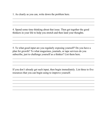1. As clearly as you can, write down the problem here.

4. Spend some time thinking about that issue. Then get together the good thinkers in your life to help you stretch and then land your thoughts.

5. To what good input are you regularly exposing yourself? Do you have a plan for growth? To what magazines, journals, or tape services do you subscribe, just to challenge yourself as a thinker? List them here.

If you don't already get such input, then begin immediately. List three to five resources that you can begin using to improve yourself.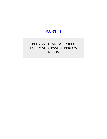# **[PART](#page-2-1) II**

# ELEVEN THINKING SKILLS EVERY SUCCESSFUL PERSON **NEEDS**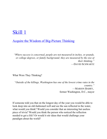# **[Skill](#page-2-2) 1**

Acquire the Wisdom of [Big-Picture](#page-2-2) Thinking

*"Where success is concerned, people are not measured in inches, or pounds, or college degrees, or family background; they are measured by the size of their thinking."* —DAVID SCHWARTZ

What Were They Thinking?

*"Outside of the killings, Washington has one of the lowest crime rates in the country."* —MARION BARRY, former Washington, D.C., mayor

If someone told you that on the longest day of the year you would be able to look deep into an old-fashioned well and see the sun reflected in the water, what would you think? Would you consider that an interesting but useless piece of trivia? Would you think the person who noticed the reflection needed to get a life? Or would it stir ideas that would challenge your paradigm about the world?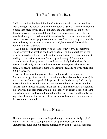### THE BIG PICTURE IS A BALL

An Egyptian librarian heard that bit of information—that the sun could be seen shining at the bottom of a well in the town of Syene—and he considered it more than mere trivia. That detail about the well started this big-picture thinker thinking. He surmised that if it made a reflection in a well, the sun must be directly overhead. And if it were directly overhead, then it would cast no shadows from upright columns or posts. Yet on the longest day of the year in the city of Alexandria, where he lived, he observed that straight columns did cast shadows.

As a good scientist and thinker, he decided to travel 800 kilometers to Syene to verify that what he had heard was true. On the longest day of the year, he looked into the well and saw the sun reflected. And sure enough, at midday, posts cast no shadows. So he began thinking. After a while, he started to see a bigger picture of what these seemingly insignificant facts meant. Surprisingly, it went against what nearly everyone believed at the time. You see, the librarian's name was Eratosthenes, and he lived more than 2,200 years ago.

As the director of the greatest library in the world (the library of Alexandria in Egypt was said to possess hundreds of thousands of scrolls), he was at the intellectual capital of the planet. In the third century B.C., nearly every scholar in Alexandria and around the world believed the earth to be flat. But Eratosthenes reasoned that if the sun's light came down straight and the earth was flat, then there would be no shadows in either location. If there were shadows in one location but not the other, then there could be only one logical explanation. The surface of the earth must be curved. In other words, the world must be a sphere.

#### BROAD HORIZONS

That's a pretty impressive mental leap, although it seems perfectly logical today. After all, we've seen pictures of our planet from space. But Eratosthenes made that big-picture connection by using everyday facts and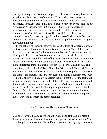putting them together. Even more impressive, he took it one step further. He actually calculated the size of the earth! Using basic trigonometry, he measured the angle of the shadows: approximately 7.12 degrees, about 1/50th of a circle. Then he reasoned that if the distance between Syene (modern-day Aswan) and Alexandria was 800 kilometers (using our standards of measurement), then the earth must be around 40,000 kilometers in circumference (50 x 800 kilometers). He wasn't far off; the actual circumference of the earth through the poles is 40,008 kilometers. Not bad for a guy who had nothing but his brain and a big-picture mind-set to figure the whole thing out!

In the actions of Eratosthenes, you can see the truth of a statement made centuries later by German statesman Konrad Adenauer: "We all live under the same sky, but we don't all have the same horizon." How many thousands of people had seen what Eratosthenes saw and never made the same connection? How many hundreds of his fellow *mathematicians* saw the same shadows he did and failed to see the big picture? Eratosthenes wasn't even the most talented mathematician of his day. His peers called him *beta* and *pentathlos,* which is kind of like calling him "Mr. Second Place." <sup>[14](#page-234-3)</sup> But that didn't matter. Though he wasn't the top man in any discipline, he could see and think—big picture. And that's the reason his name is remembered today. Using that ability, he not only calculated the circumference of the earth, but he also accurately sketched the route of the Nile River, worked out a calendar that included leap years, and estimated the earth's distance from the sun and moon. Eratosthenes certainly didn't get caught up in the trees and miss the forest. In fact, his perspective was so good that he saw not only the forest, but also the river that flowed into it, the planet that contained them, and parts of the solar system to which the planet belonged!

#### THE MINDSET OF BIG-PICTURE THINKERS

You don't have to be a scientist or mathematician to embrace big-picture thinking or to benefit from it. It can help any person in any profession. When somebody like Jack Welch tells a GE employee that the ongoing relationship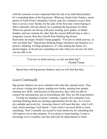with the customer is more important than the sale of an individual product, he's reminding them of the big picture. When my friend Andy Stanley, senior pastor of North Point Community Church, asks his volunteers to give their best in service every Sunday for the sake of the first-time visitor hoping to find a culturally relevant church, he is painting the big picture for them. When two parents are fed up with potty training, poor grades, or fenderbenders, and one reminds the other that the current difficult time is only a temporary season, then they benefit from thinking big picture. Real estate developer Donald Trump quipped, "You have to think anyway, so why not think big?" Big-picture thinking brings wholeness and maturity to a person's thinking. It brings perspective. It's like making the frame of a picture bigger, in the process expanding not only what you can see, but what you are able to do.

> "You have to think anyway, so why not think big?" —Donald Trump

Spend time with big-picture thinkers, and you will find that they:

### *Learn Continually*

Big-picture thinkers are never satisfied with what they already know. They are always visiting new places, reading new books, meeting new people, learning new skills. And because of that practice, they often are able to connect the unconnected, just as Eratosthenes did. They are life-long learners.

To help me maintain a learner's attitude, I spend a few moments every morning thinking about my learning opportunities for the day. As I review my calendar and to-do list—knowing whom I will meet that day, what I will read, which meetings I will attend—I note where I am most likely to learn something. Then I mentally cue myself to look attentively for something that will improve me in that situation. If you desire to keep learning, I want to encourage you to examine your day and look for opportunities to learn.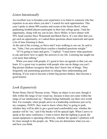# *Listen Intentionally*

An excellent way to broaden your experience is to listen to someone who has expertise in an area where you don't. I search for such opportunities. This year I spoke to about 900 coaches and scouts at the Senior Bowl, where graduating football players participate in their last college game. I had the opportunity, along with my son-in-law, Steve Miller, to have dinner with NFL head coaches Dave Wannstedt and Butch Davis. It's not often that you get such an opportunity, so I asked them questions about teamwork and spent a lot of time listening to them.

At the end of the evening, as Steve and I were walking to our car, he said to me, "John, I bet you asked those coaches a hundred questions tonight."

"If I'm going to learn and grow," I replied, "I must know what questions to ask and know how to apply the answers to my life. Listening has taught me a lot more than talking."

When you meet with people, it's good to have an agenda so that you can learn. It's a great way to partner with people who can do things you can't. Big-picture thinkers recognize that they don't know lots of things. They frequently ask penetrating questions to enlarge their understanding and thinking. If you want to become a better big-picture thinker, then become a good listener.

# *Look Expansively*

Writer Henry David Thoreau wrote, "Many an object is not seen, though it falls within the range of our visual ray, because it does not come within the range of our intellectual ray." Human beings habitually see their own world first. For example, when people arrive at a leadership conference put on by my company, INJOY, they want to know where they're going to park, whether they will be able to get a good (and comfortable) seat, whether the speaker will be "on," and if the breaks will be spaced right. When I arrive to speak at the same conference, I want to know that the lighting is good, the sound equipment is operating effectively, whether the speaker's platform will be close enough to the people, etc. Who you are determines what you see and how you think.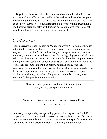Big-picture thinkers realize there is a world out there besides their own, and they make an effort to get outside of themselves and see other people's worlds through their eyes. It's hard to see the picture while inside the frame. To see how others see, you must first find out how they think. Becoming a good listener certainly helps with that. So does getting over your personal agenda and trying to take the other person's perspective.

# *Live Completely*

French essayist Michel Eyquem de Montaigne wrote, "The value of life lies not in the length of days, but in the use we make of them; a man may live long yet live very little." The truth is that you can spend your life any way you want, but you can spend it only once. Becoming a big-picture thinker can help you to live with wholeness, to live a very fulfilling life. People who see the big picture expand their experience because they expand their world. As a result, they accomplish more than narrow minded people. And they experience fewer unwanted surprises, too, because they are more likely to see the many components involved in any given situation: issues, people, relationships, timing, and values. They are also, therefore, usually more tolerant of other people and their thinking.

> The truth is that you can spend your life any way you want, but you can spend it only once.

# WHY YOU SHOULD RECEIVE THE WISDOM OF BIG-PICTURE THINKING

Intuitively, you probably recognize big-picture thinking as beneficial. Few people *want* to be closed-minded. No one sets out to be that way. But just in case you're not completely convinced, consider several specific reasons why you should make the effort to become a better big-picture thinker: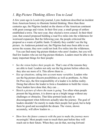# *1. Big-Picture Thinking Allows You to Lead*

A few years ago in *Leadership* journal, Lynn Anderson described an incident from American history to illustrate limited thinking. More than three centuries ago, the Pilgrims landed on the shores of the American continent with great courage and vision. In their first year, a small group of settlers established a town. The next year, they elected a town council. In their third year, that council proposed building a road five miles into the wilderness for westward expansion. But the following year, the people criticized the proposal as a waste of public funds. Evidently they couldn't see the big picture. As Anderson pointed out, the Pilgrims had once been able to see across the oceans; they now could not look five miles into the wilderness.

You can find many big-picture thinkers who aren't leaders, but you will find few leaders who are not big-picture thinkers. Leaders must be able to do many important things for their people:

- *See the vision before their people do.* That's one of the reasons they are able to lead. Leaders not only see the big picture before others do, they also see more of it. This allows them to …
- *Size up situations, taking into account many variables.* Leaders who see the big picture discern possibilities as well as problems. As Max De Pree says, the first responsibility of a leader is to define reality. Doing that allows the leader to form a foundation to build the vision. Once leaders have done that, they can …
- *Sketch a picture of where the team is going.* Too often when people present the big picture, it is drawn up as a bright image without any challenges or obstacles. That false portrait leads only to discouragement when followers actually take the journey. The goal of leaders shouldn't be merely to make their people feel good, but to help them be good and accomplish the dream. The vision, shown accurately, will allow leaders to …
- *Show how the future connects with the past to make the journey more meaningful.* Most people want to touch their past before they will reach out to their future. When they can do that, moving forward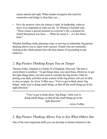seems natural and right. When leaders recognize this need for connection and bridge it, then they can …

• *Seize the moment when the timing is right.* In leadership, when to move is as important as what you do. As Winston Churchill said, "There comes a special moment in everyone's life, a moment for which that person was born …. When he seizes it …it is his finest hour."

Whether building roads, planning a trip, or moving in leadership, big-picture thinking allows you to enjoy more success. People who are constantly looking at the whole picture have the best chance of succeeding in any endeavor.

# *2. Big-Picture Thinking Keeps You on Target*

Thomas Fuller, chaplain to Charles II of England, observed, "He that is everywhere is nowhere." To get things done, you need focus. However, to get the right things done, you also need to consider the big picture. Only by putting your daily activities in the context of the big picture will you be able to stay on target. As Alvin Toffler says, "You've got to think about 'big things' while you're doing small things, so that all the small things go in the right direction."

> "You've got to think about 'big things' while you're doing small things, so that all the small things go in the right direction."

—Alvin Toffler

# *3. Big-Picture Thinking Allows You to See What Others See*

One of the most important skills you can develop in human relations is the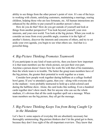ability to see things from the other person's point of view. It's one of the keys to working with clients, satisfying customers, maintaining a marriage, rearing children, helping those who are less fortunate, etc. All human interactions are enhanced by the ability to put yourself in another person's shoes.

How do you do that? How do you get outside of yourself and look at things from another perspective? You look beyond yourself, your own interests, and your own world. You look at the big picture. When you work to consider an issue from every possible angle, examine it in the light of another's history, discover the interests and concerns of others, and try to set aside your own agenda, you begin to see what others see. And that is a powerful thing.

### *4. Big-Picture Thinking Promotes Teamwork*

If you participate in any kind of team activity, then you know how important it is that team members see the whole picture, not just their own part. Anytime a person doesn't know how his work fits with that of his teammates, then the whole team is in trouble. The better the grasp team members have of the big picture, the greater their potential to work together as a team.

Consider how people work together during halftime at a college football bowl game. If you've attended a game, then you—along with everyone else in the stadium—were probably instructed to hold up a solid-colored card during the halftime show. Alone, the card looks like nothing. Even a hundred cards together don't show much. But for anyone who can see the whole stadium, it's obvious that all the cards together spell out a message. When team members see the big picture, they all get the message.

# *5. Big-Picture Thinking Keeps You from Being Caught Up in the Mundane*

Let's face it: some aspects of everyday life are absolutely necessary but thoroughly uninteresting. Big-picture thinkers don't let the grind get to them, because they don't lose sight of the all-important overview. They know that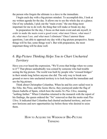the person who forgets the ultimate is a slave to the immediate.

I begin each day with a big-picture mindset. To accomplish this, I look at my written agenda for the day. It allows me to see the whole day at a glance. Out of my schedule, I pick out the "main event," the one thing most important for me to do well, the thing that will make or break my day.

In preparation for the day, I focus on that main event and ask myself, *In order to make the main event a good event, what must I know, what must I do, what must I see, and what must I eliminate?* Once I answer these questions, I am able to approach my day with a big-picture perspective. Some things will be fun; some things won't. But with preparation, the most important thing will be done well.

# *6. Big-Picture Thinking Helps You to Chart Uncharted Territory*

Have you ever heard the expression, "We'll cross that bridge when we come to it"? That phrase undoubtedly was coined by someone who had trouble seeing the big picture. The world was built by people who "crossed bridges" in their minds long before anyone else did. The only way to break new ground or move into uncharted territory is to look beyond the immediate and see the big picture.

Think about Christopher Columbus. When he and his crew sailed west in the *Niña,* the *Pinta,* and the *Santa Maria,* they journeyed under the flag of Queen Isabella of Spain, which bore the motto *Ne Plus Ultra,* meaning "nothing farther." When Columbus returned to the monarch with the report of his findings, the queen ordered the "Ne" removed so that the motto read *Plus Ultra.* It indicated that Columbus had charted uncharted territory, and now new horizons and new opportunities lay before those who desired to seize them.

> HOW TO ACOUIRE THE WISDOM OF BIG-PICTURE **THINKING**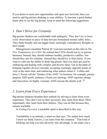If you desire to seize new opportunities and open new horizons, then you need to add big-picture thinking to your abilities. To become a good thinker better able to see the big picture, keep in mind the following suggestions:

### *1. Don't Strive for Certainty*

Big-picture thinkers are comfortable with ambiguity. They don't try to force every observation or piece of data into pre-formulated mental cubby holes. They think broadly and can juggle many seemingly contradictory thoughts in their minds.

Management consultant Patrick M. Lencioni touched on this idea in *The Five Temptations of a CEO.* He warned that CEOs should not try to pursue harmony. Instead, they should embrace healthy, productive conflict. Nor should they aim for certainty. Instead they should try to find clarity. If you want to cultivate the ability to think big picture, then you must get used to embracing and dealing with complex and diverse ideas. Get in the habit of bringing together diverse concepts, accepting seemingly opposite points of view at the same time, and embracing what authors James C. Collins and Jerry I. Porras call the "Genius of the AND." In business, for example, pursue purpose AND profit, embrace a fixed core ideology AND vigorous change and innovation, be highly visionary AND execute the details well.  $\frac{15}{10}$  $\frac{15}{10}$  $\frac{15}{10}$ 

### *2. Learn from Every Experience*

Big-picture thinkers broaden their outlook by striving to learn from every experience. They don't rest on their successes, they learn from them. More importantly, they learn from their failures. They can do that because they remain teachable.

In *Failing Forward,* a teachable spirit is described in this way:

Teachability is an attitude, a mind-set that says, "No matter how much I know (or think I know), I can learn from this situation." That kind of thinking can help you turn adversity into advantage. It can make you a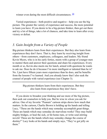winner even during the most difficult circumstances.  $\frac{16}{10}$  $\frac{16}{10}$  $\frac{16}{10}$ 

Varied experiences—both positive and negative—help you see the big picture. The greater the variety of experience and success, the more potential to learn you have. If you desire to be a big-picture thinker, then get out there and try a lot of things, take a lot of chances, and take time to learn after every victory or defeat.

### *3. Gain Insight from a Variety of People*

Big-picture thinkers learn from their experiences. But they also learn from experiences they don't have. That is, they learn by receiving insight from others—from customers, employees, colleagues, and leaders. My friend Kevin Myers, who is in his early forties, meets with a group of younger men to mentor them and answer their questions and share his experiences. Every month or so, Kevin also meets me for lunch, armed with questions he wants to ask me. Does he do it because I'm more intelligent or talented than he is? No. I just have fifteen years more experience than he does, and he benefits from the lessons I've learned. And you already know that I also seek the counsel of people with varied experience (see Chapter 3).

> Big-picture thinkers learn from their experiences. But they also learn from experiences they don't have.

If you desire to broaden your thinking and see more of the big picture, then seek out counselors to help you. But be wise in *whom* you ask for advice. One of my favorite "Peanuts" cartoon strips shows how much that matters. In the cartoon, Charlie Brown is holding up his hands and telling Lucy, "These are the hands which may someday accomplish great things. These are hands which may someday do marvelous works! They may build mighty bridges, or heal the sick, or hit home runs, or write soul-stirring novels! These are the hands which may someday change the course of destiny!" Lucy looks at his hands and simply says, "They've got jelly on them."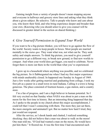Gaining insight from a variety of people doesn't mean stopping anyone and everyone in hallways and grocery store lines and asking what they think about a given subject. Be selective. Talk to people who know and care about you, who know their field, and who bring experience deeper and broader than your own. (Knowing who you should select to give you counsel will be discussed in greater detail in the section on shared thinking.)

### *4. Give Yourself Permission to Expand Your World*

If you want to be a big-picture thinker, you will have to go against the flow of the world. Society wants to keep people in boxes. Most people are married mentally to the *status quo.* They want what was, not what can be. They seek safety and simple answers. To think big-picture, you need to give yourself permission to go a different way, to break new ground, to find new worlds to conquer. And when your world does get bigger, you need to celebrate. Never forget there is more out there in the world than what you've experienced.

I grew up in a household where anything was possible, and we celebrated the big picture. So it flabbergasted me when I had my first major experience with minds unalterably closed. In happened one Sunday in August of 1969. Just a few weeks after getting married and graduating from college, I took my first job as a pastor in a small town in rural Indiana. Calling it a town is being generous. The place consisted of fourteen houses, a gas station, and a country store.

I'm a fan of progress, and I am a high believer in human potential. So I felt very excited on that Sunday when NASA was about to put a man on the moon for the first time in history. But an interesting thing happened that day. As I spoke to the people in my church about this major accomplishment, I could tell that I wasn't connecting with them. The more they just sat there, the more energetic and animated I got. But no matter how hard I tried, they just would not respond.

After the service, as I shook hands and chatted, I realized something shocking: they did not believe that a man was about to walk on the moon! One man told me, "If God had wanted a man on the moon, He would have put him there." It floored me. It was the first time I had encountered such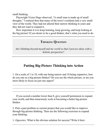small thinking.

Playwright Victor Hugo observed, "A small man is made up of small thoughts." I realized then that many of the town's residents had a very small view of the world. They had not altered their narrow thinking in years and they did not want to expand it.

How important it is to keep learning, keep growing, and keep looking at the big picture! If you desire to be a good thinker, that's what you need to do.

## **THINKING QUESTION**

*Am I thinking beyond myself and my world so that I process ideas with a holistic perspective?*

## **Putting Big-Picture Thinking into Action**

1. On a scale of 1 to 10, with one being narrow and 10 being expansive, how do you rate as a big-picture thinker? Do you see the whole picture, or are you more likely to focus on just one aspect?

 $\mathcal{L}_\mathcal{L} = \{ \mathcal{L}_\mathcal{L} = \{ \mathcal{L}_\mathcal{L} = \{ \mathcal{L}_\mathcal{L} = \{ \mathcal{L}_\mathcal{L} = \{ \mathcal{L}_\mathcal{L} = \{ \mathcal{L}_\mathcal{L} = \{ \mathcal{L}_\mathcal{L} = \{ \mathcal{L}_\mathcal{L} = \{ \mathcal{L}_\mathcal{L} = \{ \mathcal{L}_\mathcal{L} = \{ \mathcal{L}_\mathcal{L} = \{ \mathcal{L}_\mathcal{L} = \{ \mathcal{L}_\mathcal{L} = \{ \mathcal{L}_\mathcal{$  $\mathcal{L}_\mathcal{L} = \{ \mathcal{L}_\mathcal{L} = \{ \mathcal{L}_\mathcal{L} = \{ \mathcal{L}_\mathcal{L} = \{ \mathcal{L}_\mathcal{L} = \{ \mathcal{L}_\mathcal{L} = \{ \mathcal{L}_\mathcal{L} = \{ \mathcal{L}_\mathcal{L} = \{ \mathcal{L}_\mathcal{L} = \{ \mathcal{L}_\mathcal{L} = \{ \mathcal{L}_\mathcal{L} = \{ \mathcal{L}_\mathcal{L} = \{ \mathcal{L}_\mathcal{L} = \{ \mathcal{L}_\mathcal{L} = \{ \mathcal{L}_\mathcal{$  $\mathcal{L}_\mathcal{L} = \{ \mathcal{L}_\mathcal{L} = \{ \mathcal{L}_\mathcal{L} = \{ \mathcal{L}_\mathcal{L} = \{ \mathcal{L}_\mathcal{L} = \{ \mathcal{L}_\mathcal{L} = \{ \mathcal{L}_\mathcal{L} = \{ \mathcal{L}_\mathcal{L} = \{ \mathcal{L}_\mathcal{L} = \{ \mathcal{L}_\mathcal{L} = \{ \mathcal{L}_\mathcal{L} = \{ \mathcal{L}_\mathcal{L} = \{ \mathcal{L}_\mathcal{L} = \{ \mathcal{L}_\mathcal{L} = \{ \mathcal{L}_\mathcal{$ 

If you scored a number lower than 8, give yourself permission to expand your world, and then tenaciously work at becoming a better big-picture thinker.

2. Pick a past problem or current project that you would like to improve through big-picture thinking. Then use the following exercises to expand your thinking:

 $\overline{\phantom{a}}$  , and the contribution of the contribution of the contribution of the contribution of the contribution of the contribution of the contribution of the contribution of the contribution of the contribution of the

1. *Opposites:* What is the obvious solution for success? Write it here: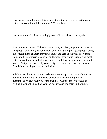Now, what is an alternate solution, something that would resolve the issue but seems to contradict the first idea? Write it here:

 $\mathcal{L}_\mathcal{L} = \{ \mathcal{L}_\mathcal{L} = \{ \mathcal{L}_\mathcal{L} = \{ \mathcal{L}_\mathcal{L} = \{ \mathcal{L}_\mathcal{L} = \{ \mathcal{L}_\mathcal{L} = \{ \mathcal{L}_\mathcal{L} = \{ \mathcal{L}_\mathcal{L} = \{ \mathcal{L}_\mathcal{L} = \{ \mathcal{L}_\mathcal{L} = \{ \mathcal{L}_\mathcal{L} = \{ \mathcal{L}_\mathcal{L} = \{ \mathcal{L}_\mathcal{L} = \{ \mathcal{L}_\mathcal{L} = \{ \mathcal{L}_\mathcal{$ 

 $\mathcal{L}_\mathcal{L} = \{ \mathcal{L}_\mathcal{L} = \{ \mathcal{L}_\mathcal{L} = \{ \mathcal{L}_\mathcal{L} = \{ \mathcal{L}_\mathcal{L} = \{ \mathcal{L}_\mathcal{L} = \{ \mathcal{L}_\mathcal{L} = \{ \mathcal{L}_\mathcal{L} = \{ \mathcal{L}_\mathcal{L} = \{ \mathcal{L}_\mathcal{L} = \{ \mathcal{L}_\mathcal{L} = \{ \mathcal{L}_\mathcal{L} = \{ \mathcal{L}_\mathcal{L} = \{ \mathcal{L}_\mathcal{L} = \{ \mathcal{L}_\mathcal{$  $\mathcal{L}_\mathcal{L} = \{ \mathcal{L}_\mathcal{L} = \{ \mathcal{L}_\mathcal{L} = \{ \mathcal{L}_\mathcal{L} = \{ \mathcal{L}_\mathcal{L} = \{ \mathcal{L}_\mathcal{L} = \{ \mathcal{L}_\mathcal{L} = \{ \mathcal{L}_\mathcal{L} = \{ \mathcal{L}_\mathcal{L} = \{ \mathcal{L}_\mathcal{L} = \{ \mathcal{L}_\mathcal{L} = \{ \mathcal{L}_\mathcal{L} = \{ \mathcal{L}_\mathcal{L} = \{ \mathcal{L}_\mathcal{L} = \{ \mathcal{L}_\mathcal{$ 

 $\mathcal{L}_\mathcal{L} = \{ \mathcal{L}_\mathcal{L} = \{ \mathcal{L}_\mathcal{L} = \{ \mathcal{L}_\mathcal{L} = \{ \mathcal{L}_\mathcal{L} = \{ \mathcal{L}_\mathcal{L} = \{ \mathcal{L}_\mathcal{L} = \{ \mathcal{L}_\mathcal{L} = \{ \mathcal{L}_\mathcal{L} = \{ \mathcal{L}_\mathcal{L} = \{ \mathcal{L}_\mathcal{L} = \{ \mathcal{L}_\mathcal{L} = \{ \mathcal{L}_\mathcal{L} = \{ \mathcal{L}_\mathcal{L} = \{ \mathcal{L}_\mathcal{$  $\mathcal{L}_\mathcal{L} = \{ \mathcal{L}_\mathcal{L} = \{ \mathcal{L}_\mathcal{L} = \{ \mathcal{L}_\mathcal{L} = \{ \mathcal{L}_\mathcal{L} = \{ \mathcal{L}_\mathcal{L} = \{ \mathcal{L}_\mathcal{L} = \{ \mathcal{L}_\mathcal{L} = \{ \mathcal{L}_\mathcal{L} = \{ \mathcal{L}_\mathcal{L} = \{ \mathcal{L}_\mathcal{L} = \{ \mathcal{L}_\mathcal{L} = \{ \mathcal{L}_\mathcal{L} = \{ \mathcal{L}_\mathcal{L} = \{ \mathcal{L}_\mathcal{$ 

How can you make those seemingly contradictory ideas work together?

2. *Insight from Others:* Take that same issue, problem, or project to three to five people who can give you insight on it. Be sure to pick good people using the criteria in the chapter: they must know and care about you, know their field, and bring experience deeper and broader than yours. Before you meet with each of them, spend adequate time formulating the questions you want to ask. That process will help you clarify the issues, and it will show your friends how much you respect their time.

3. Make learning from your experiences a regular part of your daily routine. Set aside a few minutes at the end of each day (or first thing the next morning) to review what you learn each day. Capture those thoughts in writing and file them so that you can retrieve and use them in the future.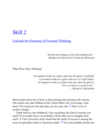# [Skill](#page-2-0) 2

Unleash the Potential of Focused [Thinking](#page-2-0)

*"He did each thing as if he did nothing else."* SPOKEN OF NOVELIST CHARLES DICKENS

What Were They Thinking?

*"An optimist looks at a glass and says the glass is half full. A pessimist looks at a glass and says it is half empty. An engineer looks at a glass and says that the glass is twice as big as it needs to be."* —SOURCE UNKNOWN

Most people spent lots of time as kids drawing and coloring with crayons. One source says that children in the United States will, on average, wear down 730 crayons by the time they are ten years old.  $\frac{17}{1}$  $\frac{17}{1}$  $\frac{17}{1}$ That's a lot of creative energy!

Think back to your childhood. Can you picture the kind of crayons you used? If you really focus you probably will be able even to imagine their *smell.* A Yale University study found that the smell of crayons is among the most recognizable scents to American adults. <sup>[18](#page-234-1)</sup> You can probably picture the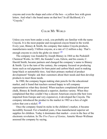crayons and even the shape and color of the box—a yellow box with green letters. And what's the brand name on that box? In all likelihood, it's "Crayola."

#### COLOR M<sup>Y</sup> WORLD

Unless you were born under a rock, you probably are familiar with the name Crayola. It is the most popular and recognized crayon brand in the world. Every year, Binney & Smith, the company that makes Crayola products, manufactures nearly 3 billion crayons, at a rate of 12 million a day. That's enough crayons to circle the globe six times!  $\frac{19}{12}$  $\frac{19}{12}$  $\frac{19}{12}$ 

The company was founded by Joseph Binney in 1864 as the Peekskill Chemical Works. In 1885, the founder's son, Edwin, and his cousin, C. Harold Smith, became partners and changed the company's name to Binney & Smith. Up to the turn of the century, the company focused on producing items such as red pigments for barn paint and carbon black used in making lamp black or automobile tires. And their primary method of product development? Simple: ask their customers about their needs and then develop products to meet those needs.

In 1900, the company began making slate pencils for the educational market, and it found that teachers seemed happy to tell company representatives what they desired. When teachers complained about poor chalk, Binney & Smith produced a superior, dustless variety. When they complained that they couldn't buy a decent American crayon (the best were imported from Europe and very expensive), it developed the Crayola. The company introduced the product to the market in 1903 as a box of eight colors that cost a nickel.  $\frac{20}{20}$  $\frac{20}{20}$  $\frac{20}{20}$ 

Once the company found its niche in the children's market, it became incredibly focused. For a hundred years, it has manufactured superior art supplies for children. Today it dominates that market—even in the face of the electronic revolution. In *The Five Faces of Genius,* Annette Moser-Wellman assessed the company by saying,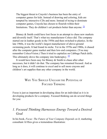The biggest threat to Crayola's business has been the entry of computer games for kids. Instead of drawing and coloring, kids are tempted by interactive CDs and more. Instead of trying to dominate computer games, Crayola has chosen to flourish within their limitations. They do children's art products better than anyone.  $21$ 

Binney & Smith could have lost focus in an attempt to chase new markets and diversify itself. That's what toy manufacturer Coleco did. The company started out in leather goods in the 1950s and then switched to plastics. In the late 1960s, it was the world's largest manufacturer of above-ground swimming pools. It had found its niche. Yet in the 1970s and 1980s, it chased after the computer game market and then low-end computers. (You may remember ColecoVision.) Then it tried to capitalize on Cabbage Patch dolls. This ultimately drove the company into bankruptcy.  $\frac{22}{3}$  $\frac{22}{3}$  $\frac{22}{3}$ 

It would have been easy for Binney & Smith to chase after other successes, but it didn't do that. The company has remained focused. And as long as it does, it will continue to excel and to sell more crayons and children's art supplies than any other company in the world.

### WHY YOU SHOULD UNLEASH THE POTENTIAL OF FOCUSED THINKING

Focus is just as important in developing ideas for an individual as it is in developing products for a company. Focused thinking can do several things for you:

## *1. Focused Thinking Harnesses Energy Toward a Desired Goal*

In his book, *Focus: The Future of Your Company Depends on It,* marketing consultant Al Ries gives a tremendous illustration: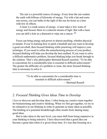The sun is a powerful source of energy. Every hour the sun washes the earth with billions of kilowatts of energy. Yet with a hat and some sun-screen, you can bathe in the light of the sun for hours at a time with few ill effects.

A laser is a weak source of energy. A laser takes a few watts of energy and focuses them in a coherent stream of light. But with a laser you can drill a hole in a diamond or wipe out a cancer.  $\frac{23}{5}$  $\frac{23}{5}$  $\frac{23}{5}$ 

Focus can bring energy and power to almost anything, whether physical or mental. If you're learning how to pitch a baseball and you want to develop a good curveball, then focused thinking while practicing will improve your technique. If you need to refine the manufacturing process of your product, focused thinking will help you develop the best method. If you want to solve a difficult mathematics problem, focused thinking helps you break through to the solution. That's why philosopher Bertrand Russell asserted, "To be able to concentrate for a considerable time is essential to difficult achievement." The greater the difficulty of a problem or issue, the more focused thinking time is necessary to solve it.

> "To be able to concentrate for a considerable time is essential to difficult achievement."

—Bertrand Russell

#### *2. Focused Thinking Gives Ideas Time to Develop*

I love to discover and develop ideas. I often bring my creative team together for brainstorming and creative thinking. When we first get together, we try to be exhaustive in our thinking in order to generate as many ideas as possible. The birthing of a potential breakthrough often results from sharing many good ideas.

But to take ideas to the next level, you must shift from being expansive in your thinking to being selective. I have discovered that a good idea can become a great idea when it is given focus time. It's true that focusing on a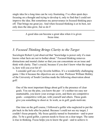single idea for a long time can be very frustrating. I've often spent days focusing on a thought and trying to develop it, only to find that I could not improve the idea. But sometimes my perseverance in focused thinking pays off. That brings me great joy. And when focused thinking is at its best, not only does the idea grow, but so do I!

> A good idea can become a great idea when it is given focus time.

## *3. Focused Thinking Brings Clarity to the Target*

Sociologist Robert Lynd observed that "knowledge is power only if a man knows what facts are not to bother about." Focused thinking removes distractions and mental clutter so that you can concentrate on an issue and think with clarity. That's crucial, because if you don't know what the target is, how will you ever hit it?

I consider golf one of my favorite hobbies. It's a wonderfully challenging game. I like it because the objectives are so clear. Professor William Mobley of the University of South Carolina made the following observation about golf:

One of the most important things about golf is the presence of clear goals. You see the pins, you know the par—it's neither too easy nor unattainable, you know your average score, and there are competitive goals—competitive with par, with yourself and others. These goals give you something to shoot at. In work, as in golf, goals motivate.

One time on the golf course, I followed a golfer who neglected to put the pin back in the hole after he putted. Because I could not see my target, I couldn't focus properly. My focus quickly turned to frustration—and to poor play. To be a good golfer, a person needs to focus on a clear target. The same is true in thinking. Focus helps you to know the goal—and to achieve it.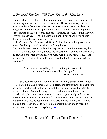## *4. Focused Thinking Will Take You to the Next Level*

No one achieves greatness by becoming a generalist. You don't hone a skill by diluting your attention to its development. The only way to get to the next level is to focus. No matter whether your goal is to increase your level of play, sharpen your business plan, improve your bottom line, develop your subordinates, or solve personal problems, you need to focus. Author Harry A. Overstreet observed, "The immature mind hops from one thing to another; the mature mind seeks to follow through."

In *The Road Less Traveled,* M. Scott Peck includes a telling story about himself and his personal ineptitude in fixing things.

Any time he attempted to make minor repairs or put anything together, the result was always confusion, failure, and frustration. Then one day on a walk, he saw a neighbor repairing a lawn mower. Peck told the man, "Boy, I sure admire you. I've never been able to fix those kind of things or do anything like that."

> "The immature mind hops from one thing to another; the mature mind seeks to follow through." —Harry A. Overstreet

"That's because you don't take the time," the neighbor answered. After reflecting on the man's statement, Peck decided to test its truth. The next time he faced a mechanical challenge, he took his time and focused his attention on the problem. Much to his surprise, at age thirty-seven, he succeeded.

After that, he knew that he was not "cursed or genetically defective or otherwise incapacitated or impotent." If he wanted to go to the next level in that area of his life, he could do it—if he was willing to focus on it. He now makes a conscious choice to neglect unimportant things and to focus his attention on his profession: psychiatry.  $\frac{24}{3}$  $\frac{24}{3}$  $\frac{24}{3}$ 

## WHERE SHOULD YOU FOCUS YOUR THINKING?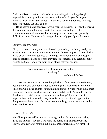Peck's realization that he could achieve something that he long thought impossible brings up an important point. Where should you focus your thinking? Does every area of your life deserve dedicated, focused thinking time? Of course, the answer is no.

Be selective, not exhaustive, in your focused thinking. For me, that means dedicating in-depth thinking time to four areas: leadership, creativity, communication, and intentional networking. Your choices will probably differ from mine. Here are a few suggestions to help you figure them out:

#### *Identify Your Priorities*

First, take into account your priorities—for yourself, your family, and your team. Author, consultant, and award-winning thinker quipped, "A conclusion is the place where you get tired of thinking." Unfortunately, many people land on priorities based on where they run out of steam. You certainly don't want to do that. Nor do you want to let others set your agenda.

> "A conclusion is the place where you get tired of thinking."

—Edward DeBono

There are many ways to determine priorities. If you know yourself well, begin by focusing on your strengths, the things that make best use of your skills and God-given talents. You might also focus on what brings the highest return and reward. Do what you enjoy most and do best. You could use the 80/20 rule. Give 80 percent of your effort to the top 20 percent (most important) activities. Another way is to focus on exceptional opportunities that promise a huge return. It comes down to this: give your attention to the areas that bear fruit.

#### *Discover Your Gifts*

Not all people are self-aware and have a good handle on their own skills, gifts, and talents. They are a little like the comic strip character Charlie Brown. One day after striking out in a baseball game, he says, "Rats! I'll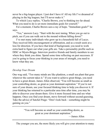never be a big-league player. I just don't have it! All my life I've dreamed of playing in the big leagues, but I'll never make it."

To which Lucy replies, "Charlie Brown, you're thinking too far ahead. What you need to do is set more immediate goals for yourself."

For a moment, Charlie Brown sees a ray of hope. "Immediate goals?" he says.

"Yes," answers Lucy. "Start with the next inning. When you go out to pitch, see if you can walk out to the mound without falling down!"

I've met many individuals who grew up in a household full of Lucys. They received little encouragement or affirmation, and as a result seem at a loss for direction. If you have that kind of background, you need to work extra hard to figure out what your gifts are. Take a personality profile such as DISC or Myers-Briggs. Interview positive friends and family members to see where they think you shine. Spend some time reflecting on past successes. If you're going to focus your thinking in your areas of strength, you need to know what they are.

#### *Develop Your Dream*

One wag said, "Too many minds are like plankton, a small sea plant that goes wherever the current takes it." If you want to achieve great things, you need to have a great dream. James Allen observed, "You will become as small as your controlling desire, as great as your dominant aspiration." If you're not sure of your dream, use your focused thinking time to help you discover it. If your thinking has returned to a particular area time after time, you may be able to discover your dream there. Give it more focused time and see what happens. Once you find your dream, move forward without second-guessing. Take the advice of Satchel Paige: "Don't look back—something might be gaining on you."

> "You will become as small as your controlling desire, as great as your dominant aspiration."

—James Allen

The younger you are, the more likely you will give your attention to many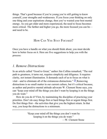things. That's good because if you're young you're still getting to know yourself, your strengths and weaknesses. If you focus your thinking on only one thing and your aspirations change, then you've wasted your best mental energy. As you get older and more experienced, the need to focus becomes more critical. The farther and higher you go, the more focused you can be and need to be.

## HOW CAN YOU STAY FOCUSED?

Once you have a handle on what you should think about, you must decide how to better focus on it. Here are five suggestions to help you with the process:

### *1. Remove Distractions*

In an article called "Good to Great," author Jim Collins remarked, "The real path to greatness, it turns out, requires simplicity and diligence. It requires clarity, not instant illumination. It demands each of us to focus on what is vital—and to eliminate all of the extraneous distractions."  $\frac{25}{2}$  $\frac{25}{2}$  $\frac{25}{2}$  Removing distractions is no small matter in our current culture, but it's critical because, as author and positive mental attitude advocate W. Clement Stone says, you can "keep your mind off the things you don't want by keeping it on the things you do want."

How do you do it? First, by maintaining the discipline of practicing your priorities. Don't do easy things first or hard things first or urgent things first. Do first things first—the activities that give you the highest return. In that way, you keep the distractions to a minimum.

> "Keep your mind off the things you don't want by keeping it on the things you do want."

—W. Clement Stone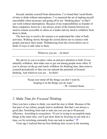Second, insulate yourself from distractions. I've found that I need blocks of time to think without interruptions. I've mastered the art of making myself unavailable when necessary and going off to my "thinking place" so that I can work without interruptions. Because of my responsibilities as founder of three companies, however, I am always aware of the tension between my need to remain accessible to others as a leader and my need to withdraw from them to think.

The best way to resolve the tension is to understand the value of both activities. Walking slowly through the crowd allows me to connect with people and know their needs. Withdrawing from the crowd allows me to think of ways to add value to them.

Wherever you are ... be there!

My advice to you is to place value on and give attention to both. If you naturally withdraw, then make sure to get out among people more often. If you're always on the go and rarely withdraw for thinking time, then remove yourself periodically so that you can unleash the potential of focused thinking. And wherever you are …be there!

> "Keep your mind off the things you don't want by keeping it on the things you do want." —W. Clement Stone

#### *2. Make Time for Focused Thinking*

Once you have a place to think, you need the *time* to think. Because of the fast pace of our culture, people tend to multitask. But that's not always a good idea. Switching from task to task can cost you up to 40 percent efficiency. According to researchers, "If you're trying to accomplish many things at the same time, you'll get more done by focusing on one task at a time, *not* by switching constantly from one task to another."  $\frac{26}{5}$  $\frac{26}{5}$  $\frac{26}{5}$ 

Years ago I realized that my best thinking time occurs in the morning.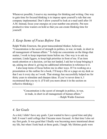Whenever possible, I reserve my mornings for thinking and writing. One way to gain time for focused thinking is to impose upon yourself a rule that one company implemented. Don't allow yourself to look at e-mail until after 10 A.M. Instead, focus your energies on your number one priority. Put nonproductive time wasters on hold so that you can create thinking time for yourself.

## *3. Keep Items of Focus Before You*

Ralph Waldo Emerson, the great transcendental thinker, believed, "Concentration is the secret of strength in politics, in war, in trade, in short in all management of human affairs." To help me concentrate on the things that matter, I work to keep important items before me. One way is to ask my assistant, Linda Eggers, to keep high priorities in front of me. If an item needs attention or a decision, yet has not landed, I ask her to keep bringing it up, asking me about it, giving me additional information in reference to it.

I also keep items of focus before me in other ways. If I'm working on a presentation or the outline for a book, I'll keep a file or a page on my desk so that I see it every day as I work. That strategy has successfully helped me for thirty years to stimulate and sharpen ideas. If you've never done it, I recommend that you try it. (I'll tell you more about it in the section on reflective thinking.)

> "Concentration is the secret of strength in politics, in war, in trade, in short in all management of human affairs." —Ralph Waldo Emerson

## *4. Set Goals*

As a kid, I didn't have any goals. I just wanted to have a good time and play ball. It wasn't until college that I became more focused. At that time I also set my first goals. It was good that I finally was becoming more intentional about my life, but when I look back at those goals, I laugh. My lifetime goals were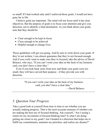so small! If I had worked only until I achieved those goals, I would not have gone far in life.

I believe goals are important. The mind will not focus until it has clear objectives. But the purpose of goals is to focus your attention and give you direction, not to identify a final destination. As you think about your goals, note that they should be

- Clear enough to be kept in focus
- Close enough to be achieved
- Helpful enough to change lives

Those guidelines will get you going. And be sure to write down your goals. If they're not written, I can almost guarantee that they're not focused enough. And if you *really* want to make sure they're focused, take the advice of David Belasco, who says, "If you can't write your idea on the back of my business card, you don't have a clear idea."

Even if you look back years from now and think your goals were too small, they will have served their purpose—if they provide you with direction.

> "If you can't write your idea on the back of my business card, you don't have a clear idea."

—David Belasco

## *5. Question Your Progress*

Take a good look at yourself from time to time to see whether you are actually making progress. That is the most accurate measure of whether you are making the best use of focused thinking. Ask yourself, "Am I seeing a return for my investment of focused thinking time? Is what I am doing getting me closer to my goals? Am I headed in a direction that helps me to fulfill my commitments, maintain my priorities, and realize my dreams?"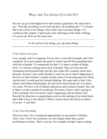## WHAT ARE YOU GIVING UP TO GO UP?

No one can go to the highest level and remain a generalist. My dad used to say, "Find the one thing you do well and don't do anything else." I've found that to do well at a few things, I have had to give up many things. As I worked on this chapter, I spent some time reflecting on the kinds of things I've given up. Here are the main ones:

To do well at a few things, give up many things.

#### *I Can't Know Everyone*

I love people, and I'm outgoing. Put me into a room full of people, and I feel energized. So it goes against my grain to restrict myself from spending time with lots of people. To compensate for that, I've done a couple of things. First, I've chosen a strong inner circle of people. They not only provide tremendous professional help, but they also make life's journey much more pleasant. Second, I ask certain friends to catch me up on what's happening in the lives of other friends. I usually do that when I'm traveling and can't block out the time I would need for focused thinking. My main man is Stan Toler, whom I call Mister Relationship. He and I have been friends for over thirtyfive years. We have a lot of shared experiences and common friends. One call to Stan is worth a month of socializing. He seems to know what's going on with everybody. He even knows what's happening with me before I do! Recently he faxed me a congratulatory note on the ranking of my latest book, and I didn't have a clue about it. When I want to know the latest on others or on me—I call Stan.

#### *I Can't Do Everything*

There are only a few exceptional opportunities in any person's lifetime. That's why I strive for excellence in a few things rather than a good performance in many. That's cost me. For example, though I enjoy reading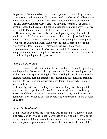for pleasure, I've not read one novel since I graduated from college. Instead, I've chosen to dedicate my reading time to nonfiction because I believe those works spur the kind of growth I desire both personally and professionally. I'm also utterly helpless when it comes to anything technical. For years, if anything needed to be repaired, I called a friend to help out. Today, I call my son, Joel. If it's mechanical or electronic, he can build it or fix it.

Because of my workload, I also have to skip doing many things that I would love to do. For example, every week I hand off projects that I think would be fun to do myself. I practice the 10-80-10 principle with the people to whom I'm delegating a task. I help with the first 10 percent by casting vision, laying down parameters, providing resources, and giving encouragement. Then once they've done the middle 80 percent, I come alongside them again and help them take whatever it is the rest of the way, if I can. I call it putting the cherry on top.

#### *I Can't Go Everywhere*

Every conference speaker and author has to travel a lot. Before I began doing much speaking, that seemed like a glamorous life. But after logging several million miles on airplanes, eating bad food, sleeping in less than comfortable accommodations, keeping a ridiculously demanding schedule, and spending more nights than I can count away from my family, I know what kind of a toll it can take.

Ironically, I still love traveling for pleasure with my wife, Margaret. It's one of our great joys. She and I could take ten vacations a year and enjoy every one of them. Yet we can't, because so much of my time is consumed doing what I was called to do: help people to grow personally and to develop as leaders.

#### *I Can't Be Well-Rounded*

Being focused also keeps me from being well-rounded. I tell people, "Ninetynine percent of everything in life I don't need to know about." I try to focus on the one percent that gives the highest return. And of the remaining ninetynine, Margaret keeps me aware of whatever I need to know. It's one of the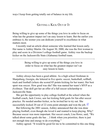ways I keep from getting totally out of balance in my life.

#### GETTING <sup>A</sup> KICK OUT OF I<sup>T</sup>

Being willing to give up some of the things you love in order to focus on what has the greatest impact isn't an easy lesson to learn. But the earlier you embrace it, the sooner you can dedicate yourself to excellence in what matters most.

I recently read an article about someone who learned that lesson early. Her name is Ashley Martin. On August 30, 2000, she was the first woman to play and score in a Division I college football game. Ashley was the backup kicker on the Jacksonville State (Alabama) football team.

> Being willing to give up some of the things you love in order to focus on what has the greatest impact isn't an easy lesson to learn.

Ashley always has been a good athlete. As a high school freshman in Sharpsburg, Georgia, she lettered in five sports: soccer, basketball, softball, track and football (where she scored 85 points kicking for her team). Her best sport was soccer. How good was she? She was named her team's MVP as a *freshman.* That skill got her an offer of a full soccer scholarship to Jacksonville State.

She got the opportunity to play college football at the school when the football coach, Jack Crowe, saw her kicking field goals for fun after soccer practice. He needed another kicker, so he invited her to try out. She successfully kicked 20 out of 22 extra point attempts and won the job.  $\frac{27}{1}$  $\frac{27}{1}$  $\frac{27}{1}$ 

But following the 2001 season, Ashley announced that she was done playing football, even though she loved it and wanted to keep playing. Why? Because soccer was more important. Her soccer coach, Lisa Howe, said, "We talked about some goals she has …I think when you prioritize, there is just not enough time and energy to do everything."

Ashley agreed. "It would be good for me to be committed to this one thing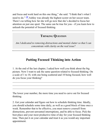and focus and work hard on this one thing," she said. "I think that's what I need to do."  $\frac{28}{3}$  $\frac{28}{3}$  $\frac{28}{3}$  Ashley was already the highest scorer on her soccer team. There's no telling how far she will go now that she's decided to focus her attention on just one sport. The same can be true for you—if you learn how to unleash the potential of focused thinking.

## **THINKING QUESTION**

*Am I dedicated to removing distractions and mental clutter so that I can concentrate with clarity on the real issue?*

## **Putting Focused Thinking into Action**

1. At the end of the last chapter, I asked how well you think about the big picture. Now I want to ask the same question related to focused thinking. On a scale of 1 to 10, with one being scattered and 10 being focused, how well do you focus your thinking?

 $\mathcal{L}_\mathcal{L} = \{ \mathcal{L}_\mathcal{L} = \{ \mathcal{L}_\mathcal{L} = \{ \mathcal{L}_\mathcal{L} = \{ \mathcal{L}_\mathcal{L} = \{ \mathcal{L}_\mathcal{L} = \{ \mathcal{L}_\mathcal{L} = \{ \mathcal{L}_\mathcal{L} = \{ \mathcal{L}_\mathcal{L} = \{ \mathcal{L}_\mathcal{L} = \{ \mathcal{L}_\mathcal{L} = \{ \mathcal{L}_\mathcal{L} = \{ \mathcal{L}_\mathcal{L} = \{ \mathcal{L}_\mathcal{L} = \{ \mathcal{L}_\mathcal{$  $\mathcal{L}_\mathcal{L} = \{ \mathcal{L}_\mathcal{L} = \{ \mathcal{L}_\mathcal{L} = \{ \mathcal{L}_\mathcal{L} = \{ \mathcal{L}_\mathcal{L} = \{ \mathcal{L}_\mathcal{L} = \{ \mathcal{L}_\mathcal{L} = \{ \mathcal{L}_\mathcal{L} = \{ \mathcal{L}_\mathcal{L} = \{ \mathcal{L}_\mathcal{L} = \{ \mathcal{L}_\mathcal{L} = \{ \mathcal{L}_\mathcal{L} = \{ \mathcal{L}_\mathcal{L} = \{ \mathcal{L}_\mathcal{L} = \{ \mathcal{L}_\mathcal{$  $\mathcal{L}_\mathcal{L} = \{ \mathcal{L}_\mathcal{L} = \{ \mathcal{L}_\mathcal{L} = \{ \mathcal{L}_\mathcal{L} = \{ \mathcal{L}_\mathcal{L} = \{ \mathcal{L}_\mathcal{L} = \{ \mathcal{L}_\mathcal{L} = \{ \mathcal{L}_\mathcal{L} = \{ \mathcal{L}_\mathcal{L} = \{ \mathcal{L}_\mathcal{L} = \{ \mathcal{L}_\mathcal{L} = \{ \mathcal{L}_\mathcal{L} = \{ \mathcal{L}_\mathcal{L} = \{ \mathcal{L}_\mathcal{L} = \{ \mathcal{L}_\mathcal{$ 

The lower your number, the more time you need to carve out for focused thinking.

2. Get your calendar and figure out how to schedule thinking time. Ideally, you should schedule some time daily, as well as a good block of time once a week. Remember that to be effective, you must remove yourself from distractions, prevent unwanted interruptions, and be able to focus. Pick the best place and your most productive time of day for your focused thinking time. Then put it on your calendar and treat it as you would any important appointment.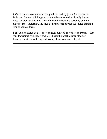3. Our lives are most affected, for good and bad, by just a few events and decisions. Focused thinking can provide the arena to significantly impact those decisions and events. Determine which decisions currently on your plate are most important, and then dedicate some of your scheduled thinking time to address them.

4. If you don't have goals—or your goals don't align with your dreams—then your focus time will get off track. Dedicate this week's large block of thinking time to considering and writing down your current goals.

 $\mathcal{L}_\mathcal{L} = \{ \mathcal{L}_\mathcal{L} = \{ \mathcal{L}_\mathcal{L} = \{ \mathcal{L}_\mathcal{L} = \{ \mathcal{L}_\mathcal{L} = \{ \mathcal{L}_\mathcal{L} = \{ \mathcal{L}_\mathcal{L} = \{ \mathcal{L}_\mathcal{L} = \{ \mathcal{L}_\mathcal{L} = \{ \mathcal{L}_\mathcal{L} = \{ \mathcal{L}_\mathcal{L} = \{ \mathcal{L}_\mathcal{L} = \{ \mathcal{L}_\mathcal{L} = \{ \mathcal{L}_\mathcal{L} = \{ \mathcal{L}_\mathcal{$  $\mathcal{L}_\mathcal{L} = \{ \mathcal{L}_\mathcal{L} = \{ \mathcal{L}_\mathcal{L} = \{ \mathcal{L}_\mathcal{L} = \{ \mathcal{L}_\mathcal{L} = \{ \mathcal{L}_\mathcal{L} = \{ \mathcal{L}_\mathcal{L} = \{ \mathcal{L}_\mathcal{L} = \{ \mathcal{L}_\mathcal{L} = \{ \mathcal{L}_\mathcal{L} = \{ \mathcal{L}_\mathcal{L} = \{ \mathcal{L}_\mathcal{L} = \{ \mathcal{L}_\mathcal{L} = \{ \mathcal{L}_\mathcal{L} = \{ \mathcal{L}_\mathcal{$  $\mathcal{L}_\mathcal{L} = \{ \mathcal{L}_\mathcal{L} = \{ \mathcal{L}_\mathcal{L} = \{ \mathcal{L}_\mathcal{L} = \{ \mathcal{L}_\mathcal{L} = \{ \mathcal{L}_\mathcal{L} = \{ \mathcal{L}_\mathcal{L} = \{ \mathcal{L}_\mathcal{L} = \{ \mathcal{L}_\mathcal{L} = \{ \mathcal{L}_\mathcal{L} = \{ \mathcal{L}_\mathcal{L} = \{ \mathcal{L}_\mathcal{L} = \{ \mathcal{L}_\mathcal{L} = \{ \mathcal{L}_\mathcal{L} = \{ \mathcal{L}_\mathcal{$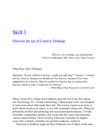# [Skill](#page-2-1) 3

Discover the Joy of Creative [Thinking](#page-2-1)

*"The joy is in creating, not maintaining."* —VINCE LOMBARDI, NFL HALL OF FAME COACH

What Were They Thinking?

Question: "If you could live forever, would you and why?" Answer: "I would not live forever, because we should not live forever, because if we were supposed to live forever, then we could live forever, but we cannot live forever, which is why I would not live forever."

—1994 MISS USA PAGEANT CONTESTANT

When I went off to college as an eighteen-year-old, one of my first classes was Psychology 101. I found it interesting. I liked people, and I was intrigued to learn more about what made them tick. The teacher wanted us to learn as much about ourselves as others, so we were constantly taking tests, filling out personality profiles and answering self-assessment questionnaires. I vividly remember completing a profile a few weeks into the course that measured various natural talents. I don't recall in what area I recorded my highest score, but I certainly remember my greatest weakness: creativity.

That kind of feedback might not have bothered a lot of others in the class,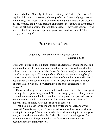but it crushed me. Not only did I value creativity and desire it, but I knew I required it in order to pursue my chosen profession. I was studying to go into the ministry. That meant that I would be spending many hours every week of my life writing, and I would speak to an audience at least two or three times a week (sometimes more) for the next four decades. How would you feel if you had to listen to an uncreative person speak every week of your life? It's a pretty grim thought!

PROSPECTING FOR IDEAS

"Originality is the art of concealing your source." —Thomas Edison

What was I going to do? I did not consider changing careers an option. I had committed myself to being a pastor; one does not turn his back on what he believes to be God's work. *If I don't have the innate ability to come up with creative thoughts myself,* I thought, *then I'll mine the creative thoughts of others.* I knew that I could become a collector of thoughts more easily than I could become a creator of thoughts. After all, wasn't it the great inventor Thomas Edison who stated, "Originality is the art of concealing your source"?

Every day during the three and a half decades since then, I have read great books, gathered great thoughts, and filed them away by subject. For years as I've written lessons and books, when I wanted a quote, story, or article on a topic, I needed only look in my files to find several excellent pieces of material that I had filed away for just such an occasion.

That discipline has served me well as a writer and speaker. As writer Rosabeth Moss Kanter says, "To stay ahead, you must have your next idea waiting in the wings." I've never failed to have ideas waiting in the wings, or in my case, waiting in the files. But I also discovered something else. By becoming a person always on the lookout for creative ideas, I learned to become a creative thinker myself.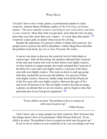#### PURE GOLD

You don't have to be a writer, pastor, or professional speaker to value creativity. Annette Moser-Wellman, author of *The Five Faces of Genius,* asserts, *"The most valuable resource you bring to your work and to your firm is your creativity.* More than what you get done, more than the role you play, more than your title, more than your 'output'—it's your ideas that matter."  $\frac{29}{1}$  $\frac{29}{1}$  $\frac{29}{1}$ Creativity is pure gold, no matter what you do for a living.

Despite the importance of a person's ability to think with creativity, few people seem to possess the skill in abundance. Author Skipp Ross describes the problem in his book, *Say Yes to Your Potential.* He writes:

A survey was done to discover the creativity level of individuals at various ages. After all the testing, the statistics indicated that 2 percent of the men and women who were in their forties were highly creative. As they looked at younger people, the results emerged that 2 percent of the thirty-five-year-olds were highly creative; 2 percent of the thirtyyear-olds were highly creative. This went on down to each age group until they reached the seven-year-old children. Ten percent of them were highly creative. However, further study showed that 90 percent of the five-year-olds were highly creative. Between the ages of five and seven, 80 percent of us who are highly creative develop an image, a picture, an attitude that we are not creative, and we begin to deny that particular part of our God-given equipment."  $\frac{30}{30}$  $\frac{30}{30}$  $\frac{30}{30}$ 

"Every child is an artist. The problem is how to remain an artist once he grows up."

—Pablo Picasso

I don't know why so many people lose their creativity. But I do know that the change doesn't have to be permanent. Pablo Picasso believed, "Every child is an artist. The problem is how to remain an artist once he grows up."

If you're not as creative as you would like to be, you can change your way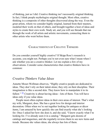of thinking, just as I did. Creative thinking isn't necessarily original thinking. In fact, I think people mythologize original thought. Most often, creative thinking is a composite of other thoughts discovered along the way. Even the great artists, whom we consider highly original, learned from their masters, modeled their work on that of others, and brought together a host of ideas and styles to create their own work. Study art, and you will see threads that run through the work of all artists and artistic movements, connecting them to other artists who went before them.

#### CHARACTERISTICS OF CREATIVE THINKERS

Do you consider yourself highly creative? If Skipp Ross's research is accurate, you might not. Perhaps you're not even sure what I mean when I ask whether you are a creative thinker. Let me explain a few of my observations. Consider some characteristics that creative thinkers have in common:

#### *Creative Thinkers Value Ideas*

Annette Moser-Wellman observes, "Highly creative people are dedicated to ideas. They don't rely on their talent alone; they rely on their discipline. Their imagination is like a second skin. They know how to manipulate it to its fullest."  $\frac{31}{2}$  $\frac{31}{2}$  $\frac{31}{2}$ Creativity is about having ideas—lots of them. You will have ideas only if you value ideas.

People most often explore ideas in their own areas of interest. That's what my wife, Margaret, does. She has a great love for design and interior decoration. Often when we're out together looking for antiques or décor items, I am amazed by how quickly she can find exactly what she's looking for. Once I asked her how she does it, and she said, "I know exactly what I'm looking for. I've already seen it in a catalog." Margaret gets dozens of catalogs and magazines, and she regularly reviews them to see new items and trends. Because she values ideas, she always has lots of them.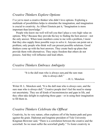## *Creative Thinkers Explore Options*

I've yet to meet a creative thinker who didn't love options. Exploring a multitude of possibilities helps to stimulate the imagination, and imagination is crucial to creativity. As Albert Einstein put it, "Imagination is more important than knowledge."

People who know me well will tell you that I place a very high value on options. Why? Because they provide the key to finding the best answer—not the only answer. When team members come to me with a problem, I insist that they also supply three possible ways to solve it. Anyone can point out a problem; only people who think well can present possible solutions. Good thinkers come up with the best answers. They create back-up plans that provide them with alternatives. They enjoy freedom that others do not possess. And they will influence and lead others.

## *Creative Thinkers Embrace Ambiguity*

"It is the dull man who is always sure,and the sure man who is always dull."

—H. L. Mencken

Writer H. L. Mencken said, "It is the dull man who is always sure, and the sure man who is always dull." Creative people don't feel the need to stamp out uncertainty. They see all kinds of inconsistencies and gaps in life, and they often take delight in exploring those gaps—or in using their imagination to fill them in.

## *Creative Thinkers Celebrate the Of beat*

Creativity, by its very nature, often explores off of the beaten path and goes against the grain. Diplomat and longtime president of Yale University Kingman Brewster said, "There is a correlation between the creative and the screwball. So we must suffer the screwball gladly." To foster creativity in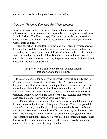yourself or others, be willing to tolerate a little oddness.

#### *Creative Thinkers Connect the Unconnected*

Because creativity utilizes the ideas of others, there's great value in being able to connect one idea to another—especially to seemingly unrelated ideas. Graphic designer Tim Hansen says, "Creativity is especially expressed in the ability to make connections, to make associations, to turn things around and express them in a new way."

Years ago when I began learning how to connect seemingly unconnected thoughts, I realized that it could often create something special. When you were a kid, did you ever play connect the dots? When you first looked at the page, it seemed just a jumble of dots. But whoever created it had done so with a plan. As you connected the dots, the picture the creator had envisioned emerged at the end of your pencil.

> The person with a plan, a picture, will go after thoughts that add value to their thinking.

It's easy to connect the dots if you know where you're going. Likewise, it's easy to connect ideas when you have a plan. As a young pastor, I disciplined myself to select my sermon topics three months in advance. That allowed me to be on the lookout for illustrations and ideas that would add value to my messages. That's when I discovered that unconnected ideas get connected when you have a plan. And before long, I realized that creative ideas become more creative when you have a plan.

That's true when writing a book, too. For months I worked diligently on the title, thesis, and outline of *Thinking for a Change.* When I completed that phase of the project, I could begin looking intentionally for content for the book. I was also able to communicate effectively with my writing team about what I was looking for, which directed our efforts in finding good material. And it sparked additional ideas. As we worked on the content, it became clear that we needed to add another chapter to help readers by really hammering home the idea of the power of changed thinking.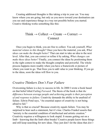Creating additional thoughts is like taking a trip in your car. You may know where you are going, but only as you move toward your destination can you see and experience things in a way not possible before you started. Creative thinking works something like this:

### Think  $\rightarrow$  Collect  $\rightarrow$  Create  $\rightarrow$  Correct  $\rightarrow$ Connect

Once you begin to think, you are free to collect. You ask yourself, *What material relates to this thought?* Once you have the material, you ask, *What ideas can make the thought better?* That can start to take an idea to the next level. After that, you can correct or refine it by asking, *What changes can make these ideas better?* Finally, you connect the ideas by positioning them in the right context to make the thought complete and powerful. The whole process happens more readily when you have a framework or picture of where you want to go. That frees you to add value to your thinking. If you go to the ideas, soon the ideas will flow to you.

#### *Creative Thinkers Don't Fear Failure*

Overcoming failure is a key to success in life. In 2000 I wrote a book based on that belief titled *Failing Forward.* The thesis of the book is that *the dif erence between average people and achieving people is their perception of and response to failure.* Creativity demands the ability to be unafraid of failure. Edwin Pond says, "An essential aspect of creativity is not being afraid to fail."

Why is that so crucial? Because creativity equals failure. You may be surprised to hear such a statement, but it's true. Charles Frankel asserts that "anxiety is the essential condition of intellectual and artistic creation." Creativity requires a willingness to look stupid. It means getting out on a limb—knowing that the limb often breaks! Creative people know these things and still keep searching for new ideas. They just don't let the ideas that *don't*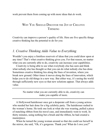work prevent them from coming up with more ideas that *do* work.

## WHY YOU SHOULD DISCOVER THE JOY OF CREATIVE **THINKING**

Creativity can improve a person's quality of life. Here are five specific things creative thinking has the potential to do for you:

#### *1. Creative Thinking Adds Value to Everything*

Wouldn't you enjoy a limitless reservoir of ideas that you could draw upon at any time? That's what creative thinking gives you. For that reason, no matter what you are currently able to do, creativity can increase your capabilities.

Creativity is being able to see what everybody else has seen and think what nobody else has thought so that you can do what nobody else has done. Sometimes creative thinking lies along the lines of invention, where you break new ground. Other times it moves along the lines of innovation, which helps you to do old things in a new way. But either way, it's seeing the world through sufficiently new eyes so that new solutions appear. That always adds value.

> No matter what you are currently able to do, creativity can make you capable of more.

A Hollywood hairdresser once got a desperate call from a young actress who needed her hair done for a big celebrity party. The hairdresser rushed to the woman's home. He took one look at what she was wearing, pulled a piece of matching ribbon from his travel case, and immediately went to work. In thirty minutes, using nothing but a brush and the ribbon, he had created a masterpiece.

When he turned the young woman around so that she could see herself in the mirror, she said, "Oh, it's gorgeous. Thank you! What do I owe you?"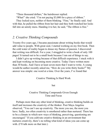"Three thousand dollars," the hairdresser replied.

"What!" she cried. "I'm not paying \$3,000 for a piece of ribbon."

They locked eyes, neither of them blinking. "Fine," he finally said. And with that, he pulled the ribbon from her hair and they both watched her locks fall into an unruly mess. Handing it to her, he said, "The ribbon is free."

### *2. Creative Thinking Compounds*

Twenty-five years ago, I became passionate about writing books that would add value to people. With great zeal, I started working on my first book. Then the cold water of reality began to douse my flames of passion. I discovered that writing was difficult. For a year, I struggled to write a book of only 100 pages! It turned out to be a small book because I ran out of things to say.

I didn't give up writing because of that difficult experience. I stuck with it and kept working on becoming more creative. Today I have written more than 30 books. And I have at least seven more that I want to write. A young would-be author recently asked me, "How do you write thirty books?" My answer was simple: one word at a time. Over the years, I've found that

#### Creative Thinking Is Hard Work

but

#### Creative Thinking Compounds Given Enough Time and Focus

Perhaps more than any other kind of thinking, creative thinking builds on itself and increases the creativity of the thinker. Poet Maya Angelou observed, "You can't use up creativity. The more you use, the more you have. Sadly, too often creativity is smothered rather than nurtured. There has to be a climate in which new ways of thinking, perceiving, questioning are encouraged." If you cultivate creative thinking in an environment that nurtures creativity, there's no telling what kind of ideas you can come up with. (I'll talk more on that later.)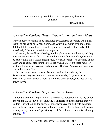"You can't use up creativity. The more you use, the more you have."

—Maya Angelou

## *3. Creative Thinking Draws People to You and Your Ideas*

Why do people continue to be fascinated by Leonardo da Vinci? Do a quick search of his name on Amazon.com, and you will come up with more than 300 book titles about him—even though he has been dead for nearly 500 years! Why? Because creativity is magnetic.

Creativity is intelligence having fun. People admire intelligence, and they are always attracted to fun—so the combination is fantastic. If anyone could be said to have fun with his intelligence, it was Da Vinci. The diversity of his ideas and expertise staggers the mind. He was a painter, architect, sculptor, anatomist, musician, inventor, and engineer. The term *Renaissance man* was coined because of him.

Just as people were drawn to Da Vinci and his ideas during the Renaissance, they are drawn to creative people today. If you cultivate creativity, you will become more attractive to other people, and they will be drawn to you.

## *4. Creative Thinking Helps You Learn More*

Author and creativity expert Ernie Zelinski says, "Creativity is the joy of not knowing it all. The joy of not knowing it all refers to the realization that we seldom if ever have all the answers; we always have the ability to generate more solutions to just about any problem. Being creative is being able to see or imagine a great deal of opportunity to life's problems. Creativity is having options."  $\frac{32}{3}$  $\frac{32}{3}$  $\frac{32}{3}$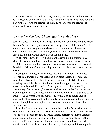It almost seems too obvious to say, but if you are always actively seeking new ideas, you will learn. Creativity is teachability. It's seeing more solutions than problems. And the greater the quantity of thoughts, the greater the chance for learning something new.

## *5. Creative Thinking Challenges the* Status Quo

Someone said, "Remember that the great wise men of the past held no respect for today's conventions, and neither will the great men of the future."  $\frac{33}{1}$  $\frac{33}{1}$  $\frac{33}{1}$  If you desire to improve your world—or even your own situation—then creativity will help you. The *status quo* and creativity are incompatible. Creativity and innovation always walk hand in hand.

When singer Elvis Presley died, he left everything in a trust for Lisa Marie, his young daughter. Soon, however, his estate was in terrible shape. In 1979, Lisa Marie's mother, Priscilla, became a co-executor of the trust and found that if she didn't do something, and quickly, the estate was on the road to ruin.

During his lifetime, Elvis received less than half of what he earned. Colonel Tom Parker, his manager, had a contract that took 50 percent of everything Elvis made, right off the top. That, and a lifestyle of free spending, meant that Elvis often found himself strapped for cash. Several years before he died, Elvis sold off the rights to most of his recordings to raise money. Consequently, his estate receives no royalties from his music, even though Elvis' recordings earned more revenue for RCA than any other artist—even 25 years after his death. Add to that a huge inheritance tax imposed by the government, and an empty mansion, Graceland, gobbling up money through taxes and upkeep, and you can imagine how bleak the situation looked.

Priscilla Presley was not about to allow her daughter's inheritance to be eaten away—but how do you earn income from Elvis' estate without Elvis? Whenever he needed money, he would simply perform at another concert, make another album, or appear in another movie. Priscilla started to think creatively. First, she took the little remaining cash from the estate and invested it into Graceland. Rather than selling it, she opened it to the public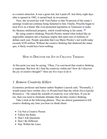as a tourist attraction. It was a great risk, but it paid off. Just thirty-eight days after it opened in 1982, it earned back its investment.

Next, she severed ties with Tom Parker so that 50 percent of the estate's earnings would not continue being funneled to him. Finally, Priscilla began to treat Elvis as a brand. She even promoted legislation in Tennessee to make his likeness intellectual property, which would belong to his estate.  $\frac{34}{3}$  $\frac{34}{3}$  $\frac{34}{3}$ 

By using creative thinking, Priscilla Presley turned what looked like an impossible situation into a business empire that earns tens of millions of dollars each year. People speculate that Lisa Marie Presley's net worth today exceeds \$250 million. Without the creative thinking that shattered the status quo, it likely would have been nothing.

#### HOW TO DISCOVER THE JOY OF CREATIVE THINKING

At this point you may be saying, "Okay, I'm convinced that creative thinking is important. But how do I find the creativity within me? How do I discover the joy of creative thought?" Here are five ways to do it:

### *1. Remove Creativity Killers*

Economics professor and humor author Stephen Leacock said, "Personally, I would sooner have written *Alice in Wonderland* than the whole *Encyclopedia Britannica."* He valued the warmth of creativity over cold facts. If you do too, then you need to eliminate attitudes that devalue creative thinking.

Take a look at the following phrases. They are almost guaranteed to kill creative thinking any time you hear (or think) them:

- I'm Not a Creative Person
- Follow the Rules
- Don't Ask Questions
- Don't Be Different
- Stay Within the Lines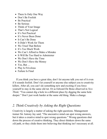- There Is Only One Way
- Don't Be Foolish
- Be Practical
- Be Serious
- Think of Your Image
- That's Not Logical
- It's Not Practical
- It's Never Been Done
- It Can't Be Done
- It Didn't Work for Them
- We Tried That Before
- It's Too Much Work
- We Can't Afford to Make a Mistake
- It Will Be Too Hard to Administer
- We Don't Have the Time
- We Don't Have the Money
- $\bullet$  Yes, But ...
- Play Is Frivolous
- Failure Is Final

If you think you have a great idea, don't let anyone talk you out of it even if it sounds foolish. Don't let yourself or anyone else subject you to creativity killers. After all, you can't do something new and exciting if you force yourself to stay in the same old rut. Or as Edward De Bono observed in *New Think,* "You cannot dig a hole in a different place by digging the same hole deeper." Don't just work harder at the same old thing. Make a change.

## *2. Think Creatively by Asking the Right Questions*

Creativity is largely a matter of asking the right questions. Management trainer Sir Antony Jay said, "The uncreative mind can spot wrong answers, but it takes a creative mind to spot wrong questions." Wrong questions shut down the process of creative thinking. They direct thinkers down the same *old* path, or they chide them into believing that thinking isn't necessary at all.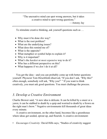"The uncreative mind can spot wrong answers, but it takes a creative mind to spot wrong questions."

—Antony Jay

To stimulate creative thinking, ask yourself questions such as …

- Why must it be done *this* way?
- What is the root problem?
- What are the underlying issues?
- What does this remind me of?
- What is the opposite?
- What metaphor or symbol helps to explain it?
- Why is it important?
- What's the *hardest* or *most expensive* way to do it?
- Who has a different perspective on this?
- What happens if we *don't* do it at all?

You get the idea—and you can probably come up with better questions yourself. Physicist Tom Hirschfield observed, "If you don't ask, 'Why this?' often enough, somebody will ask, 'Why you?' " If you want to think creatively, you must ask good questions. You must challenge the process.

## *3. Develop a Creative Environment*

Charlie Brower said, "A new idea is delicate. It can be killed by a sneer or a yawn; it can be stabbed to death by a quip and worried to death by a frown on the right man's brow." Negative environments kill thousands of great ideas every minute.

A creative environment, on the other hand, becomes like a greenhouse where ideas get seeded, sprout up, and flourish. A creative environment:

• *Encourages Creativity:* David Hills says, "Studies of creativity suggest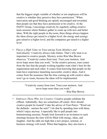that the biggest single variable of whether or not employees will be creative is whether they perceive they have permission." When innovation and good thinking are openly encouraged and rewarded, then people see that they have permission to be creative. At the INJOY Group, I encourage creativity by regularly calling creative team sessions where thinkers gather to come up with new and better ideas. With the right people in the room, three things always happen: the ideas always get raised to a higher level; the energy and synergy gets raised to a higher level; and the companies get raised to a higher level.

• *Places a High Value on Trust among Team Members and Individuality:* Creativity always risks failure. That's why trust is so important to creative people. Mystery writer Rita Mae Brown observes, "Creativity comes from trust. Trust your instincts. And never hope more than you work." In the creative process, trust comes from the fact that the people working together want what's best for the organization and each other. It comes from knowing that people on the team have experience launching successful, creative ideas. And it comes from the assurance that the time coming up with creative ideas won't go to waste, because the ideas will be implemented.

> "Creativity comes from trust. Trust your instincts. And never hope more than you work." —Rita Mae Brown

• *Embraces Those Who Are Creative:* Creative people celebrate the offbeat. Admittedly, they are sometimes off center. How should creative people be treated? I take the advice of Tom Peters: "Weed out the dullards—nurture the nuts!" I do that by spending time with them, which I enjoy anyway. I especially like to pull people into brainstorming sessions. People look forward to an invitation to such meetings because the time will be filled with energy, ideas, and laughter. And the odds are high that a new project, seminar, or business strategy will result. When that happens, they also know a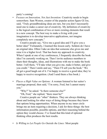party's coming!

• *Focuses on Innovation, Not Just Invention:* Creativity needs to begin somewhere. Sam Weston, creator of the popular action figure GI Joe, said, "Truly groundbreaking ideas are rare, but you don't necessarily need one to make a career out of creativity. My definition of creativity is the logical combination of two or more existing elements that result in a new concept. The best way to make a living with your imagination is to develop innovative applications, not imagine completely new concepts."

Creative people say, "Give me a good idea and I'll give you a better idea!" Fortunately, I learned this lesson early. Seldom do I have an original idea. Often I take an idea that someone else gives me and raise it to a higher level. That has been my approach to creativity. When I speak at one of my conferences, I frequently describe the book idea I'm currently working on. Then I invite audience members to share their thoughts, ideas, and illustrations with me to make the book better. I tell them, "I'll take what you give me, make it better, and give you credit." Then I smile and say, "Then I'll sell you the book." We all get a good laugh out of it. I'm happy to receive a good idea; they're happy to receive recognition. (And I send them a free book.)

• *Places a High Value on Options:* A woman listened to her suitor's marriage proposal, then said, "I'm sorry, Fred, but I cannot marry you."

"Why?" he asked. "Is there someone else?"

"Oh, Fred," she replied, "there must be!"

Creative people are "other" thinkers. They are always thinking about and looking for other ways of doing things because they know that options bring opportunities. When anyone in my inner circle brings me an item requiring a decision, I ask for three things: the best information possible, possible options, and their reasoning behind the option they would choose. I've found that this kind of optional thinking often produces the best results.

• *Is Willing to Let People Go Outside the Lines:* Most people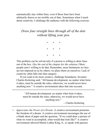automatically stay within lines, even if those lines have been arbitrarily drawn or are terribly out of date. Sometimes when I teach about creativity, I challenge the audience with the following exercise:

*Draw four straight lines through all of the dots without lifting your pen.*

This problem can be solved only if a person is willing to draw lines out of the box. *(See the end of the chapter for the solution.)* Most people aren't willing to do that. Remember, most limitations we face are not imposed on us by others; we place them on ourselves. Lack of creativity often falls into that category.

If you want to be more creative, challenge boundaries. Inventor Charles Kettering said, "All human development, no matter what form it takes, must be outside the rules; otherwise, we would never have anything new." A creative environment takes that into account.

"All human development, no matter what form it takes, must be outside the rules; otherwise, we would never have anything new."

—Charles Kettering

• *Appreciates the Power of a Dream:* A creative environment promotes the freedom of a dream. A creative environment encourages the use of a blank sheet of paper and the question, "If we could draw a picture of what we want to accomplish, what would that look like?" A creative environment allowed Martin Luther King, Jr., to speak with passion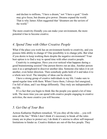and declare to millions, "I have a dream," not "I have a goal." Goals may give focus, but dreams give power. Dreams expand the world. That is why James Allen suggested that "dreamers are the saviors of the world."

The more creativity-friendly you can make your environment, the more potential it has to become creative.

### *4. Spend Time with Other Creative People*

What if the place you work has an environment hostile to creativity, and you possess little ability to change it? One possibility is to change jobs. But what if you desire to keep working there despite the negative environment? Your best option is to find a way to spend time with other creative people.

Creativity is contagious. Have you ever noticed what happens during a good brainstorming session? One person throws out an idea. Another person uses it as a springboard to discover another idea. Someone else takes it in yet another, even better direction. Then somebody grabs hold of it and takes it to a whole new level. The interplay of ideas can be electric.

I have a strong group of creative individuals in my life. I make sure to spend regular time with them. When I leave them, I always feel energized, I'm full of ideas, and I see things differently. They truly are indispensable to my life.

It's a fact that you begin to think like the people you spend a lot of time with. The more time you can spend with creative people engaging in creative activities, the more creative you will become.

### *5. Get Out of Your Box*

Actress Katharine Hepburn remarked, "If you obey all the rules …you will miss all the fun." While I don't think it's necessary to break *all* the rules (many are in place to protect us), I do think it's unwise to allow self-imposed limitations to hinder us. Creative thinkers are out-of-the-box people. They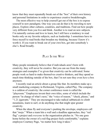know that they must repeatedly break out of the "box" of their own history and personal limitations in order to experience creative breakthroughs.

The most effective way to help yourself get out of the box is to expose yourself to new paradigms. One way you can do that is by traveling to new places. Explore other cultures, countries, and traditions. Find out how people very different from you live and think. Another is to read on new subjects. I'm naturally curious and love to learn, but I still have a tendency to read books only on my favorite subjects, such as leadership. I sometimes have to force myself to read books that broaden my thinking, because I know it's worth it. If you want to break out of your own box, get into somebody's else's. Read broadly.

#### PLAY IS THE WAY

Many people mistakenly believe that if individuals aren't born with creativity, they will never be creative. But you can see from the many strategies and examples I've given that creativity can be cultivated. Some people work so hard to make themselves creative thinkers, and they spend so much time thinking outside of the box, that I'm not sure they even *have* a box anymore.

I recently read an article about a group like that. Its members make up a small marketing company in Richmond, Virginia, called Play. The company is a caldron of creativity: the corner conference room is called the "playroom." Employees invent their own titles, some of which include the person "in charge of what's next," the "voice of reason," "check, please," and "1.21 jigawatts." They are encouraged to take radical sabbaticals to climb mountains, learn to surf, or do anything else that might spur greater creativity.

When the ideas fly and everyone's pushing the envelope, employees call that "mojo." When a team hits a wall and a deadline approaches, they "red flag" a project and *everyone* in the organization pitches in. "No one goes home before the owner of a red-flag project feels comfortable," explains employee Courtney Page, "no matter how long it takes."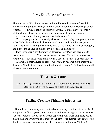### LIVE, EAT, BREATHE CREATIVITY

The founders of Play have created an incredible environment of creativity. Bill Howland, product manager of the Center for Creative Leadership, which recently tested Play's ability to foster creativity, said that Play's "scores were off the charts. I have not seen another company with such an open and creative environment in my six years with the center."

The company's values are straightforward: people, play, and profit, in that order. Robb Pair, who leads the company's merchandising division, says, "Working at Play really gives me a feeling of 'no limits.' Risk is encouraged, and I have the chance to explore my potential and abilities."

Play cofounder Andy Sefanovich describes how Play has been able to foster such creativity: "What we're doing," he says, "is building a creative *community*—not mystifying creativity as a special talent of a chosen few." [35](#page-236-0)

And what's their advice to people who want to become more creative, as they are? "Look at more stuff, and think about it harder." That's a formula all of us can learn to embrace.

### **THINKING QUESTION**

*Am I working to break out of my "box" of limitations so that I explore ideas and options to experience creative breakthroughs?*

### **Putting Creative Thinking into Action**

1. If you have been using some method of capturing your ideas in a notebook, computer, or filing system, grab hold of it and look through some of the ideas you've recorded. (If you haven't been capturing your ideas on paper, you're missing an opportunity to take them to the next level. Rather than completing this first exercise, begin capturing ideas on paper for the next 90 days.)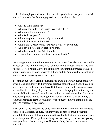Look through your ideas and find one that you believe has great potential. Now ask yourself the following questions to stretch that idea:

- Why do I like this idea?
- What are the underlying issues involved with it?
- What does this remind me of?
- What is the opposite?
- What metaphor or symbol helps explain it?
- What is the value of the idea?
- What's the *hardest* or *most expensive* way to carry it out?
- Who has a different perspective on this?
- What happens if I *don't* do it at all?
- In my wildest dreams, what can this idea lead to?

I encourage you to add other questions of your own. The idea is to get outside of your box and let your ideas take you anywhere they want you to. The only rules are 1) you're not allowed to shut down your thinking process with selfediting, criticism, or other creativity killers; and 2) You must try to capture as many of your ideas as possible on paper.

2. Think about your working environment. Does it naturally foster creativity or tend to shut it down? If it promotes creative thought, count your blessings and thank your colleagues and boss. If it doesn't, figure out if you can make it friendlier to creativity. If you're the boss, then changing the culture is your responsibility. Praise and reward creative thinking and innovation. Introduce play. Give people time to recharge their mental batteries, similar to Play's radical sabbaticals. Hire a consultant to teach people how to think out of the box. Do whatever's necessary.

3. If you have the resources to go to another country where you can immerse yourself in a different culture, you may want to plan your next vacation around it. If you don't, then plan to read three books that take you out of your area of expertise. Don't pick something that will bore you or that will go way over your head. Just expose yourself to something that makes you stretch your mind.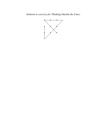*Solution to exercise for Thinking Outside the Lines:*

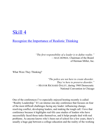# [Skill](#page-2-0) 4

### Recognize the [Importance](#page-2-0) of Realistic Thinking

*"The first responsibility of a leader is to define reality."* —MAX DEPREE, Chairman of the Board of Herman Miller, Inc.

What Were They Thinking?

*"The police are not here to create disorder. They're here to preserve disorder."* —MAYOR RICHARD DALEY, during 1968 Democratic National Convention in Chicago

One of the conferences I've especially enjoyed hosting recently is called "Reality Leadership." It's an intense one-day conference that focuses on four of the most difficult challenges facing any leader: influencing change, resolving conflict, developing leaders, and making the tough call. I love that conference because it highlights real-life case studies of leaders who have successfully faced those tasks themselves, and it helps people deal with real problems. As anyone knows who's been out of school for a few years, there's usually a huge gap between a college education and the reality of the working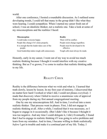world.

After one conference, I hosted a roundtable discussion. As I outlined some developing trends, I could tell that many in the group didn't like what they were hearing. I could sympathize. When I started my career fresh out of school, I was an idealistic thinker, not a realistic one. Take a look at some of my misconceptions and the realities I faced:

| <b>Misconception</b>                                      | <b>Reality</b>                               |
|-----------------------------------------------------------|----------------------------------------------|
| I could make everyone happy.                              | There will be conflict.                      |
| People like change if it's done properly.                 | People resist change regardless.             |
| It is enough that the leader takes care of the<br>people. | People must be developed to be<br>effective. |
| Good leadership makes tough calls unnecessary.            | Tough calls must always be made.             |

Honestly, early in my career, I went out of my way to avoid too much realistic thinking because I thought it would interfere with my creative thinking. But as I've grown, I've come to realize that realistic thinking adds to my life.

### REALITY CHECK

Reality is the difference between what we wish and what is. I learned that truth slowly, lesson by lesson. In my first year of ministry, I discovered that no matter how hard I worked or what I did, I could not please *everybody.* I made that discovery when I failed to receive a unanimous vote of approval from my people during my first annual congregational meeting.

One by one my misconceptions fell. And in time, I evolved into a more realistic thinker. That process went in phases. First, I did not engage in realistic thinking at all. After a while, I realized that it was necessary, so I began to engage in it occasionally. (But I didn't like it because I thought it was too negative. And any time I could delegate it, I did.) Eventually, I found that I *had* to engage in realistic thinking if I was going to solve problems and learn from my mistakes. And in time, I became willing to think realistically *before* I got in trouble and make it a continual part of my life. Today, I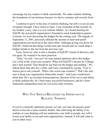encourage my key leaders to think realistically. We make realistic thinking the foundation of our business because we derive certainty and security from it.

I continue to grow in the area of realistic thinking, but still it is not an area of natural strength. I have much to learn. I was reminded of that recently by my brother, Larry, who is a very realistic thinker. At a board meeting for EQUIP, the non-profit organization I founded to teach leadership to pastors overseas, we were discussing the budget for the coming year. The tragedy of September 11, 2001, adversely affected the income of most non-profit organizations not involved in the relief effort. Although giving was down for EQUIP, I believed that things would soon turn around and we could adopt a budget similar to the one from the previous year.

Larry, however, who is also a member of EQUIP's board of directors, did not agree. He wanted to be more practical.

"John," he said, "you can't let your natural optimism drive this budget. Let's look at the worst-case scenario. What will EQUIP's income be if things don't turn around? That should be our base for the budget and staffing." We talked about that idea for a while, and Larry concluded by saying, "You've always got to ask yourself, 'What's the worst-case scenario?' That's the only way to keep your organization financially sound." And Larry would know about that. He's an excellent businessperson. Because of his savvy and ability to think realistically, he's built many successful businesses, and he's been financially independent since he was in his early twenties.

## WHY YOU SHOULD RECOGNIZE THE IMPORTANCE OF REALISTIC THINKING

If you're a naturally optimistic person, as I am, you may not possess great desire to become a more realistic thinker. But cultivating the ability to be realistic in your thinking will not undermine your faith in people, nor will it lessen your ability to see and seize opportunities. Instead, it will add value to you in other ways: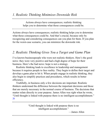Actions always have consequences; realistic thinking helps you to determine what those consequences could be.

Actions always have consequences; realistic thinking helps you to determine what those consequences could be. And that's crucial, because only by recognizing and considering consequences can you plan for them. If you plan for the worst-case scenario, you can minimize the downside risk.

# *2. Realistic Thinking Gives You a Target and Game Plan*

I've known businesspeople who were not realistic thinkers. Here's the good news: they were very positive and had a high degree of hope for their business. Here's the bad news: hope is not a strategy.

Realistic thinking leads to excellence in leadership and management because it requires people to face reality. They begin to define their target and develop a game plan to hit it. When people engage in realistic thinking, they also begin to simplify practices and procedures, which results in better efficiency.

Truthfully, in business only a few decisions are important. Realistic thinkers understand the difference between the important decisions and those that are merely necessary in the normal course of business. The decisions that matter relate directly to your purpose. James Allen was right when he wrote, "Until thought is linked with purpose there is no intelligent accomplishment." [36](#page-236-1)

> "Until thought is linked with purpose there is no intelligent accomplishment."

> > —James Allen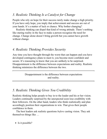# *3. Realistic Thinking Is a Catalyst for Change*

People who rely on hope for their success rarely make change a high priority. If you have only hope, you imply that achievement and success are out of your hands. It's a matter of luck or chance. Why bother changing?

Realistic thinking can dispel that kind of wrong attitude. There's nothing like staring reality in the face to make a person recognize the need for change. Change alone doesn't bring growth but you cannot have growth without change.

## *4. Realistic Thinking Provides Security*

Any time you have thought through the worst that can happen and you have developed contingency plans to meet it, you become more confident and secure. It's reassuring to know that you are unlikely to be surprised. Disappointment is the difference between expectations and reality. Realistic thinking minimizes the difference between the two.

> Disappointment is the difference between expectations and reality.

# *5. Realistic Thinking Gives You Credibility*

Realistic thinking helps people to buy in to the leader and his or her vision. Leaders continually surprised by the unexpected soon lose credibility with their followers. On the other hand, leaders who think realistically and plan accordingly position their organizations to win. That gives their people confidence in them.

The best leaders ask realistic questions *before* casting vision. They ask themselves things like …

 $\bullet$  Is it possible?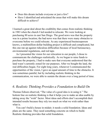- Does this dream include everyone or just a few?
- Have I identified and articulated the areas that will make this dream difficult to achieve?

I learned a great deal about the credibility that comes from realistic thinking in 1983 when the church I led needed to relocate. We were looking at purchasing 80 acres in east San Diego. The good news was that the property was in a prime location; the bad news was that there were many obstacles to overcome before we could relocate. As any experienced businessperson knows, a multimillion-dollar building project is difficult and complicated, but this one ran up against ridiculous difficulties because of local bureaucracy, environmental regulations, and red tape.

As I presented the vision for our relocation to our people, I chose to communicate the challenges realistically. As we began to raise funds to purchase the property, I had to make sure that everyone understood that the land wasn't currently zoned for our purposes. After we bought the land, the real difficulties began. For eight long years, whenever I communicated the opportunities of the vision, I gave an equal amount of time to the obstacles. It was sometimes painful, but by including realistic thinking in the communication, we were able to sustain the dream over a long period of time.

## *6. Realistic Thinking Provides a Foundation to Build On*

Thomas Edison observed, "The value of a good idea is in using it." The bottom line on realistic thinking is that it helps you to make an idea usable by taking away the "wish" factor. Most ideas and efforts don't accomplish their intended results because they rely too much on what we wish rather than what is.

You can't build a house in midair; it needs a solid foundation. Ideas and plans are the same. They need something concrete on which to build. Realistic thinking provides that solid foundation.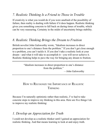# *7. Realistic Thinking Is a Friend to Those in Trouble*

If creativity is what you would do if you were unafraid of the possibility of failure, then reality is dealing with failure if it does happen. Realistic thinking gives you something concrete to fall back on during times of trouble, which can be very reassuring. Certainty in the midst of uncertainty brings stability.

# *8. Realistic Thinking Brings the Dream to Fruition*

British novelist John Galsworthy wrote, "Idealism increases in direct proportion to one's distance from the problem." If you don't get close enough to a problem, you can't tackle it. If you don't take a realistic look at your dream—and what it will take to accomplish it—you will never achieve it. Realistic thinking helps to pave the way for bringing any dream to fruition.

> "Idealism increases in direct proportion to one's distance from the problem."

> > —John Galsworthy

## HOW TO RECOGNIZE THE IMPORTANCE OF REALISTIC **THINKING**

Because I'm naturally optimistic rather than realistic, I've had to take concrete steps to improve my thinking in this area. Here are five things I do to improve my realistic thinking:

# *1. Develop an Appreciation for Truth*

I could not develop as a realistic thinker until I gained an appreciation for realistic thinking. And that means learning to look at and enjoy truth.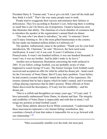President Harry S. Truman said, "I never give em hell. I just tell the truth and they think it is hell." That's the way many people react to truth.

People tend to exaggerate their success and minimize their failures or deficiencies. They live according to Ruckert's Law, believing there is nothing so small that it can't be blown out of proportion. I heard a humorous story that illustrates that ability. The chairman of a local chamber of commerce had to introduce the speaker at the organization's annual black-tie dinner.

"The man who I am about to introduce," he said, "is someone I know you'll enjoy listening to. He is the most gifted businessman in the country. He has made one hundred million dollars in California oil."

The speaker, embarrassed, came to the podium. "Thank you for your kind introduction, Mr. Chairman," he said. "However, the facts need some clarification. It wasn't oil; it was coal. It wasn't California; it was Pennsylvania. It wasn't one hundred million; it was one hundred thousand. It wasn't me; it was my brother. And he didn't make it; he lost it."

Another not-so-humorous illustration concerning the truth surfaced in 2001. If you follow college football, you are probably aware of what happened to coach George O'Leary. The former Georgia Tech football coach received and accepted an offer for what he called his dream job—head coach for the University of Notre Dame. But O'Leary had a problem. Years before, he had created a resume that didn't match the reality of his experience. His resume claimed that he had a degree which he hadn't earned, and it invented college playing experience that he didn't possess. When officials at Notre Dame discovered the discrepancy, O'Leary lost his credibility—and his dream job.

"Due to a selfish and thoughtless act many years ago," O'Leary said, "I have personally embarrassed Notre Dame, its alumni and fans. The integrity and credibility of Notre Dame is impeccable and with that in mind, I will resign my position as head football coach."

Notre Dame athletic director Kevin White commented, "I understand that these inaccuracies represent a very human failing; nonetheless, they constitute a breach of trust that makes it impossible for us to go forward with our relationship."  $\frac{37}{2}$  $\frac{37}{2}$  $\frac{37}{2}$ 

"Men occasionally stumble over the truth, but most pick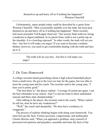themselves up and hurry off as if nothing has happened." —Winston Churchill

Unfortunately, many people today could be described by a quote from Winston Churchill: "Men occasionally stumble over the truth, but most pick themselves up and hurry off as if nothing has happened." More recently, television journalist Ted Koppel observed, "Our society finds truth too strong a medicine to digest undiluted. In its purest form, truth is not a polite tap on the shoulder. It is a howling reproach." In other words, the truth will set you free—but first it will make you angry! If you want to become a realistic thinker, however, you need to get comfortable dealing with the truth and face up to it.

> The truth will set you free—but first it will make you angry!

### *2. Do Your Homework*

A college recruiter heard good things about a high school basketball player from a small town. He got to the town too late for the game, but was able to meet the young man and his coach. The recruiter said to the young man, "I hear you're pretty good."

"The best there is," the player replied. "I average 45 points per game. I am the best rebounder in my school. And I've led our team to three undefeated seasons and three state championships."

After talking to the player, the recruiter said to the coach, "What a talent! So tell me, does he have any weaknesses?"

"Well," the coach said sheepishly, "He does have a tendency to exaggerate."

The process of realistic thinking begins with doing your homework. You must first get the facts. Former governor, congressman, and ambassador Chester Bowles said, "When you approach a problem, strip yourself of preconceived opinions and prejudice, assemble and learn the facts of the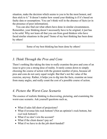situation, make the decision which seems to you to be the most honest, and then stick to it." It doesn't matter how sound your thinking is if it's based on faulty data or assumptions. You can't think well in the absence of facts (or in the presence of poor information).

You can also find out what others have done in similar circumstances. Remember, your thinking doesn't necessarily have to be original; it just has to be solid. Why not learn all that you can from good thinkers who have faced similar situations in the past? Some of my best thinking has been done by others!

Some of my best thinking has been done by others!

# *3. Think Through the Pros and Cons*

There's nothing like taking the time to really examine the pros and cons of an issue to give you a strong dose of reality. It rarely comes down to simply choosing the course of action with the greatest number of pros, because all pros and cons do not carry equal weight. But that's not the value of the exercise, anyway. Rather, it helps you to dig into the facts, examine an issue from many angles, and really count the cost of a possible course of action.

# *4. Picture the Worst-Case Scenario*

The essence of realistic thinking is discovering, picturing, and examining the worst-case scenario. Ask yourself questions such as,

- What if sales fall short of projections?
- What if revenue hits rock bottom? (Not an optimist's rock bottom, but *real* rock bottom!)
- What if we don't win the account?
- What if the client doesn't pay us?
- What if we have to do the job short-handed?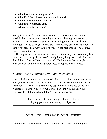- What if our best player gets sick?
- What if all the colleges reject my application?
- What if the market goes belly up?
- What if the volunteers quit?
- What if nobody shows up?

You get the idea. The point is that you need to think about worst-case possibilities whether you are running a business, leading a department, pastoring a church, coaching a team, or planning your personal finances. Your goal isn't to be negative or to *expect* the worst, just to be ready for it in case it happens. That way, you give yourself the best chance for a positive result—no matter what.

If you picture the worst case and examine it honestly, then you really have experienced a reality check. You're ready for anything. As you do that, take the advice of Charles Hole, who advised, "Deliberate with caution, but act with decision; and yield with graciousness or oppose with firmness."

### *5. Align Your Thinking with Your Resources*

One of the keys to maximizing realistic thinking is aligning your resources with your objectives. Looking at pros and cons and examining worst-case scenarios will make you aware of any gaps between what you desire and what really is. Once you know what those gaps are, you can use your resources to fill them. After all, that's what resources are for.

> One of the keys to maximizing realistic thinking is aligning your resources with your objectives.

## SUPER BOWL, SUPER DOME, SUPER SECURITY

Our country received lessons in realistic thinking following the tragedy of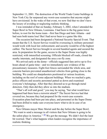September 11, 2001. The destruction of the World Trade Center buildings in New York City far surpassed any worst-case scenarios that anyone might have envisioned. In the wake of that event, we now find that we don't have the luxury of avoiding or neglecting realistic thinking.

I was reminded of that on Sunday, February 3, 2002, when I attended the Super Bowl in New Orleans, Louisiana. I had been to the big game twice before, to root for the home team—first San Diego and later Atlanta—and had seen both teams lose! But I had never been to a game like this.

The occasion had been designated a National Security Special Event. That meant that the U.S. Secret Service would be overseeing it; military personnel would work with local law enforcement; and security would be of the highest caliber. The Secret Service brought in several hundred agents and secured the area. In preparation for the game, access to the Super Dome was highly restricted, with intensified screening. Officials blocked off roads, closed the nearby interstate, and designated the area a no-fly zone.

We arrived early at the dome—officials suggested fans arrive up to five hours ahead of game time—and we immediately saw evidence of the precautionary measures. Eight-foot fences surrounded the whole area, and concrete barriers prevented unauthorized vehicles from getting close to the building. We could see sharpshooters positioned at various locations, including on the roof of some adjacent buildings. When we reached a gate, police officers and security personnel patted us down and examined everyone's belongings. After that they directed us to go through metal detectors. Only then did they allow us into the stadium.

"That's all well and good," you may be saying, "but what would have happened had there been a terrorist attack?" The Secret Service had that covered too, because they had prepared for the worst-case scenario. Evacuation plans had been put into place, and personnel at the Super Dome had been drilled to make sure everyone knew what to do in case of an emergency.

New Orleans mayor Marc Morial said the day before the Super Bowl, "We want to send a message to all visitors that New Orleans is going to be the safest place in America."  $\frac{38}{3}$  $\frac{38}{3}$  $\frac{38}{3}$  We got the message. We didn't feel the least bit worried. That's what happens when leaders recognize the importance of realistic thinking.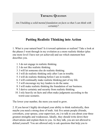## **THINKING QUESTION**

*Am I building a solid mental foundation on facts so that I can think with certainty?*

# **Putting Realistic Thinking into Action**

1. What is your natural bent? Is it toward optimism or realism? Take a look at the phases I went through in my evolution as a more realistic thinker (plus one more level I have not yet achieved) and see which statement best describes you.

- 1. I do not engage in realistic thinking.
- 2. I do not like realistic thinking.
- 3. I will let someone else do realistic thinking.
- 4. I will do realistic thinking only after I am in trouble.
- 5. I will do realistic thinking before I am in trouble.
- 6. I will continually make realistic thinking part of my life.
- 7. I will encourage my key leaders to do the same.
- 8. I will make realistic thinking the foundation of our business.
- 9. I derive certainty and security from realistic thinking.
- 10. I rely heavily on facts and often make judgments according to the worst-case scenario.

The lower your number, the more you need to grow.

2. If you haven't highly developed your ability to think realistically, then maybe you need a strong dose of truth. Ask five astute people (friends, coworkers, your spouse, your supervisor, etc.) to talk to you about your three greatest strengths and weaknesses. Ideally, they should write down their observations and explain them to you. As they talk, you are not allowed to defend yourself. You are allowed only to ask questions that help you to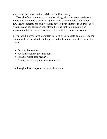understand their observations. Make notes, if necessary.

Take all of the comments you receive, along with your notes, and spend a whole day examining yourself in light of what you were told. Think about how their comments can help you, and how you can improve in your areas of weakness and capitalize on your strengths. The first step in gaining an appreciation for the truth is learning to deal with the truth about yourself.

3. The next time you have a problem to solve or a project to complete, use the guidelines from this chapter to help you cultivate a more realistic view of the issues.

- Do your homework.
- Work through the pros and cons.
- Find the worst-case scenario.
- Align your thinking and your resources.

Go through all four steps before you take action.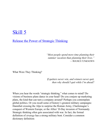# [Skill](#page-2-1) 5

Release the Power of Strategic [Thinking](#page-2-1)

*"Most people spend more time planning their summer vacation than planning their lives."* —SOURCE UNKNOWN

What Were They Thinking?

*If quitters never win, and winners never quit, then why should I quit while I'm ahead?*

When you hear the words "strategic thinking," what comes to mind? Do visions of business plans dance in your head? Do you conjure up marketing plans, the kind that can turn a company around? Perhaps you contemplate global politics. Or you recall some of history's greatest military campaigns: Hannibal crossing the Alps to surprise the Roman Army, Charlemagne's conquest of Western Europe, or the Allies' D-Day invasion of Normandy. Strategic thinking often gets associated with war. In fact, the formal definition of *strategy* has a strong military bent. Consider a common dictionary definition: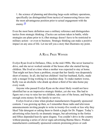1. the science of planning and directing large-scale military operations, specifically (as distinguished from tactics) of maneuvering forces into the most advantageous position prior to actual engagement with the enemy  $\frac{39}{ }$  $\frac{39}{ }$  $\frac{39}{ }$ 

Even the most basic definition uses a military reference and distinguishes tactics from strategic thinking. (Tactics are actions taken in battle, while strategies are plans prior to it.) But strategy doesn't have to be restricted to military action—or even to business. Strategic thinking can make a positive impact on any area of life. Let me tell you a story that illustrates my point.

### A REAL PRIZE WINNER

Evelyn Ryan lived in Defiance, Ohio, in the mid-1900s. She never learned to drive, and she never worked outside of the house after she started having children. She lived at a time when a mother was expected to stay at home. That might not have been a problem, except that her family was desperately short of money. In all, she had ten children! And her husband, Kelly, made only a meager living working in a machine shop. To make matters worse, Kelly was an alcoholic who drank up about a third of his take-home pay every week.

Anyone who passed Evelyn Ryan on the street likely would not have identified her as an impressive strategic thinker, yet she was. She had to figure out a way to raise her ten children, take care of the house, and bring in enough extra money for the family to survive.

Evelyn lived at a time when product manufacturers frequently sponsored contests. I was growing up then, so I remember those radio and television announcements inviting people to write in twenty-five words or less why they liked Tide detergent or asking them to finish a jingle for Dr. Pepper. Today's advertising relies heavily on dramatic images, but advertising in the forties and fifties depended heavily upon slogans. You couldn't drive in the country without passing a series of clever signs advertising Burma Shave. Product manufacturers continually sponsored contests promising prizes or cash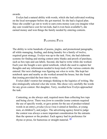awards.

Evelyn had a natural ability with words, which she had cultivated working on the local newspaper before she got married. So she had a logical plan. Since she couldn't go out to work to earn extra money (can you imagine what day care would have cost for ten kids, had it even been available?), she earned money and won things the family needed by entering contests.

### PLANNING PAYS

The ability to write hundreds of poems, jingles, and promotional paragraphs, all while managing, feeding, and doing laundry for a family of twelve, required great strategy. Evelyn was up to the task. First, she had elaborate systems for finding and storing contest entry blanks and proofs of purchase, such as box tops and can labels. Second, she had to write while she worked. Each year she bought a new spiral notebook, which she used to capture her thoughts and any information needed to keep track of the various contests she entered. Her next challenge was figuring out *when* to write. She kept her notebook open and nearby as she worked around the house, but she found that ironing provided the best time to write.

Evelyn didn't restrict her strategic thinking to the logistics of writing. She also strategically selected *what* she wrote. She chose very carefully the words for any given contest. Her daughter, Terry, recalled how Evelyn approached the task:

Contesting, as she always said, required more than collecting box tops and being clever. There was *form* to consider (some contests required the use of specific words, or gave points for the use of product-related words in an entry), *product focus* (was it aimed at families, at young men, at children?), and *judges.* The advertising agency hired to judge the contest was always a more important consideration for the entrants than the sponsor or the product. Each agency had its preference for rhyme or prose, for humorous or straight material.  $\frac{40}{1}$  $\frac{40}{1}$  $\frac{40}{1}$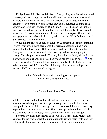Evelyn learned the likes and dislikes of every ad agency that administered contests, and her strategy served her well. Over the years she won several washers and dryers for her large family, dozens of other large and small appliances, two brand new cars (which they sold), hundreds of small cash awards, and large cash awards of \$5,000 and \$3,400. She used the first big cash prize as a down payment for a house so that the family of twelve could move out of a two-bedroom rental. She used the other to pay off a second mortgage that her husband had secretly taken out (she didn't find out about it until 30 days before it came due).

When failure isn't an option, nothing serves better than strategic thinking. Evelyn Ryan would have been content to write an occasional poem and submit it to her local paper. But she needed to do something to help her family survive. "A husband and father like my dad was never going to change," her daughter observed. "The only hope for our family depended on the way *she* could change and raise happy and healthy kids to boot."  $\frac{41}{ }$  $\frac{41}{ }$  $\frac{41}{ }$  And Evelyn succeeded. Not only did she keep her family afloat; she helped them to become successful. Seven of her children graduated from college, one earned a Ph.D. and another a law degree.

> When failure isn't an option, nothing serves a person better than strategic thinking.

### PLAN YOUR LIFE, LIVE YOUR PLAN

While I've never had to face the difficult circumstances Evelyn Ryan did, I have unleashed the power of strategic thinking. For example, I am very strategic in the area of time management. I've observed that most people try to plan their lives one day at a time. They wake up, make up their to-do list, and dive into action (although some people aren't even *that* strategic).

Fewer individuals plan their lives one week at a time. They review their calendar for the week, check their appointments, review their goals, and then get to work. They generally out-achieve most of their daily-planning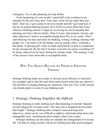colleagues. I try to take planning one step further.

At the beginning of every month, I spend half a day working on my calendar for the next forty days. Forty days works for me rather than just thirty. That way, I get a jump on the next month and don't get surprised. (I also do an annual planning session, but I'll tell you more about that in the reflective thinking section.) I begin by reviewing my travel schedule and planning activities with my family. Then I review what projects, lessons, and other objectives I want to accomplish during those five to six weeks. Then I start blocking out days and times for thinking, writing, working, meeting with people, etc. I set times to do fun things, such as seeing a show, watching a ball game, or playing golf. I also set aside small blocks of time to compensate for the unexpected. By the time I'm done, I can tell you nearly everything I'll be doing, almost hour by hour, during the coming weeks. This strategy is one of the reasons I have been able to accomplish much.

## WHY YOU SHOULD RELEASE THE POWER OF STRATEGIC **THINKING**

Strategic thinking helps me to plan, to become more efficient, to maximize my strengths, and to find the most direct path toward achieving any objective. The benefits of strategic thinking are numerous. Here are a few of the reasons you should adopt it as one of your thinking tools:

### *1. Strategic Thinking Simplifies the Dif icult*

Strategic thinking is really nothing more than planning on steroids. Spanish novelist Miguel de Cervantes said, "The man who is prepared has his battle half fought." Strategic thinking takes complex issues and long-term objectives, which can be very difficult to address, and breaks them down into manageable sizes. Anything becomes simpler when it has a plan!

Strategic thinking can also help you simplify the management of everyday life. I do that by using systems, which are nothing more than good strategies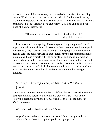repeated. I am well known among pastors and other speakers for my filing system. Writing a lesson or speech can be difficult. But because I use my system to file quotes, stories, and articles, when I need something to flesh out or illustrate a point, I simply go to one of my 1,200 files and find a good piece of material that works.

> "The man who is prepared has his battle half fought." —Miguel de Cervantes

I use systems for everything. I have a system for getting in and out of airports quickly and efficiently. I listen to at least seven instructional tapes in the car every week. When I go to meetings, I take people with me who will need to carry the ball afterward so that I rarely have to repeat information or instructions. I take projects with me on airplanes and books into waiting rooms. My wife and I even have a system for how we shop so that if we get separated or have to meet each other, we can find each other in five minutes —even in an area several blocks long—without having to stand around and wait. Just about any difficult task can be made simpler with strategic thinking.

# *2. Strategic Thinking Prompts You to Ask the Right Questions*

Do you want to break down complex or difficult issues? Then ask questions. Strategic thinking forces you through this process. Take a look at the following questions developed by my friend Bobb Biehl, the author of *Masterplanning.*

- *Direction:* What should we do next? Why?
- *Organization:* Who is responsible for what? Who is responsible for whom? Do we have the right people in the right places?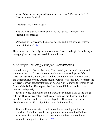- *Cash:* What is our projected income, expense, net? Can we afford it? How can we afford it?
- *Tracking:* Are we on target?
- *Overall Evaluation:* Are we achieving the quality we expect and demand of ourselves?
- *Refinement:* How can we be more effective and more efficient (move toward the ideal)?  $\frac{42}{3}$  $\frac{42}{3}$  $\frac{42}{3}$

These may not be the only questions you need to ask to begin formulating a strategic plan, but they are certainly a good start.

# *3. Strategic Thinking Prompts Customization*

General George S. Patton observed, "Successful generals make plans to fit circumstances, but do not try to create circumstances to fit plans." On December 19, 1945, Patton, commanding general Dwight D. Eisenhower, and generals Bradley and Devers met in Verdun to discuss how to combat the last great German counteroffensive of World War II, known to history as the Battle of the Bulge. The trapped 101<sup>st</sup> Airborne Division needed to be rescued, and quickly.

It was decided that Patton should attack the southern flank of the Bulge with his Third Army. Patton had three divisions at his disposal and had calculated that he would be ready to stage his offensive in four days. Eisenhower had a different point of view. Patton recalled,

General Eisenhower stated that I should wait until I got at least six divisions. I told him that, in my opinion, a prompt attack with three was better than waiting for six—particularly when I did not know where I could get the other three.  $\frac{43}{5}$  $\frac{43}{5}$  $\frac{43}{5}$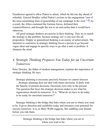Eisenhower agreed to allow Patton to attack, which he did one day ahead of schedule. General Bradley called Patton's actions in the engagement "one of the most astonishing feats of generalship of our campaign in the west."  $\frac{44}{3}$  $\frac{44}{3}$  $\frac{44}{3}$ As a result, the Allies contained the German forces, defeated their counteroffensive, and brought the war to an end earlier than it would have otherwise.

All good strategic thinkers are precise in their thinking. They try to match the strategy to the problem, because strategy isn't a one-size-fits-all proposition. Sloppy or generalized thinking is an enemy of achievement. The intention to customize in strategic thinking forces a person to go beyond vague ideas and engage in specific ways to go after a task or problem. It sharpens the mind.

# *4. Strategic Thinking Prepares You Today for an Uncertain Tomorrow*

Peter Drucker, the father of modern management, explains the importance of strategic thinking. He says,

Strategic planning is necessary precisely because we cannot forecast …Strategic planning does not deal with future decisions. It deals with the futurity of present decisions. Decisions exist only in the present. The question that faces the strategic decision-maker is not what his organization should do tomorrow. It is: "What do we have to do today to be ready for uncertain tomorrow?"

Strategic thinking is the bridge that links where you are to where you want to be. It gives direction and credibility today and increases your potential for success tomorrow. It is, as Mary Webb suggests, like saddling your dreams before you ride them.

> Strategic thinking is the bridge that links where you are to where you want to be.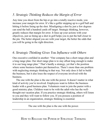# *5. Strategic Thinking Reduces the Margin of Error*

Any time you shoot from the hip or go into a totally reactive mode, you increase your margin for error. It's like a golfer stepping up to a golf ball and hitting it before lining up the shot. Misaligning a shot by just a few degrees can send the ball a hundred yards off target. Strategic thinking, however, greatly reduces that margin for error. It lines up your actions with your objectives, just as lining up a shot in golf helps you to put the ball closer to the pin. The better aligned you are with your target, the better the odds that you will be going in the right direction.

### *6. Strategic Thinking Gives You Influence with Others*

One executive confided in another: "Our company has a short range plan and a long range plan. Our short range plan is to stay afloat long enough to make it to our long range plan." That's hardly a strategy, yet that's the position where some business leaders put themselves. There's more than one problem with neglecting strategic thinking in that way. Not only does it fail to build the business, but it also loses the respect of everyone involved with the business.

The one with the plan is the one with the power. It doesn't matter in what kind of activity you're involved. Employees want to follow the business leader with a good business plan. Volunteers want to join the pastor with a good ministry plan. Children want to be with the adult who has the wellthought-out vacation plan. If you practice strategic thinking, others will listen to you and they will want to follow you. If you possess a position of leadership in an organization, strategic thinking is essential.

The one with the plan is the one with the power.

## HOW TO RELEASE THE POWER OF STRATEGIC THINKING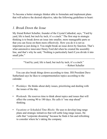To become a better strategic thinker able to formulate and implement plans that will achieve the desired objective, take the following guidelines to heart:

### *1. Break Down the Issue*

My friend Robert Schuller, founder of the Crystal Cathedral, says, "Yard by yard, life is hard; but inch by inch, it's a cinch." The first step in strategic thinking is to break down an issue into smaller, more manageable parts so that you can focus on them more effectively. How you do it is not as important as just doing it. You might break an issue down by function. That's what automotive innovator Henry Ford did when he created the assembly line, and that's why he said, "Nothing is particularly hard if you divide it into small jobs."

> "Yard by yard, life is hard; but inch by inch, it's a cinch." —Robert Schuller

You can also break things down according to time. ISS President Dave Sutherland says he likes to compartmentalize topics according to the calendar.

- *Weekdays:* He thinks about daily issues, prioritizing and dealing with the issues of the day.
- *Weekends:* He reserves time to think about topics and issues that will affect the coming 90 to 180 days. He calls it "one step ahead" thinking.
- *Vacations or Scheduled Time Blocks:* He uses to develop long range plans and strategic initiatives that will settle long range issues. He calls that "corporate dreaming" because he finds it fun and refreshing to consider where he's taking the company.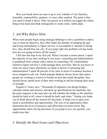How you break down an issue is up to you, whether it's by function, timetable, responsibility, purpose, or some other method. The point is that you need to break it down. Only one person in a million can juggle the whole thing in his head and think strategically to create solid, viable plans.

### *2. Ask* Why *Before* How

When most people begin using strategic thinking to solve a problem or plan a way to meet an objective, they often make the mistake of jumping the gun and trying immediately to figure out *how* to accomplish it. Instead of asking *how,* they should first ask *why.* If you jump right into problem solving mode, how are you going to know all the issues?

I fell into this trap in my first job. When I became a senior pastor, I spent the majority of my time working in two areas: counseling and administration. (I graduated from college with a minor in counseling.) So I immediately started to figure out how I could manage those activities. But do you know in what two areas I have absolutely no talent or desire? Counseling and administration! I spent 80 percent of my time in areas of weakness because I never stopped to ask *why.* Solid strategic thinkers always know that unless people are working to correct or bolster an area that needs discipline, they should always spend most of their time working in and developing their areas of strength.

Eugene G. Grace says, "Thousands of engineers can design bridges, calculate strains and stresses, and draw up specifications for machines, but the great engineer is the man who can tell whether the bridge or the machine should be built at all, where it should be built, and when." Asking *why* helps you to think about all the reasons for decisions. It helps you to open your mind to possibilities and opportunities. The size of an opportunity often determines the level of resources and effort that you must invest. Big opportunities allow for big decisions. If you jump to *how* too quickly, you might miss that.

### *3. Identify the Real Issues and Objectives*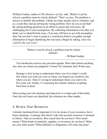William Feather, author of *The Business of Life,* said, "Before it can be solved, a problem must be clearly defined." That's so true. The problem is always to identify the problem. I think too many people rush to solutions, and as a result they end up solving the wrong problem. How do you avoid that? By asking probing questions in an effort to expose the real issues. By challenging all of your assumptions. By collecting information even after you think you've identified the issue. (You may still have to act with incomplete data, but you don't want to jump to a conclusion before you gather enough information to begin identifying the real issue.) Begin by asking, *what else could be the real issue?*

> "Before it can be solved, a problem must be clearly defined."

—William Feather

You should also remove any personal agenda. More than almost anything else, that can cloud your judgment. Former GE chairman Jack Welch says,

Strategy is first trying to understand where you sit in today's world. Not where you wish you were or where you hoped you would be, but where you are. Then it's trying to understand where you want to be five years out. Finally, it's assessing the realistic chances of getting from here to there.

Discovering your real situation and objectives is a major part of the battle. Once the real issues are identified, the solutions are often simple.

### *4. Review Your Resources*

I already mentioned how important it is to be aware of your resources, but it bears repeating. A strategy that doesn't take into account resources is doomed to failure. Take an inventory. How much time do you have? How much money? What kinds of materials, supplies, or inventory do you have? What are your other assets? What liabilities or obligations will come into play?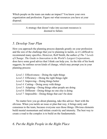Which people on the team can make an impact? You know your own organization and profession. Figure out what resources you have at your disposal.

> A strategy that doesn't take into account resources is doomed to failure.

# *5. Develop Your Plan*

How you approach the planning process depends greatly on your profession and the size of the challenge that you're planning to tackle, so it's difficult to recommend many specifics. However, Rolf Smith, the author *of The 7 Levels of Change: The Guide to Innovation in the World's Largest Corporations,* does have some good advice that I think can help you. As the title of his book suggests, he outlines seven kinds of change, which may prompt you in your planning process:

*Level 1:* Effectiveness—Doing the right things *Level 2:* Efficiency—Doing the right things right *Level 3:* Improving—Doing things better *Level 4:* Cutting—Doing away with things *Level 5:* Adapting—Doing things other people are doing *Level 6:* Different—Doing things no one else is doing *Level 7:* Impossible—Doing things that can't be done

No matter how you go about planning, take this advice: Start with the obvious. When you tackle an issue or plan that way, it brings unity and consensus to the team, because everyone sees those things. Obvious elements build mental momentum and initiate creativity and intensity. The best way to create a road to the complex is to build on the fundamentals.

# *6. Put the Right People in the Right Place*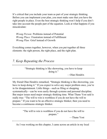It's critical that you include your team as part of your strategic thinking. Before you can implement your plan, you must make sure that you have the right people in place. Even the best strategic thinking won't help if you don't take into account the people part of the equation. Look at what happens if you miscalculate:

*Wrong Person:* Problems instead of Potential *Wrong Place:* Frustration instead of Fulfillment *Wrong Plan:* Grief instead of Growth

Everything comes together, however, when you put together all three elements: the right person, the right place, and the right plan.

# *7. Keep Repeating the Process*

"Strategic thinking is like showering, you have to keep doing it."

—Olan Hendrix

My friend Olan Hendrix remarked, "Strategic thinking is like showering, you have to keep doing it." If you expect to solve any major problem once, you're in for disappointment. Little things—such as filing or shopping systematically—can be won easily through systems and personal discipline. But major issues need major strategic thinking time. What Thane Yost said is really true: "The will to win is worthless if you do not have the will to prepare." If you want to be an effective strategic thinker, then you need to become a continuous strategic thinker.

> "The will to win is worthless if you do not have the will to prepare."

—Thane Yost

As I was working on this chapter, I came across an article in my local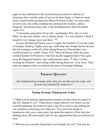paper on the celebration of the Jewish Passover and how millions of American Jews read the order of service for their Seder, or Passover meal, from a small booklet produced by Maxwell House Coffee. For more than seventy years, the coffee company has produced the booklet, called a *Haggada,* and during those years it has distributed more than 40 million copies of it.

"I remember using them all my life," said Regina Witt, who is in her fifties. So does her mother, who is almost ninety. "It's our tradition. I think it would be very strange not to use them."  $\frac{45}{5}$  $\frac{45}{5}$  $\frac{45}{5}$ 

So how did Maxwell House come to supply the booklets? It was the result of strategic thinking. Eighty years ago, marketing man Joseph Jacobs advised that the company could sell coffee during Passover if the product were certified kosher by a rabbi. (Since 1923, Maxwell House coffee has been certified Kosher for Passover.) And then Jacobs suggested that if they gave away the Haggada booklets, they could increase sales.  $\frac{46}{3}$  $\frac{46}{3}$  $\frac{46}{3}$ They've been creating the booklets—and selling coffee during Passover—ever since. That's what can happen when you unleash the power of strategic thinking.

### **THINKING QUESTION**

*Am I implementing strategic plans that give me direction for today and increase my potential for tomorrow?*

#### **Putting Strategic Thinking into Action**

1. Might you be missing opportunities because you have been too quick to ask *how* instead of *why?* Think about a major objective for which you are currently planning. Set aside one hour a day for a week to ask nothing but *why* questions concerning your objective. You can invite people to brainstorm with you at some point, but spend the majority of the time just thinking alone. Be particularly alert for any opportunities that you had not yet seen.

2. What are you currently doing that is not strategic for you? You may be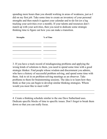spending more hours than you should working in areas of weakness, just as I did on my first job. Take some time to create an inventory of your personal strengths and then match it against your calendar and to-do list (or a log tracking your activities over a month). If your talents and resources don't match up with your activities, then you need to dedicate some strategic thinking time to figure out how you can make a transition.

| <b>Strengths</b> | % of Time |
|------------------|-----------|
|                  |           |
|                  |           |
|                  |           |
|                  |           |
|                  |           |

3. If you have a track record of misdiagnosing problems and applying the wrong kinds of solutions to them, you need to spend some time with a good strategic thinker. Find people whose wisdom and discernment you admire, who have a history of successful problem solving, and spend some time with them. Ask to sit in on problem-solving meetings as an observer. Take problems to them for brainstorming sessions. The idea is to learn how they think so that you can begin to develop similar thinking strategies. Whom would you most like to meet with?

4. Create a thinking schedule similar to the one Dave Sutherland uses. Dedicate specific blocks of time to specific issues. Don't forget to break them down so that you can really focus.

 $\mathcal{L}_\mathcal{L} = \{ \mathcal{L}_\mathcal{L} = \{ \mathcal{L}_\mathcal{L} = \{ \mathcal{L}_\mathcal{L} = \{ \mathcal{L}_\mathcal{L} = \{ \mathcal{L}_\mathcal{L} = \{ \mathcal{L}_\mathcal{L} = \{ \mathcal{L}_\mathcal{L} = \{ \mathcal{L}_\mathcal{L} = \{ \mathcal{L}_\mathcal{L} = \{ \mathcal{L}_\mathcal{L} = \{ \mathcal{L}_\mathcal{L} = \{ \mathcal{L}_\mathcal{L} = \{ \mathcal{L}_\mathcal{L} = \{ \mathcal{L}_\mathcal{$  $\mathcal{L}_\mathcal{L} = \{ \mathcal{L}_\mathcal{L} = \{ \mathcal{L}_\mathcal{L} = \{ \mathcal{L}_\mathcal{L} = \{ \mathcal{L}_\mathcal{L} = \{ \mathcal{L}_\mathcal{L} = \{ \mathcal{L}_\mathcal{L} = \{ \mathcal{L}_\mathcal{L} = \{ \mathcal{L}_\mathcal{L} = \{ \mathcal{L}_\mathcal{L} = \{ \mathcal{L}_\mathcal{L} = \{ \mathcal{L}_\mathcal{L} = \{ \mathcal{L}_\mathcal{L} = \{ \mathcal{L}_\mathcal{L} = \{ \mathcal{L}_\mathcal{$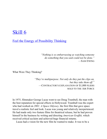# [Skill](#page-2-2) 6

Feel the Energy of [Possibility](#page-2-2) Thinking

*"Nothing is so embarrassing as watching someone do something that you said could not be done."* —SAM EWING

What Were They Thinking?

*"They're multipurpose. Not only do they put the clips on, but they take them off.*" —CONTRACTOR'S EXPLANATION OF \$1,000 PLIERS SOLD TO THE AIR FORCE

In 1975, filmmaker George Lucas went to see Doug Trumbull, the man with the best reputation for special effects in Hollywood. Trumbull was the expert who had worked on *2001: A Space Odyssey,* the first film that gave space travel a realistic feel and look. Lucas was young and relatively inexperienced. He had made only two feature films for theatrical release, but he had proven himself in the business by writing and directing *American Graffiti*, which received critical acclaim and achieved huge financial returns.

Lucas had a vision for the new film he wanted to make. It was to be a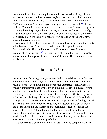story in a science fiction setting that would be part swashbuckling adventure, part Arthurian quest, and part western-style showdown—all rolled into one. In his own words, Lucas said, "It's science fiction—Flash Gordon genre; 2001 meets James Bond, outer space and space ships flying in it."  $\frac{47}{1}$  $\frac{47}{1}$  $\frac{47}{1}$ Lucas spoke to Trumbull because he wanted to create scenes with fast-moving ships zooming through space, similar to the way airplanes are filmed in a dogfight. It had never been done. Up to that point, space movies looked like either the technically unsophisticated original *Star Trek* television series or the slowmoving but realistic *2001.*

Author and filmmaker Thomas G. Smith, who has led special effects units in Hollywood, says, "The experienced vision effects people didn't take George seriously. They told him such rapid movement would cause a strobing effect on screen."  $\frac{48}{3}$  $\frac{48}{3}$  $\frac{48}{3}$  In other words, they told the young Lucus that it was technically impossible, and it couldn't be done. Then they sent Lucas on his way.

#### BELIEVING IS SEEING

Lucas was not about to give up, even after being turned down by an "expert" in the field. In his mind's eye, he could *see* what he wanted. He believed it could be done—even though it had never been attempted. John Dykstra, a young filmmaker who had worked with Trumbull, believed in Lucas' vision, too. He didn't know how it could be done, either, but he wanted to pursue the possibility. Lucas hired him and created his own special effects company in order to create the images he wanted. He called it Industrial Light and Magic.

Dykstra, who had some experience using computers while filming, started gathering a team of technicians. Together, they designed and built a studio and began inventing and assembling the technology needed to make the impossible possible. Through good thinking and using trial and error, they worked for almost two years to create what Lucas wanted. The result was the movie *Star Wars.* At the time, it was the most technically innovative movie ever made. It was also the most profitable.

*Star Wars* was a personal vision for Lucas. When he completed it in 1977,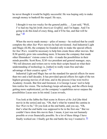he never thought it would be highly successful. He was hoping only to make enough money to bankroll the sequel. He says,

I thought it was too wacky for the general public. …I just said, "Well, I've had my big hit [with *American Graffiti]*, and I'm happy. And I'm going to do this kind of crazy thing, and it'll be fun, and that will be that."  $\frac{49}{ }$  $\frac{49}{ }$  $\frac{49}{ }$ 

When the movie made money—piles of money—he realized that he could complete the other *Star Wars* movies he had envisioned. And Industrial Light and Magic (ILM), the company he founded only to make the special effects for *Star Wars,* would be necessary to help him create these other movies. But ILM quickly grew into something more. It became the company that made other filmmakers' visions come to life—it made the possibilities in their minds possible. Scott Ross, ILM vice president and general manager, says, "We tell directors and writers not to write their scripts based on what their understanding of technology is, [rather] to really roam free and take advantage of their creative spirit."  $\frac{50}{50}$  $\frac{50}{50}$  $\frac{50}{50}$ 

Industrial Light and Magic has set the standard for special effects for more than two and a half decades. It has provided special effects for eight of the ten highest-grossing movies of all time, and in the process it has won twelve Academy Awards. But first and foremost, it is George Lucas' tool to help him realize his vision. The technology keeps advancing, and the effects keep getting more sophisticated, yet the company's capabilities never surpass the possibilities Lucas sees in his mind. Lucas reveals,

You look at the Jabba the Hutt scene in *Return of the Jedi* [the third movie in the series] and say, "Oh, that's what he wanted the cantina in *Star Wars* to be," Or you look at the end battle, and you say, "Oh, that's what the end battle was supposed to be in the first one." But we couldn't have done this movie then. I mean, it just was not humanly possible or even financially possible. So a lot of these things I have finally worked out. I finally got the end battle the way I wanted it.  $\frac{51}{2}$  $\frac{51}{2}$  $\frac{51}{2}$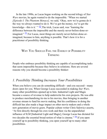In the late 1990s, as Lucas began working on the second trilogy of *Star Wars* movies, he again wanted to do the impossible. "When we started *[Episode I: The Phantom Menace],* we said, 'Okay, now we're gonna do it the way we always wanted to do it. We've got the money, we've got the knowledge—this is it.' "  $\frac{52}{1}$  $\frac{52}{1}$  $\frac{52}{1}$ The trick, Lucas said, was "learning the difference between the impossible and the merely never-before-done-orimagined."  $\frac{53}{5}$  $\frac{53}{5}$  $\frac{53}{5}$  For Lucas, most things are merely never-before-done-orimagined, because to him, anything is possible. That's how it is for a practitioner of possibility thinking.

#### WHY YOU SHOULD FEEL THE ENERGY OF POSSIBILITY **THINKING**

People who embrace possibility thinking are capable of accomplishing tasks that seem impossible because they believe in solutions. Here are several reasons why you should become a possibility thinker:

#### *1. Possibility Thinking Increases Your Possibilities*

When you believe you can do something difficult—and you succeed—many doors open for you. When George Lucas succeeded in making *Star Wars,* many other possibilities opened up to him. Industrial Light and Magic became a source of revenue to help underwrite his own projects. He was able to produce merchandising tie-ins to his movies, thus bringing in another revenue stream to fund his movie making. But his confidence in doing the difficult has also made a huge impact on other movie makers and a whole new generation of movie goers. Popular culture writer Chris Salewicz asserts, "At first directly through his own work and then via the unparalleled influence of ILM [Industrial Light and Magic], George Lucas has dictated for two decades the essential broad notion of what is cinema."  $\frac{54}{1}$  $\frac{54}{1}$  $\frac{54}{1}$  If you open yourself up to possibility thinking, you open yourself up to many other possibilities.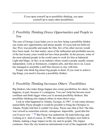If you open yourself up to possibility thinking, you open yourself up to many other possibilities.

## *2. Possibility Thinking Draws Opportunities and People to You*

The case of George Lucas helps you to see how being a possibility thinker can create new opportunities and attract people. If Lucas had not believed *Star Wars* was possible and made the film, few of his other movies would have been made. For that matter, most of the influential and profitable movies of the last twenty years would not have been possible. In the process, some of the most talented people in the world came to work for him at Industrial Light and Magic. In fact, in an industry where creative people usually remain independent, work as freelancers, complete jobs, and then move on, Lucas has managed to assemble a staff that chooses to stay with him.

People who think big attract big people to them. If you want to achieve big things, you need to become a possibility thinker.

#### *3. Possibility Thinking Increases Others' Possibilities*

Big thinkers who make things happen also create possibilities for others. That happens, in part, because it's contagious. You can't help but become more confident and think bigger when you're around possibility thinkers. But possibility thinking also impacts others in more direct ways.

Look at what happened in Atlanta, Georgia, in 1987. A real estate attorney named Billy Payne thought it would be possible to bring the Olympics to Atlanta. People told him it couldn't be done. Payne says that at first "the idea was viewed as somewhat eclectic, outrageous, impossible, 'good idea but you'll never win.' " <sup>[55](#page-238-0)</sup> But Payne was undeterred. He kept believing, and working at it. And of course, in 1996, the summer Olympics were held in Atlanta, making a huge impact on the city and its people. The impact continues. Once the city hosted an international event of the magnitude of the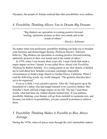Olympics, the people of Atlanta realized that other possibilities were endless.

## *4. Possibility Thinking Allows You to Dream Big Dreams*

"Big thinkers are specialists in creating positive forwardlooking, optimistic pictures in their own minds and in the minds of others."

—David J. Schwartz

No matter what your profession, possibility thinking can help you to broaden your horizons and dream bigger dreams. Professor David J. Schwartz believes, "Big thinkers are specialists in creating positive forward-looking, optimistic pictures in their own minds and in the minds of others."

In 1970, when I was twenty-three years old, I read a book that made a major impact on how I dream. It was called *Move Ahead with Possibility Thinking* by Robert Schuller. As a young pastor in my first church, it thrilled me to read about how Schuller overcame seemingly impossible circumstances to build a huge church in Garden Grove, California. When I read the following words, my world changed: "The greatest churches have yet to be organized."

Even as a child, I was a positive person. After all, I had grown up in the household of a father who had taught himself to be a positive thinker. But Schuller's book still had a huge impact on my life. The day I read those words, what had been my wildest dreams looked tame. If you embrace possibility thinking, your dreams will go from molehill to mountain size, and because you believe in possibilities, you put yourself in position to achieve them.

## *5. Possibility Thinking Makes it Possible to Rise Above Average*

During the 1970s, when oil prices went through the roof, automobile makers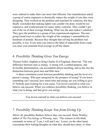were ordered to make their cars more fuel efficient. One manufacturer asked a group of senior engineers to drastically reduce the weight of cars they were designing. They worked on the problem and searched for solutions, but they finally concluded that making lighter cars couldn't be done, would be too expensive, and would present too many safety concerns. They couldn't get out of the rut of their average thinking. What was the auto maker's solution? They gave the problem to a group of less experienced engineers. The new group found ways to reduce the weight of the company's automobiles by hundreds of pounds. Because they thought that solving the problem was possible, it was. Every time you remove the label of impossible from a task, you raise your potential from average to off the charts.

## *6. Possibility Thinking Gives You Energy*

Thomas Fuller, chaplain to King Charles II of England, observed, "The real difference between men is energy. A strong will, a settled purpose, and invincible determination, can accomplish almost anything; and in this lies the distinction between great men and little men."

A direct correlation exists between possibility thinking and the level of a person's energy. Who gets energized by the prospect of losing? If you know something can't succeed, how much time and energy are you willing to give it? Nobody goes looking for a lost cause. You invest yourself in what you believe can succeed. When you embrace possibility thinking, you believe in what you're doing, and that gives you energy.

You invest yourself in what you believe can succeed.

# *7. Possibility Thinking Keeps You from Giving Up*

Above all, possibility thinkers believe they can succeed. Denis Waitley, author of *The Psychology of Winning,* says, "The winners in life think constantly in terms of 'I can, I will and I am.' Losers, on the other hand, concentrate their waking thoughts on what they should have done, or what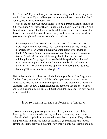they don't do." If you believe you can do something, you have already won much of the battle. If you believe you can't, then it doesn't matter how hard you try, because you've already lost.

One of the people who showed himself to be a great possibility thinker in 2001 was New York mayor Rudy Giuliani. In the hours following the World Trade Center tragedy, Giuliani not only led the city through the chaos of the disaster, but he instilled confidence in everyone he touched. Afterward, he gave some insight and perspective on his experience:

I was so proud of the people I saw on the street. No chaos, but they were frightened and confused, and it seemed to me that they needed to hear from my heart where I thought we were going. I was trying to think, *Where can I go for some comparison to this, some lessons about how to handle it?* So I started thinking about Churchill, started thinking that we're going to have to rebuild the spirit of the city, and what better example than Churchill and the people of London during the Blitz in 1940, who had to keep up their spirit during this sustained bombing? It was a comforting thought.  $\frac{56}{56}$  $\frac{56}{56}$  $\frac{56}{56}$ 

Sixteen hours after the planes struck the buildings in New York City, when Giuliani finally returned at 2:30 A.M. to his apartment for a rest, instead of sleeping, he read the World War II chapters of a new biography of Winston Churchill. He read how Churchill helped his people to see the possibilities and keep his people going. Inspired, Giuliani did the same for his own people six decades later.

#### HOW TO FEEL THE ENERGY OF POSSIBILITY THINKING

If you are a naturally positive person who already embraces possibility thinking, then you're already tracking with me. How-ever, some people, rather than being optimistic, are naturally negative or cynical. They believe that possibility thinkers are naive or foolish. If your thinking runs toward pessimism, let me ask you a question: how many highly successful people do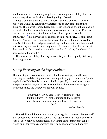you know who are continually negative? How many impossibility thinkers are you acquainted with who achieve big things? None!

People with an it-can't-be-done mindset have two choices. They can expect the worst and continually experience it; or they can change their thinking. That's what George Lucas did. Believe it or not, even though he is a possibility thinker, he is not a naturally positive person. He says, "I'm very cynical, and as a result, I think the defense I have against it is to be optimistic."  $\frac{57}{1}$  $\frac{57}{1}$  $\frac{57}{1}$  In other words, he chooses to think positively. He sums it up this way: "As corny as it sounds, the power of positive thinking goes a long way. So determination and positive thinking combined with talent combined with knowing your craft ...that may sound like a naive point of view, but at the same time it's worked for me and it's worked for all my friends—so I have come to believe it."  $\frac{58}{58}$  $\frac{58}{58}$  $\frac{58}{58}$ 

If you want possibility thinking to work for you, then begin by following these suggestions:

#### *1. Stop Focusing on the Impossibilities*

The first step in becoming a possibility thinker is to stop yourself from searching for and dwelling on what's wrong with any given situation. Sports psychologist Bob Rotella recounts, "I tell people: If you don't want to get into positive thinking, that's OK. Just eliminate all the negative thoughts from your mind, and whatever's left will be fine."

> "I tell people: If you don't want to get into positive thinking, that's OK. Just eliminate all the negative thoughts from your mind, and whatever's left will be fine."

> > —Bob Rotella

If possibility thinking is new to you, you're going to have to give yourself a lot of coaching to eliminate some of the negative self-talk you may hear in your head. When you automatically start listing all the things that can go wrong or all the reasons something can't be done, stop yourself and say,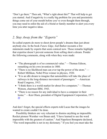"Don't go there." Then ask, "What's right about this?" That will help to get you started. And if negativity is a really big problem for you and pessimistic things come out of your mouth before you've even thought them through, you may need to enlist the aid of a friend or family member to alert you every time you utter negative ideas.

# *2. Stay Away from the "Experts"*

So-called experts do more to shoot down people's dreams than just about anybody else. In the book *Future Edge,* Joel Barker recounts a few statements made by experts that seem comical now. Those remarks highlight that expertise doesn't prevent someone from selling short a dream. Ponder the following comments, along with when they were made:

- "The phonograph is of no commercial value." —Thomas Edison, remarking on his own invention in 1880.
- "There is no likelihood man can ever tap the power of the atom." Robert Millikan, Nobel Prize winner in physics, 1920.
- "It is an idle dream to imagine that automobiles will take the place of railways in the long-distance movement of passengers." —American Road Congress, 1913.
- "I think there is a world market for about five computers." —Thomas Watson, chairman IBM, 1943.
- "There is no reason for any individual to have a computer in their home."—Ken Olsen, president of Digital Equipment Corporation, 1977. [59](#page-238-4)

And don't forget, the special effects experts told Lucas that the images he wanted to create couldn't be done.

Possibility thinkers are very reluctant to dismiss anything as impossible. Rocket pioneer Wernher von Braun said, "I have learned to use the word impossible with the greatest of caution." And Napoleon Bonaparte declared, "The word impossible is not in my dictionary." If you feel you must take the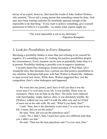advice of an expert, however, then heed the words of John Andrew Holmes, who asserted, "Never tell a young person that something cannot be done. God may have been waiting centuries for somebody ignorant enough of the impossible to do that thing." If you want to achieve something, give yourself permission to believe it is possible—no matter what experts might say.

> "The word impossible is not in my dictionary." —Napoleon Bonaparte

#### *3. Look for Possibilities in Every Situation*

Becoming a possibility thinker is more than just refusing to let yourself be negative. It's something more. It's looking for positive possibilities despite the circumstances. Every situation can be seen as potentially better than it is at present. Possibility thinking is possible even in negative situations.

I recently heard Don Soderquist, former president of Wal-Mart, tell a wonderful story that illustrates how a person can find positive possibilities in any situation. Soderquist had gone with Sam Walton to Huntsville, Alabama, to open several new stores. While there, Walton suggested they visit the competition. Here's what Soderquist said happened:

We went into one [store], and I have to tell you that it was the worst store I've ever seen in my life. It was terrible. There were no customers. There was no help on the floor. The aisles were cluttered with merchandise, empty shelves, dirty, it was absolutely terrible. He [Walton} walked one way and I'd walk the other way and we'd kind of meet out on the side walk. He said, "What'd you think, Don?"

I said, "Sam, that is the absolutely worst store I've ever seen in my life. I mean, did you see the aisles?"

He said, "Don, did you see the pantyhose rack?"

I said, "No, I didn't, Sam. I must have gone on a different aisle than you. I didn't see that."

He said, "That was the best pantyhose rack I've ever seen, Don."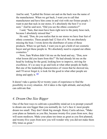And he said, "I pulled the fixture out and on the back was the name of the manufacturer. When we get back, I want you to call that manufacturer and have him come in and visit with our fixture people. I want to put that rack in our stores. It's absolutely the best I've ever seen." And he said next, "Did you see the ethnic cosmetics?"

I said, "Sam, that must have been right next to the panty hose rack, because I absolutely missed that."

He said, "Don, do you realize that in our stores we have four feet of ethnic cosmetics. These people had 12 feet of it. We are absolutely missing the boat. I wrote down the distributor of some of those products. When we get back, I want you to get a hold of our cosmetic buyer and get these people in. We absolutely need to expand our ethnic cosmetics."

Now, Sam Walton didn't hit me on the head and say, "Don, now what lesson did you learn from this?" He had already hit me on the head by looking for the good, looking how to improve, striving for excellence. It's so easy to go and look at what other people do badly. But one of the leadership characteristics of vision that he showed me, and I'll never forget it, is look for the good in what other people are doing and apply it.  $\frac{60}{2}$  $\frac{60}{2}$  $\frac{60}{2}$ 

It doesn't take a genius IQ or twenty years of experience to find the possibility in every situation. All it takes is the right attitude, and anybody can cultivate that.

#### *4. Dream One Size Bigger*

One of the best ways to cultivate a possibility mind-set is to prompt yourself to dream one size bigger than you normally do. Let's face it: most people dream too small. They don't think big enough. Henry Curtis advises, "Make your plans as fantastic as you like, because twenty-five years from now, they will seem mediocre. Make your plans ten times as great as you first planned, and twenty-five years from now you will wonder why you did not make them fifty times as great."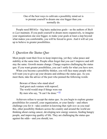One of the best ways to cultivate a possibility mind-set is to prompt yourself to dream one size bigger than you normally do.

People need BHAGs—big hairy audacious goals—as the authors of *Built to Last* maintain. If you push yourself to dream more expansively, to imagine your organization one size bigger, to make your goals at least a step beyond what makes you comfortable, you will be forced to grow. And it will set you up to believe in greater possibilities.

## *5. Question the Status Quo*

Most people want their lives to keep improving, yet they value peace and stability at the same time. People often forget that you can't improve and still stay the same. Growth means change. Change requires challenging the status quo. If you want greater possibilities, you can't settle for what you have now.

When you become a possibility thinker, you will face many people who will want you to give up your dreams and embrace the status quo. As you meet them, take the advice of the poet who penned the following words:

Beware of those who stand aloof And greet each venture with reproof; The world would stop if things were run By men who say, "It can't be done."  $\frac{61}{2}$  $\frac{61}{2}$  $\frac{61}{2}$ 

Achievers refuse to accept the status quo. As you begin to explore greater possibilities for yourself, your organization, or your family—and others challenge you for it—take comfort in knowing that *right now* as you read this, other possibility thinkers across the country and around the world are thinking about curing cancer, developing new energy sources, feeding hungry people, and improving quality of life. They are challenging the status quo against the odds—and you should, too.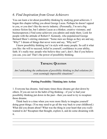## *6. Find Inspiration from Great Achievers*

You can learn a lot about possibility thinking by studying great achievers. I began this chapter telling you about George Lucas. Perhaps he doesn't appeal to you, or you don't like the movie industry. (Personally, I'm not a big science fiction fan, but I admire Lucas as a thinker, creative visionary, and businessperson.) Find some achievers you admire and study them. Look for people with the attitude of Robert F. Kennedy, who popularized George Bernard Shaw's stirring statement: "Some men see things as they are and say, 'Why?' I dream of things that never were and say, 'Why not?'"

I know possibility thinking isn't in style with many people. So call it what you like: the will to succeed, belief in yourself, confidence in your ability, faith. It's really true: people who believe they can't, don't. But if you believe you can, you can! That's the power of possibility thinking.

## **THINKING QUESTION**

*Am I unleashing the enthusiasm of possibility thinking to find solutions for even seemingly impossible situations?*

#### **Putting Possibility Thinking into Action**

1. Everyone has dreams. And many times those dreams get shot down by others. If you are not in the habit of big thinking—if you've had your possibility thinking put down in the past—then you need to try to recapture those dreams.

Think back to a time when you were more likely to imagine yourself doing great things. (You may need to go all the way back to your childhood.) What did you dream about? What was the thing in your heart that you *really* wanted to do? Recapture that thought, explore it, and do some dreaming with it.

 $\mathcal{L}_\mathcal{L} = \{ \mathcal{L}_\mathcal{L} = \{ \mathcal{L}_\mathcal{L} = \{ \mathcal{L}_\mathcal{L} = \{ \mathcal{L}_\mathcal{L} = \{ \mathcal{L}_\mathcal{L} = \{ \mathcal{L}_\mathcal{L} = \{ \mathcal{L}_\mathcal{L} = \{ \mathcal{L}_\mathcal{L} = \{ \mathcal{L}_\mathcal{L} = \{ \mathcal{L}_\mathcal{L} = \{ \mathcal{L}_\mathcal{L} = \{ \mathcal{L}_\mathcal{L} = \{ \mathcal{L}_\mathcal{L} = \{ \mathcal{L}_\mathcal{$  $\mathcal{L}_\mathcal{L} = \{ \mathcal{L}_\mathcal{L} = \{ \mathcal{L}_\mathcal{L} = \{ \mathcal{L}_\mathcal{L} = \{ \mathcal{L}_\mathcal{L} = \{ \mathcal{L}_\mathcal{L} = \{ \mathcal{L}_\mathcal{L} = \{ \mathcal{L}_\mathcal{L} = \{ \mathcal{L}_\mathcal{L} = \{ \mathcal{L}_\mathcal{L} = \{ \mathcal{L}_\mathcal{L} = \{ \mathcal{L}_\mathcal{L} = \{ \mathcal{L}_\mathcal{L} = \{ \mathcal{L}_\mathcal{L} = \{ \mathcal{L}_\mathcal{$  $\mathcal{L}_\mathcal{L} = \{ \mathcal{L}_\mathcal{L} = \{ \mathcal{L}_\mathcal{L} = \{ \mathcal{L}_\mathcal{L} = \{ \mathcal{L}_\mathcal{L} = \{ \mathcal{L}_\mathcal{L} = \{ \mathcal{L}_\mathcal{L} = \{ \mathcal{L}_\mathcal{L} = \{ \mathcal{L}_\mathcal{L} = \{ \mathcal{L}_\mathcal{L} = \{ \mathcal{L}_\mathcal{L} = \{ \mathcal{L}_\mathcal{L} = \{ \mathcal{L}_\mathcal{L} = \{ \mathcal{L}_\mathcal{L} = \{ \mathcal{L}_\mathcal{$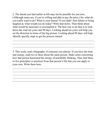2. The dream you had earlier in life may not be possible for you now. (Although many are, if you're willing and able to pay the price.) So, what do you really want to do? What is your dream? If you didn't fear failure or being laughed at, what would you do today? Write that down. Then think about what would be necessary to accomplish it. The best way to do that is to look down the road ten years and 90 days. Looking ahead ten years will help you set the direction in terms of the big picture. Looking ahead 90 days will help identify specific steps to get the process started.

 $\mathcal{L}_\mathcal{L} = \{ \mathcal{L}_\mathcal{L} = \{ \mathcal{L}_\mathcal{L} = \{ \mathcal{L}_\mathcal{L} = \{ \mathcal{L}_\mathcal{L} = \{ \mathcal{L}_\mathcal{L} = \{ \mathcal{L}_\mathcal{L} = \{ \mathcal{L}_\mathcal{L} = \{ \mathcal{L}_\mathcal{L} = \{ \mathcal{L}_\mathcal{L} = \{ \mathcal{L}_\mathcal{L} = \{ \mathcal{L}_\mathcal{L} = \{ \mathcal{L}_\mathcal{L} = \{ \mathcal{L}_\mathcal{L} = \{ \mathcal{L}_\mathcal{$  $\mathcal{L}_\mathcal{L} = \{ \mathcal{L}_\mathcal{L} = \{ \mathcal{L}_\mathcal{L} = \{ \mathcal{L}_\mathcal{L} = \{ \mathcal{L}_\mathcal{L} = \{ \mathcal{L}_\mathcal{L} = \{ \mathcal{L}_\mathcal{L} = \{ \mathcal{L}_\mathcal{L} = \{ \mathcal{L}_\mathcal{L} = \{ \mathcal{L}_\mathcal{L} = \{ \mathcal{L}_\mathcal{L} = \{ \mathcal{L}_\mathcal{L} = \{ \mathcal{L}_\mathcal{L} = \{ \mathcal{L}_\mathcal{L} = \{ \mathcal{L}_\mathcal{$  $\mathcal{L}_\mathcal{L} = \{ \mathcal{L}_\mathcal{L} = \{ \mathcal{L}_\mathcal{L} = \{ \mathcal{L}_\mathcal{L} = \{ \mathcal{L}_\mathcal{L} = \{ \mathcal{L}_\mathcal{L} = \{ \mathcal{L}_\mathcal{L} = \{ \mathcal{L}_\mathcal{L} = \{ \mathcal{L}_\mathcal{L} = \{ \mathcal{L}_\mathcal{L} = \{ \mathcal{L}_\mathcal{L} = \{ \mathcal{L}_\mathcal{L} = \{ \mathcal{L}_\mathcal{L} = \{ \mathcal{L}_\mathcal{L} = \{ \mathcal{L}_\mathcal{$ 

 $\mathcal{L}_\mathcal{L} = \{ \mathcal{L}_\mathcal{L} = \{ \mathcal{L}_\mathcal{L} = \{ \mathcal{L}_\mathcal{L} = \{ \mathcal{L}_\mathcal{L} = \{ \mathcal{L}_\mathcal{L} = \{ \mathcal{L}_\mathcal{L} = \{ \mathcal{L}_\mathcal{L} = \{ \mathcal{L}_\mathcal{L} = \{ \mathcal{L}_\mathcal{L} = \{ \mathcal{L}_\mathcal{L} = \{ \mathcal{L}_\mathcal{L} = \{ \mathcal{L}_\mathcal{L} = \{ \mathcal{L}_\mathcal{L} = \{ \mathcal{L}_\mathcal{$  $\mathcal{L}_\mathcal{L} = \{ \mathcal{L}_\mathcal{L} = \{ \mathcal{L}_\mathcal{L} = \{ \mathcal{L}_\mathcal{L} = \{ \mathcal{L}_\mathcal{L} = \{ \mathcal{L}_\mathcal{L} = \{ \mathcal{L}_\mathcal{L} = \{ \mathcal{L}_\mathcal{L} = \{ \mathcal{L}_\mathcal{L} = \{ \mathcal{L}_\mathcal{L} = \{ \mathcal{L}_\mathcal{L} = \{ \mathcal{L}_\mathcal{L} = \{ \mathcal{L}_\mathcal{L} = \{ \mathcal{L}_\mathcal{L} = \{ \mathcal{L}_\mathcal{$  $\mathcal{L}_\mathcal{L} = \{ \mathcal{L}_\mathcal{L} = \{ \mathcal{L}_\mathcal{L} = \{ \mathcal{L}_\mathcal{L} = \{ \mathcal{L}_\mathcal{L} = \{ \mathcal{L}_\mathcal{L} = \{ \mathcal{L}_\mathcal{L} = \{ \mathcal{L}_\mathcal{L} = \{ \mathcal{L}_\mathcal{L} = \{ \mathcal{L}_\mathcal{L} = \{ \mathcal{L}_\mathcal{L} = \{ \mathcal{L}_\mathcal{L} = \{ \mathcal{L}_\mathcal{L} = \{ \mathcal{L}_\mathcal{L} = \{ \mathcal{L}_\mathcal{$  $\mathcal{L}_\mathcal{L} = \{ \mathcal{L}_\mathcal{L} = \{ \mathcal{L}_\mathcal{L} = \{ \mathcal{L}_\mathcal{L} = \{ \mathcal{L}_\mathcal{L} = \{ \mathcal{L}_\mathcal{L} = \{ \mathcal{L}_\mathcal{L} = \{ \mathcal{L}_\mathcal{L} = \{ \mathcal{L}_\mathcal{L} = \{ \mathcal{L}_\mathcal{L} = \{ \mathcal{L}_\mathcal{L} = \{ \mathcal{L}_\mathcal{L} = \{ \mathcal{L}_\mathcal{L} = \{ \mathcal{L}_\mathcal{L} = \{ \mathcal{L}_\mathcal{$  $\mathcal{L}_\mathcal{L} = \{ \mathcal{L}_\mathcal{L} = \{ \mathcal{L}_\mathcal{L} = \{ \mathcal{L}_\mathcal{L} = \{ \mathcal{L}_\mathcal{L} = \{ \mathcal{L}_\mathcal{L} = \{ \mathcal{L}_\mathcal{L} = \{ \mathcal{L}_\mathcal{L} = \{ \mathcal{L}_\mathcal{L} = \{ \mathcal{L}_\mathcal{L} = \{ \mathcal{L}_\mathcal{L} = \{ \mathcal{L}_\mathcal{L} = \{ \mathcal{L}_\mathcal{L} = \{ \mathcal{L}_\mathcal{L} = \{ \mathcal{L}_\mathcal{$ 

3. This week, read a biography of someone you admire. If you have the time and energy, read two or three about the same person. Make notes concerning how that person harnessed the energy of possibility thinking. Then find three to five principles or practices from that person's life that you can apply to your own. Write them here: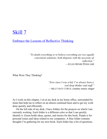# [Skill](#page-2-0) 7

#### Embrace the Lessons of [Reflective](#page-2-0) Thinking

*"To doubt everything or to believe everything are two equally convenient solutions; both dispense with the necessity of reflection."* —JULES HENRI POINCARÉ

What Were They Thinking?

*"Ever since I was a kid, I've always been a real deep thinker and stuff.*" —BILLY RAY CYRUS, country music singer

As I work on this chapter, I sit at my desk in my home office, surrounded by items that help me to reflect on an almost continual basis and to get my work done quickly and efficiently.

On the left side of my desk, I have folders for the projects on which I am currently working. Each folder is a different color so that I can quickly identify it. Green holds ideas, quotes, and stories for this book. Purple is for personal issues and ideas related to my companies. A blue folder contains thoughts I'm gathering for my next book. Each folder has a list of questions,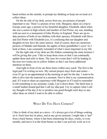hand-written on the outside, to prompt my thinking or keep me on track as I collect ideas.

On the far side of my desk, across from me, are pictures of people important to me. There's a picture of my wife, Margaret, taken on a trip to Europe years ago; a picture of my beautiful daughter, Elizabeth, taken when she was a senior in high school; and another of Joel Porter, my son, standing with me next to a monument of John Wesley in England. There are up-todate pictures of both of our children with their spouses, Elizabeth with Steve and Joel Porter with Elisabeth (yes, it's confusing that our daughter and daughter-in-law have the same names). And of course, there are numerous pictures of Maddie and Hannah, the apples of their grandfather's eyes! As I look at them, I am constantly reminded of what's most important in my life.

On the right side of my desk are file folders containing the main lectures I will be giving this year. I like to keep them close so that I can continually update them and refer to them. The ones for events that I will be leading in the next two weeks are in yellow folders so that I can focus additional attention on them.

And right in front of me are three items within easy reach. The first is the legal pad I'm writing on now. My current project stays front and center even if I go to an appointment in the morning or quit for the day. I want to be able to dive into the material in a moment. Next to that is my communication pad. If I want to share an experience with Margaret or if I need to remember to tell something to my assistant, Linda, I jot it down there. The third item is a small leather-bound pad that I call my idea pad. I try to capture what I call my thought of the day (I try to produce one good thought each day) or any other ideas on which I want to be able to reflect.

#### WHAT DO YOU HAVE COOKING?

I like to think of my desk as a stove—it's always got a lot of things cooking on it. Each item has its place, and at any given moment, I might take a "pot" from a back burner, where it has been simmering for days, weeks, or even months, and move it to the front burner so that I can actively work on it or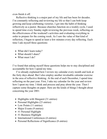even finish it off.

Reflective thinking is a major part of my life and has been for decades. I'm constantly reflecting and reviewing my life so that I can both keep growing and keep celebrating victories. I got into the habit of thinking reflectively as a pastor. Because churches function on a weekly cycle, I used to spend time every Sunday night reviewing the previous week, reflecting on the effectiveness of the weekend's activities and evaluating everything in order to prepare for the coming week. As I saw the value of that kind of reflection, I began to spend at least a few minutes every day reflecting. Each time I ask myself three questions:

- What did I learn today?
- What should I share?
- What must I do?

I've found that asking myself these questions helps me to stay disciplined and accountable for how I spend my time.

I've already explained how I review my calendar every month and look at the forty days ahead. But I also employ another invaluable calendar exercise in the area of reflective thinking. At the end of each December, I spend time reflecting on the past year. First, I take my calendar for the year and review how I spent my time. I think and process and pray about the year. Then I capture some thoughts on paper. Here are the kinds of things I thought about concerning the year 2001:

- Highlights with Margaret (31 entries)
- Personal Highlights (23 entries)
- Low Points (11 entries)
- Major Events (9 entries)
- #1 Personal Highlight
- #1 Business Highlight
- International Conferences (4 entries)
- Personal Reflections of Significance (8 entries)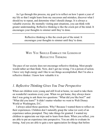As I go through this process, my goal is to reflect on how I spent a year of my life so that I might learn from my successes and mistakes, discover what I should try to repeat, and determine what I should change. It is always a valuable exercise. By mentally visiting past situations, you can think with greater understanding. Reflective thinking is like the crock-pot of the mind. It encourages your thoughts to simmer until they're done.

> Reflective thinking is like the crock-pot of the mind. It encourages your thoughts to simmer until they're done.

## WHY YOU SHOULD EMBRACE THE LESSONS OF REFLECTIVE THINKING

The pace of our society does not encourage reflective thinking. Most people would rather act than think. Now, don't get me wrong. I'm a person of action. I have very high energy and I like to see things accomplished. But I'm also a reflective thinker. I know how valuable it is:

## *1. Reflective Thinking Gives You True Perspective*

When our children were young and still lived at home, we used to take them on wonderful vacations every year. When we got home, they always knew that I was going to ask them two questions: "What did you like best?" and "What did you learn?" It didn't matter whether we went to Walt Disney World or Washington, D.C.

I always asked those questions. Why? Because I wanted them to reflect on their experiences. Children don't naturally grasp the value (or cost) of an experience unless prompted. They take things for granted. I wanted my children to appreciate our trips and to learn from them. When you reflect, you are able to put an experience into perspective. You are able to evaluate its timing. And you are able to gain a new appreciation for things that before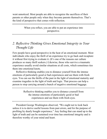went unnoticed. Most people are able to recognize the sacrifices of their parents or other people only when they become parents themselves. That's the kind of perspective that comes with reflection.

> When you reflect, you are able to put an experience into perspective.

# *2. Reflective Thinking Gives Emotional Integrity to Your Thought Life*

Few people have good perspective in the heat of an emotional moment. Most individuals who enjoy the thrill of an experience try to go back and recapture it without first trying to evaluate it. (It's one of the reasons our culture produces so many thrill seekers.) Likewise, those who survive a traumatic experience usually avoid similar situations at all costs, which sometimes ties them into emotional knots.

Reflective thinking enables you to distance yourself from the intense emotions of particularly good or bad experiences and see them with fresh eyes. You can see the thrills of the past in the light of emotional maturity and examine tragedies in the light of truth and logic. That process can help a person to stop carrying around a bunch of negative emotional baggage.

> Reflective thinking enables you to distance yourself from the intense emotions of particularly good or bad experiences and see them with fresh eyes.

President George Washington observed, "We ought not to look back unless it is to derive useful lessons from past errors, and for the purpose of profiting by dearly bought experience." Any feeling that can stand up to the light of truth and can be sustained over time has emotional integrity and is therefore worthy of your mind and heart.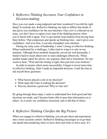# *3. Reflective Thinking Increases Your Confidence in Decision-making*

Have you ever made a snap judgment and later wondered if you did the right thing? Everybody has. Reflective thinking can help to diffuse that doubt. It also gives you confidence for the next decision. Once you've reflected on an issue, you don't have to repeat every step of the thinking process when you're faced with it again. You've got mental road markers from having been there before. That compresses and speeds up thinking time—and it gives you confidence. And over time, it can also strengthen your intuition.

During my early years of leadership, I wasn't strong at reflective thinking. When confronted by a challenge, I often tried to wing it or rely on my intuition. Although those methods frequently served me well personally, I found it hard to teach others how to meet challenges effectively. When another leader asked for advice, my response often led to frustration. No one wants to hear, "Wait until the timing is right, then just trust your instincts."

In order to mentor others more successfully, I began to invest more time in reflective thinking. After I made an important decision, I took the time to ask myself these questions:

- What factors played a role in my decision?
- What steps did I take in making the decision?
- Was my decision a good one? Why or why not?

By going through these steps, I came to understand how both good and bad decisions are made, and I became better able to pass that information on to others. As a result, my confidence increased, and so did that of others.

# *4. Reflective Thinking Clarifies the Big Picture*

When you engage in reflective thinking, you can put ideas and experiences into a more accurate context. Reflective thinking encourages us to go back and spend time pondering what we have done and what we have seen. If a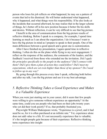person who loses his job reflects on what happened, he may see a pattern of events that led to his dismissal. He will better understand what happened, why it happened, and what things were his responsibility. If he also looks at the incidents that occurred afterward, he may realize that in the larger scheme of things, he's better off in his new position because it better fits his skills and desires. Without reflection, it can be very difficult to see that big picture.

I benefit in the area of communication from the big-picture results of reflective thinking. Before I speak to a company, for example, I spend time learning as much as I can about the organization. I do it because I want to have the big picture in mind as I prepare to speak to their people. One of the main differences between a good speech and a great one is customization.

After I have finished my presentation, I again spend time in reflective thinking. I often do this on the plane while flying to my next engagement. I reflect on the response of the audience, the comments of the leaders, and the feedback I received from those who extended me the invitation. *Did I apply the principles specifically to the people in the audience? Did I connect with them? Did I give them a plan of action they could follow? Did I meet my expectations, which are set even higher than those of my sponsor? Do I need to follow up in any way?*

By going through this process every time I speak, reflecting both before and after my talk, I see the big picture and use it to my best advantage.

## *5. Reflective Thinking Takes a Good Experience and Makes it a Valuable Experience*

When you were just starting out in your career, did it seem that few people were willing to give someone without experience an opportunity? At the same time, could you see people who had been on their jobs twenty years who yet did their work poorly? If so, that probably frustrated you.

Playwright William Shakespeare wrote, "Experience is a jewel, and it had need be so, for it is often purchased at an infinite rate." Yet, experience alone does not add value to a life. It's not necessarily experience that is valuable; it's the insight people gain because of their experience. Reflective thinking turns experience into insight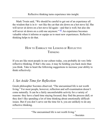Reflective thinking turns experience into insight.

Mark Twain said, "We should be careful to get out of an experience all the wisdom that is in it—not like the cat that sits down on a hot stove lid. She will never sit down on a hot stove lid again—and that is well; but also she will never sit down on a cold one anymore."  $\frac{62}{2}$  $\frac{62}{2}$  $\frac{62}{2}$  An experience becomes valuable when it informs or equips us to meet new experiences. Reflective thinking helps to do that.

# HOW TO EMBRACE THE LESSONS OF REFLECTIVE **THINKING**

If you are like most people in our culture today, you probably do very little reflective thinking. If that's the case, it may be holding you back more than you think. Take to heart the following suggestions to increase your ability to think reflectively:

# *1. Set Aside Time for Reflection*

Greek philosopher Socrates observed, "The unexamined life is not worth living." For most people, however, reflection and self-examination doesn't come naturally. It can be a fairly uncomfortable activity for a variety of reasons: they have a hard time staying focused; they find the process dull; or they don't like spending a lot of time thinking about emotionally difficult issues. But if you don't carve out the time for it, you are unlikely to do any reflective thinking.

> "The unexamined life is not worth living." —Socrates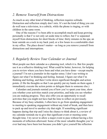#### *2. Remove Yourself from Distractions*

As much as any other kind of thinking, reflection requires solitude. Distraction and reflection simply don't mix. It's not the kind of thing you can do well near a television, in a cubicle, while the phone is ringing, or with children in the same room.

One of the reasons I've been able to accomplish much and keep growing personally is that I've not only set aside time to reflect, but I've separated myself from distractions for short blocks of time: thirty minutes in the spa; an hour outside on a rock in my back yard; or a few hours in a comfortable chair in my office. The place doesn't matter—as long as you remove yourself from distractions and interruptions.

#### *3. Regularly Review Your Calendar or Journal*

Most people use their calendar as a planning tool, which it is. But few people use it as a reflective thinking tool. What could be better, however, for helping you to review where you have been and what you have done—except maybe a journal? I'm not a journaler in the regular sense; I don't use writing to figure out what I'm thinking and feeling. Instead, I figure out what I'm thinking and feeling, and then I write down significant thoughts and action points. (I file the thoughts so that I can quickly put my hands on them again. I immediately execute the action points or delegate them to someone else.)

Calendars and journals remind you of how you've spent your time, show you whether your activities match your priorities, and help you see whether you are making progress. They also offer you an opportunity to recall activities that you might not have had the time to reflect on previously. Because of my busy schedule, I often have to go from speaking engagement to meeting to speaking engagement without any kind of break, and then have to pack up and travel to another city that night. If something significant happens during that trip and I miss the chance to think about it, a review of my calendar reminds me to give that significant event or meeting some thought time. I try never to allow a major event to pass without having a few moments of reflection afterward. Some of the most valuable thoughts you've ever had may have been lost because you didn't give yourself the reflection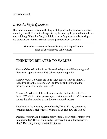time you needed.

## *4. Ask the Right Questions*

The value you receive from reflecting will depend on the kinds of questions you ask yourself. The better the questions, the more gold you will mine from your thinking. When I reflect, I think in terms of my values, relationships, and experiences. Here are some sample questions from each area:

> The value you receive from reflecting will depend on the kinds of questions you ask yourself.

## **THINKING RELATED TO VALUES**

- *Personal Growth:* What have I learned today that will help me grow? How can I apply it to my life? When should I apply it?
- *Adding Value:* To whom did I add value today? How do I know I added value to that person? Can I follow up and compound the positive benefit he or she received?
- *Teamwork:* What did I do with someone else that made both of us better? Would the other person agree that it was a win/win? Can we do something else together to continue our mutual success?
- *Leadership:* Did I lead by example today? Did I lift my people and organization to a higher level? What did I do and how did I do it?
- *Physical Health:* Did I exercise at my optimal heart rate for thirty-five minutes today? Have I exercised at least five times in the last seven days? Did I stay on my low-fat diet today?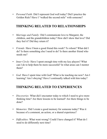• *Personal Faith:* Did I represent God well today? Did I practice the Golden Rule? Have I "walked the second mile" with someone?

# **THINKING RELATED TO RELATIONSHIPS**

- *Marriage and Family:* Did I communicate love to Margaret, the children, and the grandchildren today? How did I show that love? Did they feel it? Did they return it?
- *Friends:* Have I been a good friend this week? To whom? What did I do? Is there something else I need to do? Is there another friend who needs me?
- *Inner Circle:* Have I spent enough time with my key players? What can I do to help them be more successful? In what areas can I mentor them?
- *God:* Have I spent time with God? What is he teaching me now? Am I learning? Am I obeying? Have I continually talked with him today?

# **THINKING RELATED TO EXPERIENCES**

- *Discoveries:* What did I encounter today to which I need to give more thinking time? Are there lessons to be learned? Are there things to be done?
- *Memories:* Did I create a good memory for someone today? Was it because of a comment, an action, or a shared experience?
- *Difficulties:* What went wrong? Could I have changed it? What do I need to do differently next time?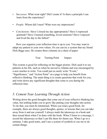- *Successes:* What went right? Did I create it? Is there a principle I can learn from the experience?
- *People:* Whom did I meet? What were my impressions?
- *Conclusions:* Have I closed my day appropriately? Have I expressed gratitude? Have I learned something, loved someone? Have I enjoyed and lived the day to the fullest?

How you organize your reflection time is up to you. You may want to adapt my pattern to your own values. Or you can try a system that my friend Dick Biggs uses. He creates three columns on a sheet of paper:

Year Turning Point Impact

This system is good for reflecting on the bigger picture. Dick used it to see patterns in his life, such as when he moved to Atlanta and was encouraged by a new teacher to write. You could just as easily write "Event," "Significance," and "Action Point" on a page to help you benefit from reflective thinking. The main thing is to create questions that work for you, and write down any significant thoughts that come to you during the reflection time.

# *5. Cement Your Learning Through Action*

Writing down the good thoughts that come out of your reflective thinking has value, but nothing helps you to grow like putting your thoughts into action. To do that, you must be intentional. When you read a good book, for example, there are always good thoughts, quotes, or lessons that you can take away from it and use yourself. I always mark the takeaways in a book and then reread them when I'm done with the book. When I listen to a message, I record the takeaways so that I can file them for future use. When I go to a seminar, I take good notes, and I use a system of symbols to cue me to do certain things: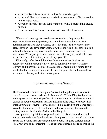- An arrow like this  $\rightarrow$  means to look at this material again.
- An asterisk like this \* next to a marked section means to file it according to the subject noted.
- A bracket like this [ means that I want to use what's marked in a lecture or book.
- An arrow like this ↑ means this idea will take off if I work at it.

When most people go to a conference or seminar, they enjoy the experience, listen to the speakers, and sometimes even take notes. But nothing happens after they go home. They like many of the concepts they hear, but when they close their notebooks, they don't think about them again. When that happens, they receive little more than a temporary surge of motivation. When you go to a conference, revisit what you heard, reflect on it, and then put it into action, it can change your life.

Ultimately, reflective thinking has three main values: it gives me perspective within context; it allows me to continually connect with my journey; and it provides counsel and direction concerning my future. It is an invaluable tool to my personal growth. Few things in life can help me learn and improve the way reflective thinking can.

#### BORROWING ANOTHER'S WISDOM

The lessons to be learned through reflective thinking don't always have to come from your own experience. In January of 2002 the King family asked me to speak on the leadership of Martin Luther King, Jr., at Ebenezer Baptist Church in downtown Atlanta for Martin Luther King Day. I've always had great admiration for King. He was an incredible leader. I'm not alone; people asked to identify the greatest influence in the world during the twentieth century commonly identify Martin Luther King, Jr.

As I prepared my brief message and reviewed his accomplishments, I noticed how reflective thinking shaped his approach to racism and civil rights issues. As a young man growing up in the South, King had suffered under Jim Crow laws and segregation. His experience birthed a desire to change the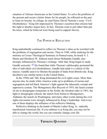situation of African-Americans in the United States. To solve the problems of the present and secure a better future for his people, he reflected on the past to learn its lessons. In college, he read Henry David Thoreau's essay "Civil Disobedience." King felt impressed by Thoreau's assertion that citizens had the right to disobey unjust laws. In fact, Thoreau went to jail rather than pay his taxes, which he believed were being used to support slavery.

## THE POWER OF REFLECTION

King undoubtedly continued to reflect on Thoreau's ideas as he wrestled with the problems of segregation and racism. Then in 1948, while studying for the ministry at Crozer Theological Seminary in Pennsylvania, he heard A. J. Muste and Mordecai W. Johnson teach about Mohandas Gandhi, also strongly influenced by Thoreau's writings. After that, King began to study Gandhi seriously.  $\frac{63}{8}$  $\frac{63}{8}$  $\frac{63}{8}$  He found that while Thoreau's philosophy promoted the idea of individual civil disobedience, Gandhi had made it a vehicle of the masses. Gandhi used it to liberate the people of India from British rule. King decided to use similar tactics in the United States.

In the 1950s and '60s, King dominated the civil rights scene. More than anyone else, he made white America wake up to problems of racism and segregation and led black America's fight against the inherently corrupt and oppressive system. The Montgomery Bus Boycott of 1955; the lunch counter sit-ins to desegregate restaurants in the South; the freedom rides in 1961; the fight to desegregate schools; the march from Selma to Montgomery, Alabama; the march on Washington; and many other events during the civil rights movement were strongly influenced by King's leadership. And every one of them displays the influence of his reflective thinking.

Reflective thinking in the hands of Martin Luther King, Jr., radically transformed American life. If you embrace it as King did, you may not be able to change the world, but you can certainly change your life.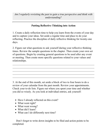*Am I regularly revisiting the past to gain a true perspective and think with understanding?*

#### **Putting Reflective Thinking into Action**

1. Create a daily reflection time to help you learn from the events of your day and to capture your ideas. Set aside a regular time and place to do your reflecting. Practice the discipline of daily reflective thinking for twenty-one days.

2. Figure out what questions to ask yourself during your reflective thinking times. Review the sample questions in the chapter. Then create your own set of questions. Begin by creating general questions to be used after any event or meeting. Then create more specific questions related to your values and relationships.

 $\mathcal{L}_\mathcal{L} = \{ \mathcal{L}_\mathcal{L} = \{ \mathcal{L}_\mathcal{L} = \{ \mathcal{L}_\mathcal{L} = \{ \mathcal{L}_\mathcal{L} = \{ \mathcal{L}_\mathcal{L} = \{ \mathcal{L}_\mathcal{L} = \{ \mathcal{L}_\mathcal{L} = \{ \mathcal{L}_\mathcal{L} = \{ \mathcal{L}_\mathcal{L} = \{ \mathcal{L}_\mathcal{L} = \{ \mathcal{L}_\mathcal{L} = \{ \mathcal{L}_\mathcal{L} = \{ \mathcal{L}_\mathcal{L} = \{ \mathcal{L}_\mathcal{$  $\mathcal{L}_\mathcal{L} = \{ \mathcal{L}_\mathcal{L} = \{ \mathcal{L}_\mathcal{L} = \{ \mathcal{L}_\mathcal{L} = \{ \mathcal{L}_\mathcal{L} = \{ \mathcal{L}_\mathcal{L} = \{ \mathcal{L}_\mathcal{L} = \{ \mathcal{L}_\mathcal{L} = \{ \mathcal{L}_\mathcal{L} = \{ \mathcal{L}_\mathcal{L} = \{ \mathcal{L}_\mathcal{L} = \{ \mathcal{L}_\mathcal{L} = \{ \mathcal{L}_\mathcal{L} = \{ \mathcal{L}_\mathcal{L} = \{ \mathcal{L}_\mathcal{$  $\mathcal{L}_\mathcal{L} = \{ \mathcal{L}_\mathcal{L} = \{ \mathcal{L}_\mathcal{L} = \{ \mathcal{L}_\mathcal{L} = \{ \mathcal{L}_\mathcal{L} = \{ \mathcal{L}_\mathcal{L} = \{ \mathcal{L}_\mathcal{L} = \{ \mathcal{L}_\mathcal{L} = \{ \mathcal{L}_\mathcal{L} = \{ \mathcal{L}_\mathcal{L} = \{ \mathcal{L}_\mathcal{L} = \{ \mathcal{L}_\mathcal{L} = \{ \mathcal{L}_\mathcal{L} = \{ \mathcal{L}_\mathcal{L} = \{ \mathcal{L}_\mathcal{$  $\mathcal{L}_\mathcal{L} = \{ \mathcal{L}_\mathcal{L} = \{ \mathcal{L}_\mathcal{L} = \{ \mathcal{L}_\mathcal{L} = \{ \mathcal{L}_\mathcal{L} = \{ \mathcal{L}_\mathcal{L} = \{ \mathcal{L}_\mathcal{L} = \{ \mathcal{L}_\mathcal{L} = \{ \mathcal{L}_\mathcal{L} = \{ \mathcal{L}_\mathcal{L} = \{ \mathcal{L}_\mathcal{L} = \{ \mathcal{L}_\mathcal{L} = \{ \mathcal{L}_\mathcal{L} = \{ \mathcal{L}_\mathcal{L} = \{ \mathcal{L}_\mathcal{$  $\mathcal{L}_\mathcal{L} = \{ \mathcal{L}_\mathcal{L} = \{ \mathcal{L}_\mathcal{L} = \{ \mathcal{L}_\mathcal{L} = \{ \mathcal{L}_\mathcal{L} = \{ \mathcal{L}_\mathcal{L} = \{ \mathcal{L}_\mathcal{L} = \{ \mathcal{L}_\mathcal{L} = \{ \mathcal{L}_\mathcal{L} = \{ \mathcal{L}_\mathcal{L} = \{ \mathcal{L}_\mathcal{L} = \{ \mathcal{L}_\mathcal{L} = \{ \mathcal{L}_\mathcal{L} = \{ \mathcal{L}_\mathcal{L} = \{ \mathcal{L}_\mathcal{$ 

3. At the end of this month, set aside a block of two to four hours to do a review of your calendar from the past month. Review your appointments. Check your to-do lists. Figure out where you spent your time and whether you did so wisely. As you look at individual entries, ask yourself:

- Have I already reflected on this event?
- What went right?
- What went wrong?
- What did I learn?
- What can I do differently next time?

Don't forget to write down insights to be filed and action points to be completed.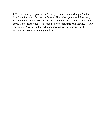4. The next time you go to a conference, schedule an hour-long reflection time for a few days after the conference. Then when you attend the event, take good notes and use some kind of system of symbols to mark your notes as you write. Then when your scheduled reflection time rolls around, review your notes. Once again, for each good idea either file it, share it with someone, or create an action point from it.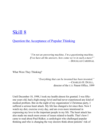# [Skill](#page-2-1) 8

#### Question the [Acceptance](#page-2-1) of Popular Thinking

*"I'm not an answering machine, I'm a questioning machine. If we have all the answers, how come we're in such a mess?"* —DOUGLAS CARDINAL

What Were They Thinking?

*"Everything that can be invented has been invented."* —CHARLES H. DUELL, director of the U.S. Patent Office, 1899

Until December 18, 1998, I took my health almost for granted. I was fiftyone years old, had a high energy level and had never experienced any kind of medical problem. But on the night of my organization's Christmas party, I suffered a serious heart attack. My life has changed a lot since then. Now I watch my diet, exercise every day, and am even more intentional in expressing my love to the important people in my life. The heart attack has also made me much more aware of issues related to health. That's how I came to read about Paul Ridker, a cardiologist who challenged popular thinking and who is changing the way doctors think about patients' risk of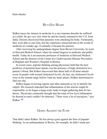heart attacks.

#### HE'S GOT HEART

Ridker traces his interest in medicine to a rare immune disorder he suffered as a child. He got very sick when he and his family returned to the U.S. from India. Doctors discovered that parasites were attacking his body. Fortunately, they were able to cure him, but the experience immersed him in the world of medicine at a tender age. Eventually it became his passion.

After receiving his undergraduate degree from Brown University, he went to Harvard Medical School, where he earned degrees in medicine and public health. Today he is an associate professor of medicine at Harvard Medical School and the director of the Center for Cardiovascular Disease Prevention at Brigham and Women's Hospital in Boston.

In recent years, popular thinking among physicians held that the best predictor of potential heart attacks was the presence of high cholesterol in a patient's blood. But Ridker discovered that about half of all heart attacks occur in people with normal cholesterol levels. (In fact, my cholesterol levels were in the normal range before I had my heart attack.) Ridker determined to find out why.

Ridker began reviewing reports and other materials to try to identify the culprit. His research indicated that inflammation of the arteries might be responsible, so he began a large-scale study to begin gathering data for his theory. Physicians commonly thought that the kind of low level inflamation he desired to track couldn't be detected. "There were a lot of naysayers," says Ridker. [64](#page-238-9)

#### GOING AGAINST THE FLOW

That didn't deter Ridker. He has always gone against the flow of popular thinking. As an undergraduate at Brown, for example, he didn't study pre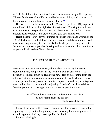med like his fellow future doctors. He studied furniture design. He explains, "I knew for the rest of my life I would be learning biology and science, so I thought college should be used for other things."  $\frac{65}{2}$  $\frac{65}{2}$  $\frac{65}{2}$ 

He discovered that a substance called C-reactive protein (CRP) is present in the blood of those with a high risk of heart attack. Tracking that substance is as reliable and inexpensive as checking cholesterol. And in fact, it better predicts heart problems than elevated LDL (the bad) cholesterol.

Heart disease is currently the number one killer of men and women in the U.S. Unfortunately, half of those who were strong candidates to die of heart attacks had no good way to find out. Ridker has helped to change all that. Because he questioned popular thinking and went in another direction, fewer people are likely to die of heart disease.

#### IT'S TIME TO BECOME UNPOPULAR

Economist John Maynard Keynes, whose ideas profoundly influenced economic theory and practices in the twentieth century, asserted, "The difficulty lies not so much in developing new ideas as in escaping from the old ones." Going against popular thinking can be difficult, whether you're a businessperson bucking company tradition, a pastor introducing new types of music to his church, a new mother rejecting old wives' tales handed down from her parents, or a teenager ignoring currently popular styles.

> "The difficulty lies not so much in developing new ideas as in escaping from the old ones." —John Maynard Keynes

Many of the ideas in this book go against popular thinking. If you value popularity over good thinking, then you will severely limit your potential to learn the types of thinking encouraged by this book.

Popular thinking is…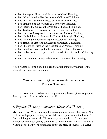- Too Average to Understand the Value of Good Thinking,
- Too Inflexible to Realize the Impact of Changed Thinking,
- Too Lazy to Master the Process of Intentional Thinking,
- Too Small to See the Wisdom of Big-picture Thinking,
- Too Satisfied to Unleash the Potential of Focused Thinking,
- Too Traditional to Discover the Joy of Creative Thinking,
- Too Naive to Recognize the Importance of Realistic Thinking,
- Too Undisciplined to Release the Power of Strategic Thinking,
- Too Limiting to Feel the Energy of Possibility Thinking,
- Too Trendy to Embrace the Lessons of Reflective Thinking,
- Too Shallow to Question the Acceptance of Popular Thinking,
- Too Proud to Encourage the Participation of Shared Thinking,
- Too Self-absorbed to Experience the Satisfaction of Unselfish Thinking, and
- Too Uncommitted to Enjoy the Return of Bottom-Line Thinking.

If you want to become a good thinker, then start preparing yourself for the possibility of becoming unpopular.

## WHY YOU SHOULD QUESTION THE ACCEPTANCE OF POPULAR THINKING

I've given you some broad reasons for questioning the acceptance of popular thinking. Now allow me to be more specific:

# *1. Popular Thinking Sometimes Means Not Thinking*

My friend Kevin Myers sums up the idea of popular thinking by saying, "The problem with popular thinking is that it doesn't require you to think at all." Good thinking is hard work. If it were easy, everybody would be a good thinker. Unfortunately, many people try to live life the easy way. They don't want to do the hard work of thinking or pay the price of success. It's easier to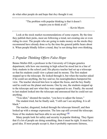do what other people do and hope that *they* thought it out.

"The problem with popular thinking is that it doesn't require you to think at all." —Kevin Myers

Look at the stock market recommendations of some experts. By the time they publish their picks, most are following a trend, not creating one or even riding its crest. The people who are going to make money on the stocks they recommend have already done so by the time the general public hears about it. When people blindly follow a trend, they're not doing their own thinking.

## *2. Popular Thinking Of ers False Hope*

Benno Muller-Hill, a professor in the University of Cologne genetics department, tells how one morning in high school he stood last in a line of forty students in the school yard. His physics teacher had set up a telescope so that his students could view a planet and its moons. The first student stepped up to the telescope. He looked through it, but when the teacher asked if he could see anything, the boy said no; his nearsightedness hampered his view. The teacher showed him how to adjust the focus, and the boy finally said he could see the planet and moons. One by one, the students stepped up to the telescope and saw what they were supposed to see. Finally, the second to last student looked into the telescope and announced that he could not see anything.

"You idiot," shouted the teacher, "you have to adjust the lenses."

The student tried, but he finally said, "I still can't see anything. It is all black."

The teacher, disgusted, looked through the telescope himself, and then looked up with a strange expression. The lens cap still covered the telescope. None of the students had been able to see anything!  $\frac{66}{6}$  $\frac{66}{6}$  $\frac{66}{6}$ 

Many people look for safety and security in popular thinking. They figure that if a lot of people are doing something, then it must be right. It must be a good idea. If most people accept it, then it probably represents fairness,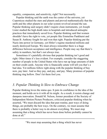equality, compassion, and sensitivity, right? Not necessarily.

Popular thinking said the earth was the center of the universe, yet Copernicus studied the stars and planets and proved mathematically that the earth and the other planets in our solar system revolved around the sun. Popular thinking said surgery didn't require clean instruments, yet Joseph Lister studied the high death rates in hospitals and introduced antiseptic practices that immediately saved lives. Popular thinking said that women shouldn't have the right to vote, yet people like Emmeline Pankhurst and Susan B. Anthony fought for and won that right. Popular thinking put the Nazis into power in Germany, yet Hitler's regime murdered millions and nearly destroyed Europe. We must always remember there is a huge difference between acceptance and intelligence. People may say that there's safety in numbers, but that's not always true.

Sometimes it's painfully obvious that popular thinking isn't good and right. Other times it's less evident. For example, consider the staggering number of people in the United States who have run up large amounts of debt on their credit cards. Anyone who is financially astute will tell you that's a bad idea. Yet millions follow right along with the popular thinking of buy now, pay later. And so they pay, and pay, and pay. Many promises of popular thinking ring hollow. Don't let them fool you.

# *3. Popular Thinking Is Slow to Embrace Change*

Popular thinking loves the status quo. It puts its confidence in the idea of the moment, and holds on to it with all its might. As a result, it resists change and dampens innovation. Donald M. Nelson, former president of the Society of Independent Motion Picture Producers, criticized popular thinking when he asserted, "We must discard the idea that past routine, past ways of doing things, are probably the best ways. On the contrary, we must assume that there is probably a better way to do almost everything. We must stop assuming that a thing which has never been done before probably cannot be done at all."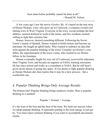A few years ago I saw the movie *October Sky.* It's based on the true story of Homer Hickam, a boy who grew up in Coalwood, a company-owned coal mining town in West Virginia. Everyone in the town, except perhaps the best athletes, seemed destined to work in the mines, and few residents seemed willing to fight that common fate.

Homer, however, desired something different. Following the Soviet Union's launch of Sputnik, Homer wanted to build rockets and become an astronaut. He fought an uphill battle. Who wanted to embrace an idea that went against the popular thinking of the town? Certainly not Homer's own father, the superintendent of the town's mine, who wanted to see Homer follow in his footsteps.

Homer eventually fought his way out of Coalwood, received his education from Virginia Tech, and became an engineer at NASA, training astronauts. He has since retired and works as a consultant to NASA. But he still hasn't given up his dream of going into space. If you desire to fight popular thinking as Homer Hickam did, then realize that it may be a slow process—but a worthwhile one.

## *4. Popular Thinking Brings Only Average Results*

The bottom line? Popular thinking brings mediocre results. Here is popular thinking in a nutshell:

#### $Popular = Normal = Average$

It's the least of the best and the best of the least. We limit our success when we adopt popular thinking. It represents putting in the least energy to just get by. You must reject common thinking if you want to accomplish uncommon results.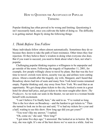#### HOW TO QUESTION THE ACCEPTANCE OF POPULAR **THINKING**

Popular thinking has often proved to be wrong and limiting. Questioning it isn't necessarily hard, once you cultivate the habit of doing so. The difficulty is in getting started. Begin by doing the following things:

#### *1. Think Before You Follow*

Many individuals follow others almost automatically. Sometimes they do so because they desire to take the path of least resistance. Other times they fear rejection. Or they believe there's wisdom in doing what everyone else does. But if you want to succeed, you need to think about what's best, not what's popular.

Challenging popular thinking requires a willingness to be unpopular and go outside of the norm. Following the tragedy of September 11, 2001, for example, few people willingly chose to travel by plane. But that was the *best* time to travel: crowds were down, security was up, and airlines were cutting prices. About a month after the tragedy, my wife, Margaret, and I heard that Broadway shows had lots of seats and many New York hotel rooms remained empty. Popular thinking said, stay away from New York. We used that as an opportunity. We got cheap plane tickets to the city, booked a room in a great hotel for about half price, and got tickets to the most sought-after show: *The Producers*. As we took our seats in the theater, we sat next to a woman beside herself with excitement.

"I can't believe I'm finally here," she said to us. "I've waited so long. This is the *best* show on Broadway—and the hardest to get tickets to." Then she turned to look me in the eye and said, "I've had my tickets for a year and a half, waiting to see this show. How long ago did you get yours?"

"You won't like my answer," I replied.

"Oh, come on," she said. "How long?"

"I got mine five days ago," I answered. She looked at us in horror. By the way, she was right. It's one of the best shows we've seen in a while. And we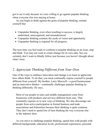got to see it only because we were willing to go against popular thinking when everyone else was staying at home.

As you begin to think against the grain of popular thinking, remind yourself that

- Unpopular thinking, even when resulting in success, is largely underrated, unrecognized, and misunderstood.
- Unpopular thinking contains the seeds of vision and opportunity.
- Unpopular thinking is required for all progress.

The next time you feel ready to conform to popular thinking on an issue, stop and think. You may not want to create change for its own sake, but you certainly don't want to blindly follow just because you haven't thought about what's best.

# *2. Appreciate Thinking Dif erent from Your Own*

One of the ways to embrace innovation and change is to learn to appreciate how others think. To do that, you must continually expose yourself to people different from yourself. My brother, Larry Maxwell—a good businessman and an innovative thinker—continually challenges popular thinking by thinking differently. He says,

Most of our people in sales and middle management come from businesses with products and services different from ours. That constantly exposes us to new ways of thinking. We also discourage our people from active participation in formal business and trade associations and fraternities because their thinking is quite common. They don't need to spend lots of time thinking the way everyone else in the industry does.

As you strive to challenge popular thinking, spend time with people with different backgrounds, education levels, professional experiences, personal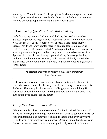interests, etc. You will think like the people with whom you spend the most time. If you spend time with people who think out of the box, you're more likely to challenge popular thinking and break new ground.

# *3. Continually Question Your Own Thinking*

Let's face it, any time we find a way of thinking that works, one of our greatest temptations is to go back to it repeatedly, even if it no longer works well. The greatest enemy to tomorrow's success is sometimes today's success. My friend Andy Stanley recently taught a leadership lesson at INJOY's Catalyst Conference called "Challenging the Process." He described how progress must be preceded by change, and he pointed out many of the dynamics involved in questioning popular thinking. In an organization, he said, we should remember that every tradition was originally a good idea and perhaps even revolutionary. But every tradition may not be a good idea for the future.

> The greatest enemy to tomorrow's success is sometimes today's success.

In your organization, if you were involved in putting into place what currently exists, then it's likely that you will resist change—even change for the better. That's why it's important to challenge your own thinking. If you're too attached to your own thinking and how everything is done now, then nothing will change for the better.

## *4. Try New Things in New Ways*

When was the last time you did something for the first time? Do you avoid taking risks or trying new things? One of the best ways to get out of the rut of your own thinking is to innovate. You can do that in little, everyday ways: Drive to work a different way from normal. Order an unfamiliar dish at your favorite restaurant. Ask a different colleague to help you with a familiar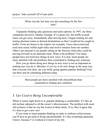project. Take yourself off of auto pilot.

When was the last time you did something for the first time?

Unpopular thinking asks questions and seeks options. In 1997, my three companies moved to Atlanta, Georgia. It's a great city, but traffic at peak times can get crazy. Immediately after moving here, I began looking for and testing alternate routes to desired destinations so that I would not be caught in traffic. From my house to the airport, for example, I have discovered and used nine routes within eight miles and twelve minutes from one another. Often I am amazed to see people sitting on the freeway when they could be moving forward on an alternate route. What is the problem? Too many people have not tried new things in new ways. It is true: most people are more satisfied with old problems than committed to finding new solutions.

How you go about doing new things in new ways is not as important as making sure you do it. (Besides, if you try to do new things in the same way that everyone else does, are you really going against popular thinking?) Get out there and do something different today.

> Most people are more satisfied with old problems than committed to finding new solutions.

## *5. Get Used to Being Uncomfortable*

When it comes right down to it, popular thinking is comfortable. It's like an old recliner adjusted to all the owner's idiosyncrasies. The problem with most old recliners is that no one has *looked* at them lately. If so, they'd agree that it's time to get a new one!

If you want to reject popular thinking in order to embrace achievement, you'll have to get used to being uncomfortable. It's like swimming upstream. I know, because I've worked at it most of my life.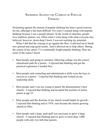## SWIMMING AGAINST THE CURRENT OF POPULAR **THINKING**

Swimming against the current of popular thinking has been a good exercise for me, although it has been difficult. For years I coasted along with popular thinking because I was a people pleaser. In the world of churches, people love tradition; pastors, too. Often when I went along with what everyone else believed, however, down deep I knew I was not reaching my potential.

When I did find the courage to go against the flow, it allowed me to break new ground and reap good results. And it allowed me to help others. During the course of my career, I've continually fought popular thinking. Here are some of the issues I faced:

- Most people said going to seminary following college was the correct educational path for a pastor—I rejected that thinking and got the practical experience I needed first.
- Most people said counseling and administrative skills were the keys to success as a pastor—I rejected that thinking and worked on my leadership skills.
- Most people said I was too young to pastor the denomination's best church—I rejected that thinking and accepted the position of senior pastor at age 25.
- Most people said the doctrine of my church would hinder its growth— I rejected that thinking and in 1976, ours became the fastest growing church in Ohio.
- Most people said a large, paid staff was necessary to grow a large church—I rejected that thinking and we grew to more than 1,000 people with only two full-time pastors.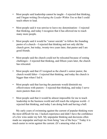- Most people said leadership cannot be taught—I rejected that thinking, and I began writing *Developing the Leader Within You* so that I could teach others to lead.
- Most people said it was unwise to leave my denomination—I rejected that thinking, and today I recognize that it has allowed me to reach many more people.
- Most people said it would be "career suicide" to follow the founding pastor of a church—I rejected that thinking and not only did the church grow, but today, twenty-two years later, that pastor and I are good friends.
- Most people said the church could not be relocated because of zoning challenges—I rejected that thinking, and fifteen years later, the church has relocated.
- Most people said that if I resigned as the church's senior pastor, the church would falter—I rejected that thinking, and today the church is bigger than when I led it.
- Most people said that leaving the pastorate would diminish my effectiveness with pastors—I rejected that thinking, and today I serve more pastors than ever.
- Most people said that it would be almost impossible for me to teach leadership in the business world and still reach the religious world—I rejected that thinking, and today I am doing both and having a ball.

My early years of swimming against the current of popular thinking were the most difficult for me. I lacked experience and didn't have the confidence of a few wins under my belt. My unpopular thinking and decisions often made *me* unpopular and kept me from being "one of the boys." Today it is much easier to swim against the current. (It's amazing what a few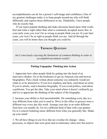accomplishments can do for a person's self-image and confidence.) One of my greatest challenges today is to keep people around me who will think differently and express those differences to me. Thankfully, I have people who do exactly that.

If you reject popular thinking and make decisions based upon what works best and what is right rather than what is commonly accepted, know this: in your early years you won't be as wrong as people think you are. In your later years, you won't be as right as people think you are. And all through the years, you will be better than you thought you could be.

# **THINKING QUESTION**

*Am I consciously rejecting the limitations of common thinking in order to accomplish uncommon results?*

#### **Putting Unpopular Thinking into Action**

1. Appreciate how other people think by getting into the head of an innovative thinker. Go to the bookstore or get on Amazon.com and browse biographies. Pick a book written about someone you ordinarily would not relate to or be attracted to. If you love numbers and facts, read about an artist. If you're artistic, read a business biography. If you avoid politics, read about a politician. You get the idea. Take your mind where it doesn't ordinarily go, and try to appreciate the thinking of the subject of the biography.

2. Increase your ability to feel uncomfortable. Do something every day in a way different from what you're used to. Drive to the office or grocery store a different way every day this week. Arrange your day in an order different from how you usually do. Go on a different kind of date with your partner. Go to a concert featuring music different from what you generally like. Shake up your mind!

3. We all have things in our lives that are overdue for change—ideas, processes, or objects that were great and revolutionary when new but need to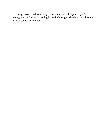be changed now. Find something of that nature and change it. If you're having trouble finding something in need of change, ask friends, a colleague, or your spouse to help you.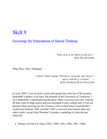# **[Skill](#page-3-0) 9**

#### Encourage the [Participation](#page-3-0) of Shared Thinking

*"None of us is as smart as all of us."* —KEN BLANCHARD

What Were They Thinking?

*"I desire what is good. Therefore, everyone who doesn't agree with me is a traitor."* — KING GEORGE III OF ENGLAND

In early 2002, I was invited to meet and spend time with one of the greatest basketball coaches of all time; Pat Summit of the University of Tennessee. I love basketball. I started playing the game when I was ten years old. I played all four years in high school and was recruited to play college ball. It was my passion while growing up. So of course I felt excited when I learned that I could meet Summit. Who wouldn't? She's received more honors than any other coach, except John Wooden! Consider a sampling of what she has achieved:

Winner of 6 NCAA Titles (1987, 1989, 1991, 1996, 1997, 1998)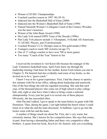- Winner of 20 SEC Championships
- Coached a perfect season in 1997–98 (39–0)
- Inducted into the Basketball Hall of Fame (2000)
- Inducted into the Women's Basketball Hall of Fame (1999)
- Named Naismith Women's Collegiate Coach of the Century (Wooden was the men's honoree)
- Winner of the John Bunn Award (1990)
- Her Lady Vols named ESPN Team of the Decade (1990s)
- Past Lady Vols players include 11 Olympians, 16 Kodak All-Americans, 53 All-SEC Players, and 25 professionals
- Coached Women's U.S. Olympic team to first gold medal (1984)
- Youngest coach to reach 300 victories (at age 37)
- One of 17 college coaches to have won 700 or more games
- Too many "Coach of the Year" honors to list

I received the invitation to visit Knoxville because the manager of the Lady Volunteers basketball team, April Ford, knew me through the leadership training I had done for her mother, Karen Ford (whom you met in Chapter 2). Pat Summit had also evidently read some of my books, so she invited me to be a "guest coach."

I knew I was in for a great experience. First, I had the chance to spend a few minutes with Pat in her office, talking about leadership and teamwork. One of the best things she told me regarded recruiting. She said that each year, of the thousand players who come out of high school to play college ball, only eight or nine have what it takes to bring a team a national championship. Every year her goal is to recruit one of those players. Obviously, she has succeeded often.

After Pat and I talked, I got to speak to the team before its game with Old Dominion. Then, during the game, I sat right behind the bench where I could listen in to what she and the team discussed. At halftime, I got to go into the locker room with her and the team.

A number of things struck me about Pat. First, she's very warm, but extremely intense. She's known for her competitiveness. She says that comes, in part, from having a demanding father and three very competitive older brothers. A quote from her book, *Reach for the Summit,* tells you everything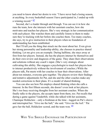you need to know about her desire to win: "I have never had a losing season, at anything. In every basketball season I have participated in, I ended up with a winning record."  $\frac{67}{2}$  $\frac{67}{2}$  $\frac{67}{2}$ 

Second, she's a leader through and through. You can see it in how she runs the team, how she interacts with her assistant coaches, how she motivates and teaches her players. She's very strategic in her communication with each player. She watches them and carefully listens to them to make sure they're tracking with her before she coaches them. Too many coaches, she says, try to give instruction to their players when no foundation of understanding has been established.

But I'll tell you the thing that struck me the most about her. Even given her strong personality and leadership ability, she chooses to practice shared thinking. Let me give you an example. During halftime, she stays away at first from her players. Instead, she has the players interact by themselves and do their own review and diagnosis of the game. They share their observations and solutions without any coach's input. (She's very strategic about cultivating this ability. She engages a psychologist to teach her players how to interact productively without the involvement of coaches.) While the players talk, Pat meets with her coaches to hear their observations. After about ten minutes, everyone gets together. The players review their findings and tentative adjustments for Pat, and she and the other coaches make any needed corrections to their plans. It's a model of shared thinking.

You can also see how Pat employs shared thinking when she calls a timeout. In the first fifteen seconds, she doesn't even look at her players. She's too busy receiving thoughts from her assistant coaches. When she finally talks to the players, she accepts input from them, too. Pat recalls that during a game against Vanderbilt, while she talked with her assistants, Chamique Holdsclaw—only a freshman at the time—tugged on Pat's sleeve and interrupted her. "Give me the ball," she said. "Give me the *ball."* Pat gave her the ball, Holdsclaw scored, and the team won.  $\frac{68}{ }$  $\frac{68}{ }$  $\frac{68}{ }$ 

> WHY YOU SHOULD ENCOURAGE THE PARTICIPATION OF SHARED THINKING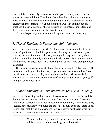Good thinkers, especially those who are also good leaders, understand the power of shared thinking. They know that when they value the thoughts and ideas of others, they receive the compounding results of shared thinking and accomplish more than they ever could on their own. Pat Summit not only practices the participation of shared thinking with her team, she is teaching the young women who play for her how to do it, too.

Those who participate in shared thinking understand the following:

## *1. Shared Thinking Is Faster than Solo Thinking*

We live in a truly fast-paced world. To function at its current rate of speed, we can't go it alone. I think the generation of young men and women just entering the workforce sense that very strongly. Perhaps that is why they value community so highly and are more likely to work for a company they like than one that pays them well. Working with others is like giving yourself a shortcut.

If you want to learn a new skill quickly, how do you do it? Do you go off by yourself and figure it out, or do you get someone to show you how? You can always learn more quickly from someone with experience—whether you're trying to learn how to use a new software package, develop your golf swing, or cook a new dish.

## *2. Shared Thinking Is More Innovative than Solo Thinking*

We tend to think of great thinkers and innovators as soloists, but the truth is that the greatest innovative thinking doesn't occur in a vacuum. Innovation results from collaboration. Albert Einstein once remarked, "Many times a day I realize how much my own outer and inner life is built upon the labors of my fellow men, both living and dead, and how earnestly I must exert myself in order to give in return as much as I have received."

> We tend to think of great thinkers and innovators as soloists, but the truth is that the greatest innovative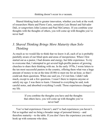Shared thinking leads to greater innovation, whether you look at the work of researchers Marie and Pierre Curie, surrealists Luis Brunel and Salvador Dali, or songwriters John Lennon and Paul McCartney. If you combine your thoughts with the thoughts of others, you will come up with thoughts you've never had!

# *3. Shared Thinking Brings More Maturity than Solo Thinking*

As much as we would like to think that we know it all, each of us is probably painfully aware of our blind spots and areas of inexperience. When I first started out as a pastor, I had dreams and energy, but little experience. To try to overcome that, I attempted to get several high-profile pastors of growing churches to share their thinking with me. In the early 1970s, I wrote letters to the ten most successful pastors in the country, offering them what was a huge amount of money to me at the time (\$100) to meet me for an hour, so that I could ask them questions. When one said yes, I'd visit him. I didn't talk much, except to ask a few questions. I wasn't there to impress anyone or satisfy my ego. I was there to learn. I listened to everything he said, took careful notes, and absorbed everything I could. Those experiences changed my life.

> If you combine the thoughts you have and the thoughts that others have, you will come up with thoughts you've never had!

You've had experiences I haven't, and I've had experiences you haven't. Put us together and we bring a broader range of personal history—and therefore maturity—to the table. If you don't have the experience you need, hook up with someone who does.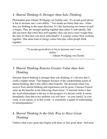# *4. Shared Thinking Is Stronger than Solo Thinking*

Philosopher-poet Johann Wolfgang von Goethe said, "To accept good advice is but to increase one's own ability." Two heads are better than one—when they are thinking in the same direction. It's like harnessing two horses to pull a wagon. They are stronger pulling together than either is individually. But did you know that when they pull together, they can move more weight than the sum of what they can move individually? A synergy comes from working together. That same kind of energy comes into play when people think together.

> "To accept good advice is but to increase one's own ability." —Johann Wolfgang von Goethe

# *5. Shared Thinking Returns Greater Value than Solo Thinking*

Because shared thinking is stronger than solo thinking, it's obvious that it yields a higher return. That happens because of the compounding action of shared thinking. But it also offers other benefits. The personal return you receive from shared thinking and experiences can be great. Clarence Francis sums up the benefits in the following observation: "I sincerely believe that the word relationships is the key to the prospect of a decent world. It seems abundantly clear that every problem you will have—in your family, in your work, in our nation, or in this world—is essentially a matter of relationships, of interdependence."

# *6. Shared Thinking Is the Only Way to Have Great Thinking*

I believe that every great idea begins with three or four good ideas. And most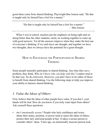good ideas come from shared thinking. Playwright Ben Jonson said, "He that is taught only by himself has a fool for a master."

> "He that is taught only by himself has a fool for a master." —Ben Jonson

When I was in school, teachers put the emphasis on being right and on doing better than the other students, rarely on working together to come up with good answers. Yet all the answers improve when they make the best use of everyone's thinking. If we each have one thought, and together we have two thoughts, then we always have the potential for a great thought.

# HOW TO ENCOURAGE THE PARTICIPATION OF SHARED **THINKING**

Some people naturally participate in shared thinking. Any time they see a problem, they think, *Who do I know who can help with this?* Leaders tend to be that way. So do extroverts. However, you don't have to be either of those to benefit from shared thinking. Use the following steps to help you improve your ability to harness shared thinking:

# *1. Value the Ideas of Others*

First, believe that the ideas of other people have value. If you don't, your hands will be tied. How do you know if you truly want input from others? Ask yourself these questions:

• *Am I emotionally secure?* People who lack confidence and worry about their status, position, or power tend to reject the ideas of others, protect their turf, and keep people at bay. It takes a secure person to consider others' ideas. Years ago, an emotionally insecure person took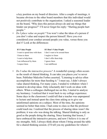a key position on my board of directors. After a couple of meetings, it became obvious to the other board members that this individual would not positively contribute to the organization. I asked a seasoned leader on the board, "Why does this person always do and say things that hinder our progress?" I'll never forget his reply: "Hurting people hurt people."

• *Do I place value on people?* You won't value the ideas of a person if you don't value and respect the person himself. Have you ever considered your conduct around people you value, versus those you don't? Look at the differences:

| <b>If I Value People</b>       | If I Don't Value People        |
|--------------------------------|--------------------------------|
| I want to spend time with them | I don't want to be around them |
| I listen to them               | I neglect to listen            |
| I want to help them            | I don't offer them help        |
| I am influenced by them        | I ignore them                  |
| I respect them                 | I am indifferent               |

• *Do I value the interactive process?* A wonderful synergy often occurs as the result of shared thinking. It can take you places you've never been. Publisher Malcolm Forbes asserted, "Listening to advice often accomplishes far more than heeding it." I must say, I didn't always value shared thinking. For many years, I tended to withdraw when I wanted to develop ideas. Only reluctantly did I work on ideas with others. When a colleague challenged me on this, I started to analyze my hesitancy. I realized that it went back to my college experience. Some days in the classroom I could tell that a teacher was unprepared to lecture and instead spent the class time asking us to give our uninformed opinions on a subject. Most of the time, the opinions seemed no better than mine. I had come to class so that the professor could teach me. I realized that the process of sharing ideas wasn't the problem; it was *who* was doing the talking. Shared thinking is only as good as the people doing the sharing. Since learning that lesson, I have embraced the interactive process, and now I believe it is one of my strengths. Still, I always think about whom I bring around the table for a shared thinking session. (I'll tell you my guidelines for whom I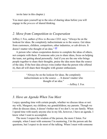invite later in this chapter.)

You must open yourself up to the *idea* of sharing ideas before you will engage in the *process* of shared thinking.

#### *2. Move from Competition to Cooperation*

Jeffrey J. Fox, author *of How to Become CEO,* says, "Always be on the lookout for ideas. Be completely indiscriminate as to the source. Get ideas from customers, children, competitors, other industries, or cab drivers. It doesn't matter who thought of an idea."  $\frac{69}{2}$  $\frac{69}{2}$  $\frac{69}{2}$ 

A person who values cooperation desires to complete the ideas of others, not compete with them. If someone asks you to share ideas, focus on helping the team, not getting ahead personally. And if you are the one who brings people together to share their thoughts, praise the idea more than the source of the idea. If the best idea always wins (rather than the person who offered it), then all will share their thoughts with greater enthusiasm.

> "Always be on the lookout for ideas. Be completely indiscriminate as to the source …. It doesn't matter who thought of an idea."

—Jeffrey J. Fox

#### *3. Have an Agenda When You Meet*

I enjoy spending time with certain people, whether we discuss ideas or not: my wife, Margaret; my children; my grandchildren; my parents. Though we often do discuss ideas, it doesn't bother me if we don't; we are family. When I spend time with nearly anyone else in my life, however, I have an agenda. I know what I want to accomplish.

The more I respect the wisdom of the person, the more I listen. For example, when I meet with someone I'm mentoring, I let the person ask the questions, but I expect to do most of the talking. When I meet with someone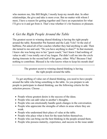who mentors me, like Bill Bright, I mostly keep my mouth shut. In other relationships, the give and take is more even. But no matter with whom I meet, I have a reason for getting together and I have an expectation for what I'll give to it and get from it. That's true whether it's for business or pleasure.

# *4. Get the Right People Around the Table*

The greatest secret to winning shared thinking is having the right people around the table. Remember Pat Summit and the Lady Vols? At the end of halftime, Pat asked all of her coaches whether they had anything to add. Then she turned to me and said, "Do you have anything to share?" In that moment, I knew she was being nice to her "guest coach," but I knew I had nothing of value to add. I was totally out of my league. Pat didn't call me into the circle during timeouts in the second half of the game, either. Why? Because I had nothing to contribute. Blessed is he who knows when to keep his mouth shut!

> The greatest secret to winning shared thinking is having the right people around the table.

To get anything of value out of shared thinking, you need to have people around the table who bring something *to* the table. As you prepare to ask people to participate in shared thinking, use the following criteria for the selection process. Choose …

- People whose greatest desire is the success of the ideas.
- People who can add value to another's thoughts.
- People who can emotionally handle quick changes in the conversation.
- People who appreciate the strengths of others in areas where they are weak.
- People who understand their place of value at the table.
- People who place what is best for the team before themselves.
- People who can bring out the best thinking in the people around them.
- People who possess maturity, experience, and success in the issue under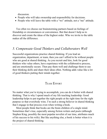discussion.

- People who will take ownership and responsibility for decisions.
- People who will leave the table with a "we" attitude, not a "me" attitude.

Too often we choose our brainstorming partners based on feelings of friendship or circumstances or convenience. But that doesn't help us to discover and create the ideas of the highest order. Who we invite to the table makes all the difference.

## *5. Compensate Good Thinkers and Collaborators Well*

Successful organizations practice shared thinking. If you lead an organization, department, or team, then you can't afford to be without people who are good at shared thinking. As you recruit and hire, look for good thinkers who value others, have experience with the collaborative process, and are emotionally secure. Then pay them well and challenge them to use their thinking skills and share their ideas often. Nothing adds value like a lot of good thinkers putting their minds together.

## TEAM EFFORT

No matter what you're trying to accomplish, you can do it better with shared thinking. That is why I spend much of my life teaching leadership. Good leadership helps to put together the right people at the right time for the right purpose so that everybody wins. I'm such a strong believer in shared thinking that I engage in that process even when writing a book.

Most people think that books are the brain children of a single mind. Sometimes that's true, especially among fiction writers and poets (although Stephen King, possibly the most popular novelist of our time, attributes much of his success to his wife). But like anything else, a book is better when it is the project of shared thinking.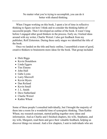No matter what you're trying to accomplish, you can do it better with shared thinking.

When I began working on this book, I spent a lot of time in reflective thinking to figure out how I think and to consider the thinking habits of successful people. Then I developed an outline of the book. It wasn't long before I engaged other good thinkers in the process. Early on, I kicked ideas around with my writer, Charlie Wetzel. I also got feedback from my publisher, Rolf Zettersten. During these early stages we identified the title of the book.

Once we landed on the title and basic outline, I assembled a team of good, creative thinkers to brainstorm more ideas for the book. That group included

- Dick Biggs
- Kevin Donaldson
- Linda Eggers
- Tim Elmore
- John Hull
- Gabe Lyons
- Larry Maxwell
- Kevin Myers
- Dan Reiland
- Kevin Small
- J. L. Smith
- Dave Sutherland
- Charlie Wetzel
- Kathie Wheat

Some of these people I consulted individually, but I brought the majority of them into a room for a wonderful time of synergistic thinking. Then Kathie Wheat, my research assistant, started pulling together story ideas and information. And as Charlie and I finished chapters, his wife, Stephanie, and my wife, Margaret, read them and gave their valuable feedback, helping us discover things we missed. And a few chapters, I sent to individuals who are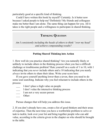particularly good at a specific kind of thinking.

Could I have written this book by myself? Certainly. Is it better now because I asked people to help me? Definitely! My friends and colleagues make me better than I am alone. The same thing can happen for you. All it takes is the right people and a willingness to participate in shared thinking.

## **THINKING QUESTION**

*Am I consistently including the heads of others to think "over my head" and achieve compounding results?*

#### **Putting Shared Thinking into Action**

1. How well do you practice shared thinking? Are you naturally likely or unlikely to include others in the thinking process when you face a difficult challenge or troublesome problem? Rate yourself on a scale of 1 to 10, with 1 indicating that you *never* include others and a 10 indicating that you nearly *always* invite others to share their ideas. Write your score here:

If you gave yourself anything lower than a seven, then you need to do some soul searching. Indicate why you feel reluctant to include others in the process:

- I don't place a high value on people
- I don't value the interactive thinking process
- I am not a very secure person
- Other:

Pursue changes that will help you address this issue.

2. If you don't already have one, create a list of good thinkers and their areas of expertise. Then the next time you have a worthwhile problem to solve or task to tackle, look over your list and bring together people who can add value, according to the criteria given in the chapter on who should be brought to the table.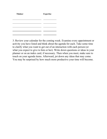| <b>Thinker</b> | <b>Expertise</b> |
|----------------|------------------|
|                |                  |
|                |                  |
|                |                  |
|                |                  |
|                |                  |

3. Review your calendar for the coming week. Examine every appointment or activity you have listed and think about the agenda for each. Take some time to clarify what you want to get out of an interaction with each person (or what you expect to give to him or her). Write down questions or ideas in your planner or on an index card, if necessary. Then when you meet, make sure to touch on your agenda items. Afterward, jot down any ideas that may come. You may be surprised by how much more productive your time will become.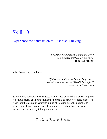# **[Skill](#page-3-1) 10**

Experience the [Satisfaction](#page-3-1) of Unselfish Thinking

*"We cannot hold a torch to light another's path without brightening our own."* —BEN SWEETLAND

What Were They Thinking?

*"If it is true that we are here to help others, then what exactly are the OTHERS here for?"* —AUTHOR UNKNOWN

So far in this book, we've discussed many kinds of thinking that can help you to achieve more. Each of them has the potential to make you more successful. Now I want to acquaint you with a kind of thinking with the potential to change your life in another way. It might even redefine how you view success. Let me start by telling you a story.

THE LONG ROAD OF SUCCESS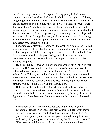In 1885, a young man named George used every penny he had to travel to Highland, Kansas. He felt excited over his admission to Highland College, for getting an education had always been his driving goal. As a youngster, he and his brother had walked nine miles each way to school in order to start their education. At age twelve, he had left home for good to attend high school, supporting himself doing chores and housework similar to what he'd done at home on the farm. At age twenty, he was ready to start college. When he got to Highland College, however, his hopes where dashed. Even though his application had been accepted, school officials turned him away when they discovered that he was black.

For a few years after that, George tried to establish a homestead. He had a knack for growing things, but his desire to continue his education drew him back to his goal. In 1890, he once again attempted to enroll in school. This time he was accepted by Simpson College, which accepted students regardless of race. He opened a laundry to support himself and studied painting and piano.

By all accounts, George excelled in the arts. One of his works won first prize at the 1893 World's Fair in Chicago. He wrote poetry and saw it published in newspapers. He had musical talent. In 1891 when he transferred to Iowa State College, he continued working in the arts, but also pursued other interests. He became a trainer for the school's athletic teams. He joined the campus' military regiment, where he rose to the group's highest rank captain. And he led the YMCA and the debate club.

But George also underwent another change while at Iowa State. He changed his major from art to agriculture. Why would he do such a thing, especially when he loved art so much? James Wilson, formerly the dean of Agriculture at Iowa State, recalled the reason in this statement addressed to George:

I remember when I first met you, you said you wanted to get an agricultural education so you could help your race. I had never known anything more beautiful than that said by a student. I know the taste you have for painting and the success you have made along that line, and I said, 'Why not push your studies along that line to some extent?' When you replied that that would be of no value to your colored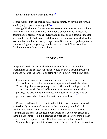brethren, that also was magnificent. <sup>[70](#page-239-3)</sup>

George summed up the change in his studies simply by saying, art "would not do [my] people as much good."  $\frac{71}{2}$  $\frac{71}{2}$  $\frac{71}{2}$ 

George Washington Carver went on to receive his degree in agriculture from Iowa State. His excellence in the fields of botany and horticulture prompted two professors to encourage him to stay on as a graduate student and earn his master's degree. He did. And in the process, he worked as the assistant botanist for the College Experiment Station, developed expertise in plant pathology and mycology, and became the first African American faculty member at Iowa State College.

#### THE NEXT STEP

In April of 1896, Carver received an unusual offer from Dr. Booker T. Washington of the Tuskegee Institute. Would he take a teaching position there and become the school's director of Agriculture? Washington said,

I cannot offer you money, position, or fame. The first two you have. The last from the position you now occupy you will no doubt achieve. These things I now ask you to give up. I offer you in their place: work …hard, hard work, the task of bringing a people from degradation, poverty, and waste to full manhood. Your department exists only on paper and your laboratory will have to be in your head." <sup>[72](#page-239-5)</sup>

Carver could have lived a comfortable life in Iowa. He was respected professionally, an accepted member of the community, and had built relationships there. Yet all of these things he now gave up to move to Alabama, in the heart of the deep South where he would be regarded as a second-class citizen. He did it because he practiced unselfish thinking and wanted to help people in more difficult circumstances than himself.

While at Tuskegee Institute, Carver earned the respect of such innovators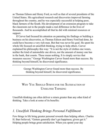as Thomas Edison and Henry Ford, as well as that of several presidents of the United States. His agricultural research and discoveries improved farming throughout the country, and he was especially successful at helping poor, black farmers of the South. His development of an extension program to take the classroom out to the people made a real difference in the lives of thousands. And he accomplished all that he did with minimal resources or support.

If Carver had focused his attention on patenting his findings or building a business on his discoveries, as Thomas Edison and Henry Ford had done, he could have become a very rich man. But that was never his goal. He spent his whole life focused on unselfish thinking, trying to help others. Carver explained his philosophy this way: "It is not the style of clothes one wears, neither the kind of automobile one drives, nor the amount of money one has in the bank, that counts. These mean nothing. It is simply service that measures success." George Washington Carver found more than success. By thinking beyond himself, he discovered significance.

> George Washington Carver found more than success. By thinking beyond himself, he discovered significance.

## WHY YOU SHOULD STRIVE FOR THE SATISFACTION OF UNSELFISH THINKING

Unselfish thinking can often deliver a return greater than any other kind of thinking. Take a look at some of its benefits:

## *1. Unselfish Thinking Brings Personal Fulfillment*

Few things in life bring greater personal rewards than helping others. Charles H. Burr believed, "Getters generally don't get happiness; givers get it." Helping people brings great satisfaction. When you spend your day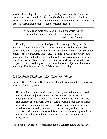unselfishly serving others, at night you can lay down your head with no regrets and sleep soundly. In *Bringing Outthe Best in People,* Alan Loy McGinnis remarked, "There is no more noble occupation in the world than to assist another human being—to help someone succeed."

> "There is no more noble occupation in the world than to assist another human being—to help someone succeed." —Alan Loy McGinnis

Even if you have spent much of your life pursuing selfish gain, it's never too late to have a change of heart. Even the most miserable person, like Charles Dickens' Scrooge, can turn his life around and make a difference for others. That's what Alfred Nobel did. When he saw his own obituary in the newspaper (his brother had died and the editor had written about the wrong Nobel, saying that the explosives his company produced had killed many people), Nobel vowed to promote peace and acknowledge contributions to humanity. That is how the Nobel Prizes came into being.

## *2. Unselfish Thinking Adds Value to Others*

In 1904, Bessie Anderson Stanley wrote the following definition of success in *Brown Book Magazine:*

He has achieved success who has lived well, laughed often and loved much; who has enjoyed the trust of pure women, the respect of intelligent men and the love of little children, who has filled his niche and accomplished his task; who has left the world better than he found it, whether by an improved poppy, a perfect poem, or a rescued soul; who has never lacked appreciation of earth's beauty or failed to express it, who has always looked for the best in others and given them the best he had, whose life was an inspiration, whose memory a benediction.

When you get outside of yourself and make a contribution to others, you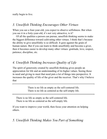really begin to live.

## *3. Unselfish Thinking Encourages Other Virtues*

When you see a four-year-old, you expect to observe selfishness. But when you see it in a forty-year-old, it's not very attractive, is it?

Of all the qualities a person can pursue, unselfish thinking seems to make the biggest difference toward cultivating other virtues. I think that's because the ability to give unselfishly is so difficult. It goes against the grain of human nature. But if you can learn to think unselfishly and become a giver, then it becomes easier to develop many other virtues: gratitude, love, respect, patience, discipline, etc.

# *4. Unselfish Thinking Increases Quality of Life*

The spirit of generosity created by unselfish thinking gives people an appreciation for life and an understanding of its higher values. Seeing those in need and giving to meet that need puts a lot of things into perspective. It increases the quality of life of the giver and the receiver. That's why I believe that

> There is no life as empty as the self-centered life. There is no life as centered as the self-empty life.

There is no life as empty as the self-centered life. There is no life as centered as the self-empty life.

If you want to improve your world, then focus your attention on helping others.

# *5. Unselfish Thinking Makes You Part of Something*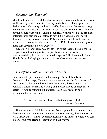## *Greater than Yourself*

Merck and Company, the global pharmaceutical corporation, has always seen itself as doing more than just producing products and making a profit. It desires to serve humanity. In the mid 1980s, the company developed a drug to cure river blindness, a disease that infects and causes blindness in millions of people, particularly in developing countries. While it was a good product, potential customers couldn't afford to buy it. So what did Merck do? It developed the drug anyway, and in 1987 announced that it would give the medicine free to anyone who needed it. As of 1998, the company had given more than 250 million tablets away.  $\frac{73}{2}$  $\frac{73}{2}$  $\frac{73}{2}$ 

George W. Merck says, "We try never to forget that medicine is for the people. It is not for the profits. The profits follow, and if we have remembered that, they have never failed to appear." The lesson to be learned? Simple. Instead of trying to be great, be part of something greater than yourself.

# *6. Unselfish Thinking Creates a Legacy*

Jack Balousek, president and chief operating officer of True North Communications, says, "Learn, earn, return—these are the three phases of life. The first third should be devoted to education, the second third to building a career and making a living, and the last third to giving back to others—returning something in gratitude. Each state seems to be a preparation for the next one."

> "Learn, earn, return—these are the three phases of life." —Jack Balousek

If you are successful, it becomes possible for you to leave an inheritance *for* others. But if you desire to do more, to create a legacy, then you need to leave that *in* others. When you think unselfishly and invest in others, you gain the opportunity to create a legacy that will outlive you.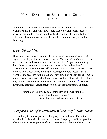# HOW TO EXPERIENCE THE SATISFACTION OF UNSELFISH **THINKING**

I think most people recognize the value of unselfish thinking, and most would even agree that it's an ability they would like to develop. Many people, however, are at a loss concerning how to change their thinking. To begin cultivating the ability to think unselfishly, I recommend that you do the following:

#### *1. Put Others First*

The process begins with realizing that everything is not about you! That requires humility and a shift in focus. In *The Power of Ethical Management,* Ken Blanchard and Norman Vincent Peale wrote, "People with humility don't think less of themselves; they just think of themselves less."

If you want to become less selfish in your thinking, then you need to stop thinking about your wants and begin focusing on others' needs. Paul the Apostle exhorted, "Do nothing out of selfish ambition or vain conceit, but in humility consider others better than yourselves. Each of you should look not only to your own interests, but also to the interests of others."  $\frac{74}{4}$  $\frac{74}{4}$  $\frac{74}{4}$  Make a mental and emotional commitment to look out for the interests of others.

> "People with humility don't think less of themselves; they just think of themselves less." —Ken Blanchard and Norman Vincent Peale

# *2. Expose Yourself to Situations Where People Have Needs*

It's one thing to believe you are willing to give unselfishly. It's another to actually do it. To make the transition, you need to put yourself in a position where you can see people's needs and do something about it. Once you do,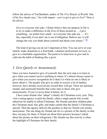follow the advice of Tod Barnhart, author of *The Five Rituals of Wealth.* One of his five rituals says, "Act with impact—you've got to give to live!" Here is his advice:

Give to everyone who asks. I firmly believe that our purpose in life is to try to make a difference in the lives of those around us. …I give something—no matter how small—to everyone who asks me …. It's fun, especially if you don't do it out of obligation. Believe me, it will change the way you think about yourself and about your money."  $\frac{75}{ }$  $\frac{75}{ }$  $\frac{75}{ }$ 

The kind of giving you do isn't important at first. You can serve at your church, make donations to a food bank, volunteer professional services, or give to a charitable organization. The point is to learn how to give and to cultivate the habit of thinking like a giver.

#### *3. Give Quietly or Anonymously*

Once you have learned to give of yourself, then the next step is to learn to give when you cannot receive anything in return. It's almost always easier to give when you receive recognition for it than it is when no one is likely to know about it. The people who give in order to receive a lot of fanfare, however, have already received any reward they will get. There are spiritual, mental, and emotional benefits that come only to those who give anonymously. If you've never done it before, try it.

I have some friends who "adopt" a family for Christmas every year. They visit a caring agency to pick the family, often a single parent who would otherwise be unable to afford Christmas. My friends and their children plan the Christmas meal, buy gifts, and make certain that the family's Christmas is special. Then the agency delivers the goodies so that my friends can remain anonymous. The one thing my friends ask for is a picture of the family so that they can pray for them. (I found out about their practice because I asked about the picture on their refrigerator.) My friends say this activity is often the highlight of Christmas for their family.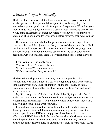## *4. Invest in People Intentionally*

The highest level of unselfish thinking comes when you give of yourself to another person for their personal development or well-being. If you're married or a parent, you know this from personal experience. What does your spouse value most highly: money in the bank or your time freely given? What would small children really rather have from you: a toy or your undivided attention? The people who love you would rather have you than what you can give them.

If you want to become the kind of person who invests in people, then consider others and their journey so that you can collaborate with them. Each relationship is like a partnership created for mutual benefit. As you go into any relationship, think about how you can invest in the other person so that it becomes a win-win situation. Here is how relationships most often play out:

I win, you lose—I win only once. You win, I lose—You win only once. We both win—We win many times. We both lose—Goodbye, partnership!

The best relationships are win-win. Why don't more people go into relationships with that attitude? I'll tell you why: most people want to make sure that they win first. Unselfish thinkers, on the other hand, go into a relationship and make sure that the other person wins first. And that makes all the difference.

My life changed in 1975 when I read a book by Zig Zigler titled *See You at the Top.* In it I found the following words, the catalyst that encouraged me to learn unselfish thinking: "If you will help others achieve what they want, they will help you achieve what you want."

I immediately embraced that principle and began to practice unselfish thinking. In fact, I founded three companies out of my desire to invest in other people. I started INJOY to help pastors learn how to lead more effectively. INJOY Stewardship Services began when a businessman asked me to help his church raise money to build an auditorium. EQUIP was birthed out of my desire to raise up one million leaders internationally. Little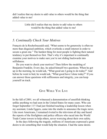did I realize that my desire to add value to others would be the thing that added value to me!

> Little did I realize that my desire to add value to others would be the thing that added value to me!

#### *5. Continually Check Your Motives*

François de la Rochefoucauld said, "What seems to be generosity is often no more than disguised ambition, which overlooks a small interest in order to secure a great one." The hardest thing for most people is fighting their natural tendency to put themselves first. That's why it's important to continually examine your motives to make sure you're not sliding backwards into selfishness.

Do you want to check your motives? Then follow the modeling of Benjamin Franklin. Every day, he asked himself two questions. When he got up in the morning, he would ask, "What good am I going to do today?" And before he went to bed, he would ask, "What good have I done today?" If you can answer those questions with selflessness and integrity, you can keep yourself on track.

#### GIVE WHILE YOU LIVE

In the fall of 2001, we all witnessed a demonstration of unselfish thinking unlike anything we had seen in the United States for many years. Who can forget September 11? I had just finished teaching a leadership lesson when my assistant, Linda Eggers, came into the studio to announce the tragic news. Like most Americans, I remained riveted to the television all day and heard the reports of the firefighters and police officers who raced into the World Trade Center towers to help others, never worrying about their own safety.

In the days following the tragedy, millions of Americans expressed a great desire to do something that would help the situation. I had the same desire.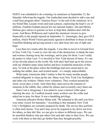INJOY was scheduled to do a training via simulcast on September 15, the Saturday following the tragedy. Our leadership team decided to add a one and a half hour program titled "America Prays" to the end of the simulcast. In it, my friend Max Lucado wrote and read a prayer, expressing the heart's cry of millions. Franklin Graham prayed for our national leaders. Jim and Shirley Dobson gave advice to parents on how to help their children deal with the event. And Bruce Wilkinson and I asked the simulcast viewers to give financially to the people injured on September 11. Amazingly, they gave \$5.9 million, which World Vision graciously agreed to distribute to those in need. Unselfish thinking and giving turned a very dark hour into one of light and hope.

Less than two weeks after the tragedy, I was able to travel to Ground Zero in New York City. I went to view the site of the destruction, to thank the men and women clearing away the wreckage, and to pray for them. I can't really do justice to what I saw. I've traveled to New York dozens of times. It's one of my favorite places in the world. My wife and I had been up in the towers with our children many times before and have wonderful memories of that area. To look at the place where the buildings had once stood and to see nothing but rubble, dust, and twisted metal—it's simply indescribable.

What many Americans didn't realize is that for many months people worked diligently to clean up the site. Many were New York City firefighters and other city workers. Others were volunteers. They worked around the clock, seven days a week. And when they came across the remains of someone in the rubble, they called for silence and reverently carry them out.

Since I am a clergyman, I was asked to wear a clerical collar upon entering the area. As I walked around, many workers saw the collar and asked me to pray for them. It was a humbling privilege.

American educator Horace Mann said, "Be ashamed to die until you have won some victory for humanity." According to this standard, New York City's firefighters are certainly prepared for death. The service they perform is often truly heroic. You and I may never be required to lay down our lives for others, as they did. But, we can give to others in different ways. We can be unselfish thinkers who put others first and add value to their lives. We can work with them so that they go farther than they thought possible.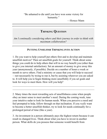"Be ashamed to die until you have won some victory for humanity."

—Horace Mann

# **THINKING QUESTION**

*Am I continually considering others and their journey in order to think with maximum collaboration?*

#### **PUTTING UNSELFISH THINKING INTO ACTION**

1. Do you want to help yourself put others first and to develop and maintain unselfish motives? Then set unselfish goals for yourself. Think about some things you could do to help others that will in no way benefit you (other than to give you internal satisfaction). Set an amount of money to give away this year (anonymously, if possible). Decide on a number of hours a week or month to serve others. Find a ministry or cause that you will help to succeed —not necessarily by trying to run it, but by assisting wherever you are asked to. It will help you to begin thinking more unselfishly if you set goals and look for ways to meet them. How will you help?

 $\mathcal{L}_\mathcal{L} = \{ \mathcal{L}_\mathcal{L} = \{ \mathcal{L}_\mathcal{L} = \{ \mathcal{L}_\mathcal{L} = \{ \mathcal{L}_\mathcal{L} = \{ \mathcal{L}_\mathcal{L} = \{ \mathcal{L}_\mathcal{L} = \{ \mathcal{L}_\mathcal{L} = \{ \mathcal{L}_\mathcal{L} = \{ \mathcal{L}_\mathcal{L} = \{ \mathcal{L}_\mathcal{L} = \{ \mathcal{L}_\mathcal{L} = \{ \mathcal{L}_\mathcal{L} = \{ \mathcal{L}_\mathcal{L} = \{ \mathcal{L}_\mathcal{$  $\mathcal{L}_\mathcal{L} = \{ \mathcal{L}_\mathcal{L} = \{ \mathcal{L}_\mathcal{L} = \{ \mathcal{L}_\mathcal{L} = \{ \mathcal{L}_\mathcal{L} = \{ \mathcal{L}_\mathcal{L} = \{ \mathcal{L}_\mathcal{L} = \{ \mathcal{L}_\mathcal{L} = \{ \mathcal{L}_\mathcal{L} = \{ \mathcal{L}_\mathcal{L} = \{ \mathcal{L}_\mathcal{L} = \{ \mathcal{L}_\mathcal{L} = \{ \mathcal{L}_\mathcal{L} = \{ \mathcal{L}_\mathcal{L} = \{ \mathcal{L}_\mathcal{$ 

2. Many times the most rewarding acts of unselfishness come when people obey an inner sense to meet another's need. During the coming week, tune your intuitive radar to look for human needs. When you perceive a need and feel prompted to help, follow through on that inclination. If you *really* want to become a better unselfish thinker, try to look for needs continually for a prolonged period of time (like a year).

3. An investment in a person ultimately pays the highest return because it can result in changed lives. Think about what you have to invest in another person. What skills do you possess that someone would benefit from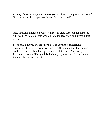learning? What life experiences have you had that can help another person? What resources do you possess that ought to be shared?

 $\mathcal{L}_\mathcal{L} = \{ \mathcal{L}_\mathcal{L} = \{ \mathcal{L}_\mathcal{L} = \{ \mathcal{L}_\mathcal{L} = \{ \mathcal{L}_\mathcal{L} = \{ \mathcal{L}_\mathcal{L} = \{ \mathcal{L}_\mathcal{L} = \{ \mathcal{L}_\mathcal{L} = \{ \mathcal{L}_\mathcal{L} = \{ \mathcal{L}_\mathcal{L} = \{ \mathcal{L}_\mathcal{L} = \{ \mathcal{L}_\mathcal{L} = \{ \mathcal{L}_\mathcal{L} = \{ \mathcal{L}_\mathcal{L} = \{ \mathcal{L}_\mathcal{$  $\mathcal{L}_\mathcal{L} = \{ \mathcal{L}_\mathcal{L} = \{ \mathcal{L}_\mathcal{L} = \{ \mathcal{L}_\mathcal{L} = \{ \mathcal{L}_\mathcal{L} = \{ \mathcal{L}_\mathcal{L} = \{ \mathcal{L}_\mathcal{L} = \{ \mathcal{L}_\mathcal{L} = \{ \mathcal{L}_\mathcal{L} = \{ \mathcal{L}_\mathcal{L} = \{ \mathcal{L}_\mathcal{L} = \{ \mathcal{L}_\mathcal{L} = \{ \mathcal{L}_\mathcal{L} = \{ \mathcal{L}_\mathcal{L} = \{ \mathcal{L}_\mathcal{$  $\mathcal{L}_\mathcal{L} = \{ \mathcal{L}_\mathcal{L} = \{ \mathcal{L}_\mathcal{L} = \{ \mathcal{L}_\mathcal{L} = \{ \mathcal{L}_\mathcal{L} = \{ \mathcal{L}_\mathcal{L} = \{ \mathcal{L}_\mathcal{L} = \{ \mathcal{L}_\mathcal{L} = \{ \mathcal{L}_\mathcal{L} = \{ \mathcal{L}_\mathcal{L} = \{ \mathcal{L}_\mathcal{L} = \{ \mathcal{L}_\mathcal{L} = \{ \mathcal{L}_\mathcal{L} = \{ \mathcal{L}_\mathcal{L} = \{ \mathcal{L}_\mathcal{$ 

Once you have figured out what you have to give, then look for someone with need and potential who would be glad to receive it, and invest in that person.

4. The next time you put together a deal or develop a professional relationship, think in terms of win-win. If both you and the other person would not benefit, then don't go through with the deal. And once you've determined that it will be good for both of you, make the effort to guarantee that the other person wins first.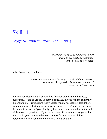# [Skill](#page-3-0) 11

Enjoy the Return of [Bottom-Line](#page-3-0) Thinking

*"There ain't no rules around here. We're trying to accomplish something."* —THOMAS EDISON, INVENTOR

What Were They Thinking?

*"A bus station is where a bus stops. A train station is where a train stops. On my desk, I have a workstation …"* —AUTHOR UNKNOWN

How do you figure out the bottom line for your organization, business, department, team, or group? In many businesses, the bottom line is literally the bottom line. Profit determines whether you are succeeding. But dollars should not always be the primary measure of success. Would you measure the ultimate success of your family by how much money you had at the end of the month or year? And if you run a non-profit or volunteer organization, how would you know whether you were performing at your highest potential? How do you think bottom line in that situation?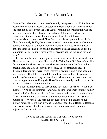#### A NON-PROFIT'S BOTTOM LINE

Frances Hesselbein had to ask herself exactly that question in 1976, when she became the national executive director of the Girl Scouts of America. When she first got involved with the Girl Scouts, running the organization was the last thing she expected. She and her husband, John, were partners in Hesselbein Studios, a small family business that filmed television commercials and promotional films. She wrote the scripts and he made the films. In the early 1950s, she was recruited as a volunteer troop leader at the Second Presbyterian Church in Johnstown, Pennsylvania. Even that was unusual, since she had a son and no daughters. But she agreed to do it on a temporary basis. She must have loved it, because she led the troop for nine years!

In time, she became council president and a member of the national board. Then she served as executive director of the Talus Rock Girl Scout Council, a full-time paid position. By the time she took the job as CEO of the national organization, the Girl Scouts was in trouble. The organization lacked direction, teenage girls were losing interest in scouting, and it was becoming increasingly difficult to recruit adult volunteers, especially with greater numbers of women entering the workforce. Meanwhile, the Boy Scouts was considering opening itself to girls. Hesselbein desperately needed to bring the organization back to the bottom line.

<span id="page-218-0"></span>"We kept asking ourselves very simple questions," she says. "What is our business? Who is our customer? And what does the customer consider value? If you're the Girl Scouts, IBM, or AT&T, you have to manage for a mission."  $\frac{76}{1}$  $\frac{76}{1}$  $\frac{76}{1}$  Hessel-bein's focus on mission enabled her to identify the Girl Scouts' bottom line. "We really are here for one reason: to help a girl reach her highest potential. More than any one thing, that made the difference. Because when you are clear about your mission, corporate goals and operating objectives flow from it."  $\frac{77}{2}$  $\frac{77}{2}$  $\frac{77}{2}$ 

> "If you're the Girl Scouts, IBM, or AT&T, you have to manage for a mission."

—Frances Hesselbein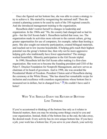Once she figured out her bottom line, she was able to create a strategy to try to achieve it. She started by reorganizing the national staff. Then she created a planning system to be used by each of the 350 regional councils. And she introduced management training to the organization.

Hesselbein didn't restrict herself to changes in leadership and organization. In the 1960s and '70s, the country had changed and so had its girls—but the Girl Scouts hadn't. Hesselbein tackled that issue, too. The organization made its activities more relevant to the current culture, giving greater opportunities for use of computers, for example, rather than hosting a party. She also sought out minority participation, created bilingual materials, and reached out to low income households. If helping girls reach their highest potential was the group's bottom line, then why not be more aggressive helping girls who traditionally have fewer opportunities? The strategy worked beautifully. Minority participation in the Girl Scouts tripled.

<span id="page-219-0"></span>In 1990, Hesselbein left the Girl Scouts after making it a first-class organization. She went on to become the founding president and CEO of the Peter F. Drucker Foundation for Nonprofit Management, and now serves as chairman of its board of governors. And in 1998, she was awarded the Presidential Medal of Freedom. President Clinton said of Hesselbein during the ceremony at the White House, "She has shared her remarkable recipe for inclusion and excellence with countless organizations whose bottom line is measured not in dollars, but in changed lives." <sup>[78](#page-240-0)</sup> He couldn't have said it better!

#### WHY YOU SHOULD ENJOY THE RETURN OF BOTTOM-LINE THINKING

If you're accustomed to thinking of the bottom line only as it relates to financial matters, then you may be missing some things crucial to you and your organization. Instead, think of the bottom line as the end, the take away, the desired result. Every activity has its own unique bottom line. If you have a job, your work has a bottom line. If you serve in your church, your activity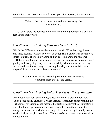has a bottom line. So does your effort as a parent, or spouse, if you are one.

Think of the bottom line as the end, the take away, the desired result.

As you explore the concept of bottom-line thinking, recognize that it can help you in many ways:

## *1. Bottom-Line Thinking Provides Great Clarity*

What's the difference between bowling and work? When bowling, it takes only three seconds to know how you've done! That's one reason people love sports so much. There's no waiting and no guessing about the outcome.

Bottom-line thinking makes it possible for you to measure outcomes more quickly and easily. It gives you a benchmark by which to measure activity. It can be used as a focused way of ensuring that all your little activities are purposeful and line up to achieve a larger goal.

> Bottom-line thinking makes it possible for you to measure outcomes more quickly and easily.

### *2. Bottom-Line Thinking Helps You Assess Every Situation*

When you know your bottom line, it becomes much easier to know how you're doing in any given area. When Frances Hesselbein began running the Girl Scouts, for example, she measured everything against the organization's goal of helping a girl reach her highest potential—from the organization's management structure (which she changed from a hierarchy to a hub) down to what badges the girls could earn. There's no better measurement tool than the bottom line.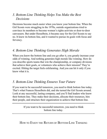# *3. Bottom-Line Thinking Helps You Make the Best Decisions*

Decisions become much easier when you know your bottom line. When the Girl Scouts were struggling in the 1970s, outside organizations tried to convince its members to become women's rights activists or door-to-door canvassers. But under Hesselbein, it became easy for the Girl Scouts to say no. It knew its bottom line, and it wanted to pursue its goals with focus and fervency.

## *4. Bottom-Line Thinking Generates High Morale*

When you know the bottom line and you go after it, you greatly increase your odds of winning. And nothing generates high morale like winning. How do you describe sports teams that win the championship, or company divisions that achieve their goals, or volunteers who achieve their mission? They're excited. Hitting the target feels exhilarating. And you can hit it only if you know what it is.

## *5. Bottom-Line Thinking Ensures Your Future*

If you want to be successful tomorrow, you need to think bottom line today. That's what Frances Hesselbein did, and she turned the Girl Scouts around. Look at any successful, lasting company, and you'll find leaders who know their bottom line. They make their decisions, allocate their resources, hire their people, and structure their organization to achieve that bottom line.

> If you want to be successful tomorrow, you need to think bottom line today.

HOW TO ENJOY THE RETURN OF BOTTOM-LINE THINKING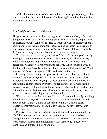It isn't hard to see the value of the bottom line. Most people would agree that bottom-line thinking has a high return. But learning how to be a bottom-line thinker can be challenging.

#### *1. Identify the Real Bottom Line*

The process of bottom-line thinking begins with knowing what you're really going after. It can be as lofty as the big-picture vision, mission, or purpose of an organizaion. Or it can be as focused as what you want to accomplish on a particular project. What's important is that you be as specific as possible. If your goal is for something as vague as "success," you will have a painfully difficult time trying to harness bottom-line thinking to achieve it.

The first step is to set aside your "wants." Get to the results you're really looking for, the true essence of the goal. Set aside any emotions that may cloud your judgment and remove any politics that may influence your perception. What are you really trying to achieve? When you strip away all the things that don't really matter, what are you compelled to achieve? What must occur? What is acceptable? That is the real bottom line.

Recently, I went through this process of bottom-line thinking with the board of directors of EQUIP. For the past seven years, EQUIP has given leadership training to three groups: college students, urban church pastors, and national church leaders overseas. Though all three areas were seeing success, I sensed that our divided focus was preventing us from reaching our potential in any of the three areas. That meant we needed to make a decision, and to do that, we had to figure out our bottom line.

We asked ourselves this question: "If we could accomplish only one thing in the lifetime of EQUIP, what would it be?" We discussed the issue and prayed about it, and we came to the conclusion that we *had* to teach leadership internationally. For us, that is what *must* occur. That was our bottom line.

Our vision is to raise up and train one million leaders internationally by 2007. For months since our decision to refocus, we have mapped out a strategy that will enable us to reach this goal. The result is an increase in ideas, energy, dollars, and partnerships with others. Why? Because we identified and embraced the bottom line.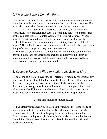#### *2. Make the Bottom Line the Point*

Have you ever been in a conversation with someone whose intentions seem other than stated? Sometimes the situation reflects intentional deception. But it can also occur when the person doesn't know his own bottom line.

The same thing happens in companies. Sometimes, for example, an idealistically stated mission and the real bottom line don't jibe. Purpose and profits compete. Earlier, I quoted George W. Merck, who stated, "We try never to forget that medicine is for the people. It is not for the profits. The profits follow, and if we have remembered that, they have never failed to appear." He probably made that statement to remind those in his organization that profits *serve* purpose—they don't compete with it.

If making a profit were the real bottom line, and helping people merely provided the means for achieving it, then the company would suffer. Its attention would be divided, and it would neither help people as well as it could nor make as much profit as it desired.

#### *3. Create a Strategic Plan to Achieve the Bottom Line*

Bottom-line thinking achieves results. Therefore, it naturally follows that any plans that flow out of such thinking must tie directly to the bottom line—and there can be only one, not two or three. Once the bottom line has been determined, a strategy must be created to achieve it. In organizations, that often means identifying the core elements or functions that must operate properly to achieve the bottom line. This is the leader's responsibility.

Bottom-line thinking achieves results.

I've already introduced you to Dave Sutherland, the president of one of my companies, ISS. The bottom line of ISS is helping churches raise \$1 billion a year to build facilities, helping them extend their potential reach. Dave is an outstanding strategic thinker, but he is also an incredible bottomline thinker. He has determined that to achieve its bottom line, ISS needs three core elements: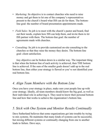- *Marketing*: Its objective is to contact churches who need to raise money and get them to let one of the company's representatives present to the church's board what ISS can do for them. The bottomline goal: the number of board presentation appointments made.
- *Field Sales:* Its job is to meet with the church's pastor and board, find out their needs, explain how ISS can help them, and invite them to let ISS partner with them. The bottom-line goal: the number of agreements made with churches.
- *Consulting:* Its job is to provide customized on-site consulting to the churches so that they raise the money they desire. The bottom-line goal: client satisfaction.

Any objective can be broken down in a similar way. The important thing is that when the bottom line of each activity is achieved, then THE bottom line is achieved. If the sum of the smaller goals doesn't add up to the real bottom line, then either your strategy is flawed or you've not identified your real bottom line.

## *4. Align Team Members with the Bottom Line*

Once you have your strategy in place, make sure your people line up with your strategy. Ideally, all team members should know the big goal, as well as their individual role in achieving it. They need to know their personal bottom line and how that works to achieve the organization's bottom line.

## *5. Stick with One System and Monitor Results Continually*

Dave Sutherland believes that some organizations get into trouble by trying to mix systems. He maintains that many kinds of systems can be successful, but mixing different systems or continually changing from one to another leads to failure. Dave says,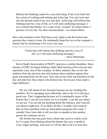Bottom-line thinking cannot be a one-time thing. It has to be built into the system of working and relating and achieving. You can't just tune into the desired result every now and then. Achieving with bottom-line thinking must be a way of life, or it will send conflicting messages. I am a bottom-line thinker. It is a part of my "system" for achievement. I practice it every day. No other measurements—no wasted efforts.

Dave calls members of his field team every night to ask the bottom-line question they expect to hear. He continually keeps his eye on the company's bottom line by monitoring it for every core area.

> "Achieving with bottom-line thinking must be a way of life, or it will send conflicting messages." —Dave Sutherland

Kevin Small, the president of INJOY, practices a similar discipline. Since January of 2002, he began holding a daily flash meeting with everyone who represents a key area of the company. In thirty minutes, they review the numbers from the previous day and measure those numbers against their goals and projections for the year. They also review their top priorities for the day and state how they relate to the bottom line. Kevin says it has made a huge difference:

We are well ahead of our forecasts because we are watching the numbers. We're managing more efficiently, and so far we're having a good year. That's happening because we're continually aware of the bottom line. I can tell you where we're in trouble. I can tell you where we are not. You can ask me anything about the business, and I can tell you about it right now. If we didn't do this, I wouldn't have known that we had a problem with our subscription programs this week. I wouldn't have been able to tell you that we needed to hire another person for customer service.

My bottom line has gone from a thirty-day cycle to a daily cycle. So I've gone from thinking about the bottom line once a month to every single morning. And soon we will be able to do it in real time.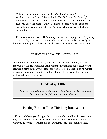This makes me a much better leader. Our founder, John Maxwell, teaches about the Law of Navigation in *The 21 Irrefutable Laws of Leadership.* That law says that anyone can steer the ship, but it takes a leader to chart the course. Daily, I chart the course with my team and we make mid-course corrections. We know where we are and where we want to go.

Kevin is a natural leader. He's young and still developing, but he's getting better every day, because he desires to learn and grow. He is constantly on the lookout for opportunities, but he also keeps his eye on the bottom line.

#### THE BOTTOM LINE ON THE BOTTOM LINE

When it comes right down to it, regardless of your bottom line, you can improve it with good thinking. And bottom-line thinking has a great return because it helps to turn your ideas into results. Like no other kind of mental processing, it can help you to reap the full potential of your thinking and achieve whatever you desire.

#### **THINKING QUESTION**

*Am I staying focused on the bottom line so that I can gain the maximum return and reap the full potential of my thinking?*

### **Putting Bottom-Line Thinking into Action**

1. How much have you thought about your own bottom line? Do you know why you're doing what you're doing in your career? Have you figured out what you're trying to accomplish in your family life? If someone asked,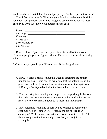would you be able to tell him for what purpose you've been put on this earth?

Your life can be more fulfilling and your thinking can be more fruitful if you know your purpose. Give some thought to each of the following areas. Then try to write succinctly your bottom line for each.

| Career:           |  |
|-------------------|--|
| Marriage:         |  |
| Parenting:        |  |
| Recreation:       |  |
| Service/Ministry: |  |
| Life Purpose:     |  |

Don't feel bad if you don't have perfect clarity on all of these issues. It takes most people years to figure it all out. This exercise is merely a starting point.

 $\mathcal{L}_\mathcal{L} = \{ \mathcal{L}_\mathcal{L} = \{ \mathcal{L}_\mathcal{L} = \{ \mathcal{L}_\mathcal{L} = \{ \mathcal{L}_\mathcal{L} = \{ \mathcal{L}_\mathcal{L} = \{ \mathcal{L}_\mathcal{L} = \{ \mathcal{L}_\mathcal{L} = \{ \mathcal{L}_\mathcal{L} = \{ \mathcal{L}_\mathcal{L} = \{ \mathcal{L}_\mathcal{L} = \{ \mathcal{L}_\mathcal{L} = \{ \mathcal{L}_\mathcal{L} = \{ \mathcal{L}_\mathcal{L} = \{ \mathcal{L}_\mathcal{$  $\mathcal{L}_\mathcal{L} = \{ \mathcal{L}_\mathcal{L} = \{ \mathcal{L}_\mathcal{L} = \{ \mathcal{L}_\mathcal{L} = \{ \mathcal{L}_\mathcal{L} = \{ \mathcal{L}_\mathcal{L} = \{ \mathcal{L}_\mathcal{L} = \{ \mathcal{L}_\mathcal{L} = \{ \mathcal{L}_\mathcal{L} = \{ \mathcal{L}_\mathcal{L} = \{ \mathcal{L}_\mathcal{L} = \{ \mathcal{L}_\mathcal{L} = \{ \mathcal{L}_\mathcal{L} = \{ \mathcal{L}_\mathcal{L} = \{ \mathcal{L}_\mathcal{$ 

- 2. Chose a major goal in your life or career. Write the goal here:
	- A. Now, set aside a block of time this week to determine the bottom line for this goal. Remember to make sure that the bottom line is the point, not a substitute for another unstated goal or just a step toward it. Once you've figured out what the bottom line is, write it here.
	- B. Your next step is to develop a strategy for accomplishing the bottom line. What are the core elements required to achieve it? What are the major objectives? Break it down to its most fundamental parts.
	- C. Now determine what kind of help will be required to achieve the goal. Can you do it alone? Will it require the aid of friends or colleagues? Will you need to start your own organization to do it? Is there an organization that already exists that you can join to accomplish it?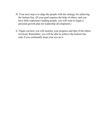- D. Your next step is to align the people with the strategy for achieving the bottom line. (If your goal requires the help of others, and you have little experience leading people, you will want to begin a personal growth plan for leadership development.)
- E. Figure out how you will monitor your progress and that of the others involved. Remember, you will be able to achieve the bottom line only if you continually keep your eye on it.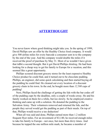### **[AFTERTHOUGHT](#page-3-1)**

You never know where good thinking might take you. In the spring of 1999, David Phillips saw an offer by the Healthy Choice food company. It would give 500 airline miles for every barcode a consumer sent in to the company by the end of the year. And the company would double the miles if it received the proof of purchase by May 31. Most of us wouldn't have given that tidbit a second thought. But it got David Phillips *thinking.* He had been looking for a cheap way to get his family to Europe for a vacation, and this seemed like a great opportunity.

Phillips scoured discount grocery stores for the least expensive Healthy Choice product he could find, and it turned out to be chocolate pudding. Phillips, an engineer, did some quick calculating and then started buying all the pudding he could find. He cleaned out every location of a discount grocery chain in his town. In the end, he bought more than *12,500* cups of pudding!

Next, Phillips faced the challenge of getting the lids with the bar codes off of the pudding cups by the deadline, only a couple of weeks away. He and his family worked on them for a while, but too slowly. So he employed creative thinking and came up with a solution. He donated the pudding to the Salvation Army. Their volunteers removed and returned the lids, and the people they served would get the pudding as part of their meals. On top of that, Phillips would receive a tax deduction!

<span id="page-229-0"></span>When all was said and done, Phillips earned more than 1.2 million frequent flyer miles. For an investment of \$3,140, he received enough miles to take his family to Europe—not once, but more than *thirty* times. And because he topped the one million mile mark, he became a member of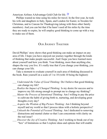American Airlines AAdvantage Gold Club for life. <sup>[79](#page-240-1)</sup>

Phillips wasted no time using his miles for travel. In the first year, he took his wife and daughters to Italy, Spain, and London for Easter, to Sweden for Christmas, and to Cancun for Thanksgiving (along with three other family members). And you can bet that if he hasn't used all his miles by the time they are ready to expire, he will employ good thinking to come up with a way to make use of them.

#### OUR JOURNEY TOGETHER

David Phillips' story shows that good thinking can make an impact on any area of life. I hope you have enjoyed our journey together through the kinds of thinking that make people successful. And I hope you have learned more about yourself and how you think. Your thinking, more than anything else, shapes the way you live. It's really true that if you change your thinking, you can change your life.

Take a moment to evaluate yourself in each area of thinking discussed in the book. Rate yourself on a scale of 1 to 10 (with 10 being the highest):

- \_\_\_ *Understand the Value of Good Thinking:* Do I believe that good thinking can change my life?
- \_\_\_ *Realize the Impact of Changed Thinking:* Is my desire for success and to improve my life strong enough to prompt me to change my thinking? \_\_\_ *Master the Process of Intentional Thinking:* Am I willing to pay the price
- to cultivate the habit of giving birth to, nurturing, and developing great thoughts every day?
- \_\_\_ *Acquire the Wisdom of Big-Picture Thinking:* Am I thinking beyond myself and my world so that I process ideas with a holistic perspective?
- \_\_\_ *Unleash the Potential of Focused Thinking:* Am I dedicated to removing distractions and mental clutter so that I can concentrate with clarity on the real issue?
- \_\_\_ *Discover the Joy of Creative Thinking:* Am I working to break out of my "box" of limitations so that I explore ideas and options that will enable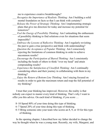me to experience creative breakthroughs?

- \_\_\_ *Recognize the Importance of Realistic Thinking:* Am I building a solid mental foundation on facts so that I can think with certainty?
- \_\_\_ *Release the Power of Strategic Thinking:* Am I implementing strategic plans that give me direction for today and increase my potential for tomorrow?
- \_\_\_ *Feel the Energy of Possibility Thinking:* Am I unleashing the enthusiasm of possibility thinking to find solutions even for situations that seem impossible?
- \_\_\_ *Embrace the Lessons of Reflective Thinking:* Am I regularly revisiting the past to gain a true perspective and think with understanding?
- \_\_\_ *Question the Acceptance of Popular Thinking:* Am I consciously rejecting the limitations of common thinking in order to achieve uncommon results?
- \_\_\_ *Encourage the Participation of Shared Thinking:* Am I consistently including the heads of others to think "over my head" and attain compounding results?
- \_\_\_ *Experience the Satisfaction of Unselfish Thinking:* Am I continually considering others and their journey in collaborating with them in my thinking?
- \_\_\_ *Enjoy the Return of Bottom-Line Thinking:* Am I staying focused on results in order to gain the maximum return and reap the full potential of my thinking?

I trust that your thinking has improved. However, the reality is that nobody can expect to master every kind of thinking. That's why I want to offer you this advice. On each kind of thinking, if you score …

- 8–10 Spend 80% of your time doing this type of thinking.
- 6–7 Spend 20% of your time doing this type of thinking.
- 0–5 Bring someone onto your team who scores an 8, 9, or 10 for this type of thinking.

In the opening chapter, I described how my father decided to change the way he thought when he was a young man. Recently, my wife, Margaret, and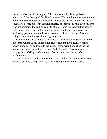I went to a banquet honoring my father, sponsored by the organization to which my father belonged for fifty-five years. We sat with my parents at their table, and we talked about his decision to dedicate his life to thinking the way successful people did. That decision enabled my parents to rear three children who are committed to adding value to others. It was the catalyst that set my father apart from many of his contemporaries and helped him to rise to leadership positions within the organization. It allowed him and Mom to enjoy more than 60 years of marriage together.

I reflected on these things as I listened to the banquet's speaker describe the contributions of my father's life, and it brought me to tears. When the crowd stood as my dad went to the stage, I stood with them, cheering the loudest, because I knew him the best. And I thought, *There is a man who changed his thinking, and it changed his life—and the lives of others, including me.*

The same thing can happen for you. That is why I wrote this book. May thinking become your greatest tool for creating the world you desire.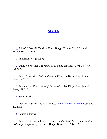#### **[NOTES](#page-3-2)**

[1.](#page-13-0) John C. Maxwell, *Think on These Things* (Kansas City, Missouri: Beacon Hill, 1979), 13.

[2.](#page-13-1) Philippians 4:8 (NRSV).

[3.](#page-15-0) David J. Schwartz, *The Magic of Thinking Big* (New York: Fireside, 1959), *66.*

[4.](#page-15-1) James Allen, *The Wisdom of James Allen* (San Diego: Laurel Creek Press, 1997), 31.

[5.](#page-18-0) James Allen, *The Wisdom of James Allen* (San Diego: Laurel Creek Press, 1997), 54.

[6.](#page-18-0) See Proverbs 23:7.

[7.](#page-19-0) "Wal-Mart Stores, Inc. at a Glance," [www.walmartstores.com,](http://www.walmartstores.com) January 29, 2002.

[8.](#page-20-0) Source unknown.

[9.](#page-22-0) James C. Collins and Jerry I. Porras, *Built to Last: Successful Habits of Visionary Companies* (New York: Harper Business, 1994), 213.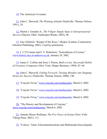[10.](#page-23-0) The American Covenant.

[11.](#page-36-0) John C. Maxwell, *The Winning Attitude* (Nashville: Thomas Nelson, 1991), 24.

[12.](#page-39-0) Martin J. Grunder Jr., *The 9 Super Simple Steps to Entrepreneurial Success* (Dayton, Ohio: Gatekeeper Books, 2002), 96.

[13.](#page-51-0) Guy Gilchrist, "Keeper of the Keys," *Mudpie* (Canton, Connecticut: Gilchrist Publishing, 2001). Used by permission.

[14.](#page-61-0) J. J. O'Connor and E. F. Robertson, "Eratosthenes of Cyrene," [www.history.mcs.st-andrews.ac.uk](http://www.history.mcs.st-andrews.ac.uk), January 28, 2002.

[15.](#page-69-0) James C. Collins and Jerry I. Porras, *Built to Last: Successful Habits of Visionary Companies* (New York: Harper Business, 1994), 43–44.

[16.](#page-69-1) John C. Maxwell, *Failing Forward: Turning Mistakes into Stepping Stones for Success* (Nashville: Thomas Nelson, 2000), 140.

[17.](#page-74-0) "Crayola Trivia," [www.crayola.com/mediacenter,](http://www.www.crayola.com/mediacenter) March 6, 2002.

[18.](#page-74-1) "Crayola Trivia," [www.crayola.com/mediacenter,](http://www.crayola.com/mediacenter) March 6, 2002.

[19.](#page-75-0) "Crayola Trivia," [www.crayola.com/mediacenter,](http://www.crayola.com/mediacenter) March 6, 2002.

[20.](#page-75-1) "The History and Development of Crayons," [www.crayola.com/mediacenter](http://www.crayola.com/mediacenter), March 6, 2002.

[21.](#page-76-0) Annette Moser-Wellman, *The Five Faces of Genius* (New York: Viking Press, 2001), 111.

[22.](#page-76-1) "Coleco," Jones Telecommunications and Multimedia Encyclopedia,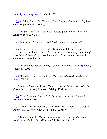[www.digitalcentury.com](http://www.digitalcentury.com), March 14, 2002.

[23.](#page-77-0) Al Ries, *Focus: The Future of Your Company Depends on It* (New York: Harper Business, 1996), 1.

[24.](#page-79-0) M. Scott Peck, *The Road Less Traveled* (New York: Simon and Schuster, 1978), 27–28.

[25.](#page-82-0) Jim Collins, "Good to Great," *Fast Company,* October 2001.

[26.](#page-83-0) Joshua S. Rubinstein, David E. Meyer, and Jeffrey E. Evans, "Executive Control of Cognitive Processes in Task Switching," *Journal of Experimental Psychology,* quoted in *Leadership Strategies,* Volume 4, Number 12, December 2001.

[27.](#page-88-0) "Martin First Female to Play, Score in Division I," [www.espn.com,](http://www.espn.com) August 31, 2002.

[28.](#page-88-1) "Female Giving Up Football," *The Atlanta Journal-Constitution,* January 21, 2002, E10.

[29.](#page-93-0) Annette Moser-Wellman, *The Five Faces of Genius: The Skills to Master Ideas at Work* (New York: Viking, 2001), 6.

[30.](#page-93-1) Skipp Ross with Carole C. Carlson, *Say Yes to Your Potential* (Nashville: Word, 1983).

[31.](#page-94-0) Annette Moser-Wellman, *The Five Faces of Genius: The Skills to Master Ideas at Work* (New York: Viking, 2001), 9.

[32.](#page-100-0) Ernie J. Zelinski, *The Joy of Not Knowing It All: Profiting from Creativity at Work or Play* (Chicago: VIP Books, 1994), 7.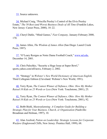[33.](#page-101-0) Source unknown.

[34.](#page-102-0) Michael Craig, "Priscilla Presley's Control of the Elvis Presley Estate," *The 50 Best (and Worst) Business Deals of All Time* (Franklin Lakes, New Jersey: Career Press, 2000), 18–22.

[35.](#page-110-0) Cheryl Dahle, "Mind Games," *Fast Company,* January-February 2000, 170.

[36.](#page-116-0) James Allen, *The Wisdom of James Allen* (San Diego: Laurel Creek Press, 1997).

[37.](#page-120-0) "O'Leary Resigns as Notre Dame Football Coach," [www.nd.edu,](http://www.nd.edu) December 14, 2001.

[38.](#page-124-0) Chris Palochko, "Security a Huge Issue at Super Bowl," sports.yahoo.com/nfl/news, February 2, 2002.

[39.](#page-128-0) "Strategy" in *Webster's New World Dictionary of American English,* Third Collegiate Edition (Cleveland: Webster's New World, 1991).

[40.](#page-129-0) Terry Ryan, *The Contest Winner of Defiance, Ohio: How My Mother Raised 10 Kids on 25 Words or Less* (New York: Touchstone, 2001), 25.

[41.](#page-130-0) Terry Ryan, *The Contest Winner of Defiance, Ohio: How My Mother Raised 10 Kids on 25 Words or Less* (New York: Touchstone, 2001), 92.

[42.](#page-133-0) Bobb Biehl, *Masterplanning: A Complete Guide for Building a Strategic Plan for Your Business, Church, or Organization* (Nashville: Broadman and Holman, 1997), 10.

[43.](#page-133-1) Alan Axelrod, *Patton on Leadership: Strategic Lessons for Corporate Warfare* (Englewood Cliffs, New Jersey: Prentice Hall, 1999), 68.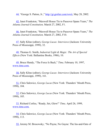[44.](#page-134-0) "George S. Patton, Jr.," [http://gi.grolier.com/wwii,](http://gi.grolier.com/wwii) May 28, 2002.

[45.](#page-141-0) Janet Frankston, "Maxwell House Tie to Passover Spans Years," *The Atlanta Journal-Constitution,* March 27, 2002, F1.

[46.](#page-141-1) Janet Frankston, "Maxwell House Tie to Passover Spans Years," *The Atlanta Journal-Constitution,* March 27, 2002, F10.

[47.](#page-143-0) Sally Kline (editor), *George Lucas: Interviews* (Jackson: University Press of Mississippi, 1999), 32.

[48.](#page-144-0) Thomas G. Smith, *Industrial Light & Magic: The Art of Special Effects* (New York: Ballantine Books, 1986), 10.

[49.](#page-145-0) Bruce Handy, "The Force Is Back," *Time,* February 10, 1997, [www.time.com.](http://www.time.com)

[50.](#page-145-1) Sally Kline (editor), *George Lucas: Interviews* (Jackson: University Press of Mississippi, 1999), 161.

[51.](#page-145-2) Chris Salewicz, *George Lucas* (New York: Thunders' Mouth Press, 1998), 104.

[52.](#page-146-0) Chris Salewicz, *George Lucas* (New York: Thunders' Mouth Press, 1998), 105.

[53.](#page-146-0) Richard Corliss, "Ready, Set, Glow!" *Time,* April 26, 1999, [www.time.com.](http://www.time.com)

[54.](#page-146-1) Chris Salewicz, *George Lucas* (New York: Thunders' Mouth Press, 1998), 113.

[55.](#page-147-0) Jeremy M. Brosowsky, "No Payne, No Gayne: The Ins-and-Outs of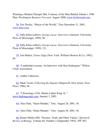Winning a Modern Olympic Bid, Courtesy of the Man Behind Atlanta's 1996 Plan, *Washington Business Forward,* August 2000, [www.bizforward.com.](http://www.bizforward.com)

[56.](#page-150-0) Eric Pooley, "Mayor of the World," *Time* December 31, 2001, [www.time.com.](http://www.time.com)

[57.](#page-151-0) Sally Kline (editor), *George Lucas: Interviews* (Jackson: University Press of Mississippi, 1999), 96.

[58.](#page-151-0) Sally Kline (editor), *George Lucas: Interviews* (Jackson: University Press of Mississippi, 1999), 121.

[59.](#page-152-0) Joel Barker, *Future Edge* (New York: William Morrow & Co, 1992), 89.

[60.](#page-154-0) "Leadership Lessons: An Interview with Don Soderquist," Willow Creek Association.

[61.](#page-155-0) Author Unknown.

[62.](#page-165-0) Mark Twain, *Following the Equator* (Hopewell, New Jersey: Ecco Press, 1996), 96.

[63.](#page-171-0) "Chronology of Dr. Martin Luther King, Jr.," [www.thekingcenter.com](http://www.thekingcenter.com), January 3, 2002.

[64.](#page-175-0) Alice Park, "Heart Mender," *Time,* August 20, 2001, 36.

[65.](#page-175-1) Alice Park, "Heart Mender," *Time,* August 20, 2001, 36.

[66.](#page-178-0) Benno Muller-Hill, "Science, Truth, and Other Values," *Quarterly Review of Biology,* Volume 68, Number 3 (September 1993), 399–407.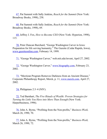[67.](#page-190-0) Pat Summit with Sally Jenkins, *Reach for the Summit* (New York: Broadway Books, 1998), 258.

[68.](#page-191-0) Pat Summit with Sally Jenkins, *Reach for the Summit* (New York: Broadway Books, 1998), 69.

[69.](#page-197-0) Jeffrey J. Fox, *How to Become CEO* (New York: Hyperion, 1998), 115.

[70.](#page-204-0) Peter Duncan Burchard, "George Washington Carver in Iowa: Preparation for life serving humanity," The Gazette (Cedar Rapids, Iowa), [www.gazetteonline.com,](http://www.gazetteonline.com) February 14, 1999.

[71.](#page-205-0) "George Washington Carver," web.mit.edu/invent, April 27, 2002.

[72.](#page-205-1) "George Washington Carver," [www.biography.com](http://www.biography.com), February 23, 2002.

[73.](#page-209-0) "Mectizan Program Removes Darkness from an Ancient Disease," Corporate Philanthropy Report, Merck, p. 11, [www.merck.com,](http://www.merck.com) April 27, 2002.

[74.](#page-210-0) Philippians 2:3–4 (NIV).

[75.](#page-211-0) Tod Barnhart, *The Five Rituals of Wealth: Proven Strategies for Turning the Little You Have into More Than Enough* (New York: Harperbusiness, 1996).

<span id="page-239-0"></span>[76.](#page-218-0) John A. Byrne, "Profiting from the Non-profits," *Business-Week,* March 26, 1990, 70.

<span id="page-239-1"></span>[77.](#page-218-0) John A. Byrne, "Profiting from the Non-profits," *Business-Week,* March 26, 1990, 72.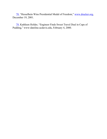<span id="page-240-0"></span>[78.](#page-219-0) "Hesselbein Wins Presidential Medal of Freedom," [www.drucker.org](http://www.drucker.org), December 19, 2001.

<span id="page-240-1"></span>[79.](#page-229-0) Kathleen Holder, "Engineer Finds Sweet Travel Deal in Cups of Pudding," www-dateline.ucdavis.edu, February 4, 2000.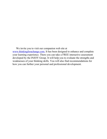We invite you to visit our companion web site at [www.thinkingforachange.com.](http://www.thinkingforachange.com) It has been designed to enhance and complete your learning experience. There you can take a FREE interactive assessment developed by the INJOY Group. It will help you to evaluate the strengths and weaknesses of your thinking skills. You will also find recommendations for how you can further your personal and professional development.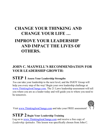# **CHANGE YOUR THINKING AND CHANGE YOUR LIFE …**

# **IMPROVE YOUR LEADERSHIP AND IMPACT THE LIVES OF OTHERS.**

# **JOHN C. MAXWELL'S RECOMMENDATION FOR YOUR LEADERSHIP GROWTH:**

# **STEP 1 Assess Your Leadership Strengths**

*You* can take your leadership to the next level, and the INJOY Group will help you every step of the way! Begin your own leadership challenge at [www.ThinkingforaChange.com.](http://www.ThinkingforaChange.com) The 21 Laws leadership assessment will tell you where you are as a leader today and will guide you to where you need to be tomorrow.



Visit [www.ThinkingforaChange.com](http://www.ThinkingforaChange.com) and take your FREE assessment!

# **STEP 2 Begin Your Leadership Training**

Log on to [www.ThinkingforaChange.com](http://www.ThinkingforaChange.com) and receive a free copy of *Leadership Aptitudes.* This lesson was specifically chosen from John C.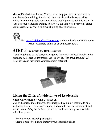Maxwell's Maximum Impact Club series to help you take the next step in your leadership training! *Leadership Aptitudes* is available to you either online in streaming audio format or, if you would prefer to add this lesson to your personal leadership training library, we can ship you a copy on I either audiocassette or CD for a minimal shipping charge of \$2.00.

Visit [www.ThinkingforaChange.com](http://www.ThinkingforaChange.com) and download your FREE audio lesson! Available online or on audiocassette/CD.

# **STEP 3 Train with the Best Resources**

If you're going to be the best, you've got to train with the best! Purchase the complete audio (for your personal use) and video (for group training) *21 Laws* series and maximize your leadership potential!



# **Living the 21 Irrefutable Laws of Leadership**

#### **Audio Curriculum by John C. Maxwell**

You will achieve more than you ever imagined by simply listening to one leadership lesson, reading one chapter, and completing one assignment each month. With *Living the 21 Laws,* you'll have a leadership growth tool that will allow you to:

- Evaluate your leadership strengths
- Create a proactive plan to improve your leadership skills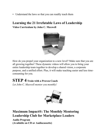• Understand the laws so that you can readily teach them

## **Learning the 21 Irrefutable Laws of Leadership Video Curriculum by John C. Maxwell**



How do you propel your organization to a new level? Make sure that you are all growing together! These dynamic videos will allow you to bring your entire leadership team together to develop a shared vision, a corporate purpose, and a unified effort. Plus, it will make teaching easier and less timeconsuming for you.

# **STEP 4 Train with <sup>a</sup> Proven Coach** *Let John C. Maxwell mentor you monthly!*



# **Maximum Impact®: The Monthly Mentoring Leadership Club for Marketplace Leaders**

**Audio Program (Available on CD or Audiocassette)**